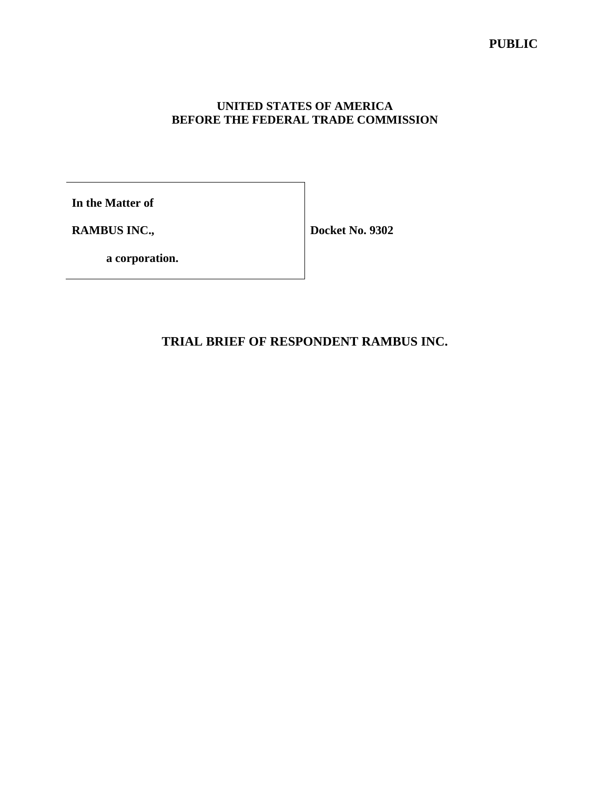### **UNITED STATES OF AMERICA BEFORE THE FEDERAL TRADE COMMISSION**

**In the Matter of**

**RAMBUS INC.,**

**Docket No. 9302**

**a corporation.**

**TRIAL BRIEF OF RESPONDENT RAMBUS INC.**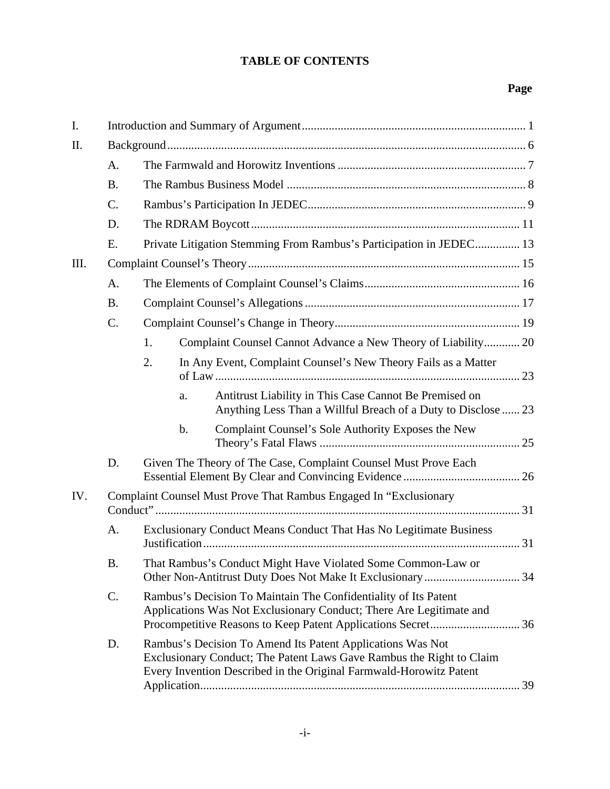# **TABLE OF CONTENTS**

# **Page**

| I.  |                                                                   |                                                                                                                                                                                                          |  |  |  |  |  |
|-----|-------------------------------------------------------------------|----------------------------------------------------------------------------------------------------------------------------------------------------------------------------------------------------------|--|--|--|--|--|
| II. |                                                                   |                                                                                                                                                                                                          |  |  |  |  |  |
|     | A.                                                                |                                                                                                                                                                                                          |  |  |  |  |  |
|     | <b>B.</b>                                                         |                                                                                                                                                                                                          |  |  |  |  |  |
|     | $\mathcal{C}$ .                                                   |                                                                                                                                                                                                          |  |  |  |  |  |
|     | D.                                                                |                                                                                                                                                                                                          |  |  |  |  |  |
|     | E.                                                                | Private Litigation Stemming From Rambus's Participation in JEDEC 13                                                                                                                                      |  |  |  |  |  |
| Ш.  |                                                                   |                                                                                                                                                                                                          |  |  |  |  |  |
|     | A.                                                                |                                                                                                                                                                                                          |  |  |  |  |  |
|     | <b>B.</b>                                                         |                                                                                                                                                                                                          |  |  |  |  |  |
|     | $\mathcal{C}$ .                                                   |                                                                                                                                                                                                          |  |  |  |  |  |
|     |                                                                   | Complaint Counsel Cannot Advance a New Theory of Liability 20<br>1.                                                                                                                                      |  |  |  |  |  |
|     |                                                                   | 2.<br>In Any Event, Complaint Counsel's New Theory Fails as a Matter                                                                                                                                     |  |  |  |  |  |
|     |                                                                   | Antitrust Liability in This Case Cannot Be Premised on<br>a.<br>Anything Less Than a Willful Breach of a Duty to Disclose  23                                                                            |  |  |  |  |  |
|     |                                                                   | $\mathbf b$ .<br>Complaint Counsel's Sole Authority Exposes the New                                                                                                                                      |  |  |  |  |  |
|     | D.                                                                | Given The Theory of The Case, Complaint Counsel Must Prove Each                                                                                                                                          |  |  |  |  |  |
| IV. | Complaint Counsel Must Prove That Rambus Engaged In "Exclusionary |                                                                                                                                                                                                          |  |  |  |  |  |
|     | A.                                                                | Exclusionary Conduct Means Conduct That Has No Legitimate Business                                                                                                                                       |  |  |  |  |  |
|     | <b>B.</b>                                                         | That Rambus's Conduct Might Have Violated Some Common-Law or                                                                                                                                             |  |  |  |  |  |
|     | $C$ .                                                             | Rambus's Decision To Maintain The Confidentiality of Its Patent<br>Applications Was Not Exclusionary Conduct; There Are Legitimate and                                                                   |  |  |  |  |  |
|     | D.                                                                | Rambus's Decision To Amend Its Patent Applications Was Not<br>Exclusionary Conduct; The Patent Laws Gave Rambus the Right to Claim<br>Every Invention Described in the Original Farmwald-Horowitz Patent |  |  |  |  |  |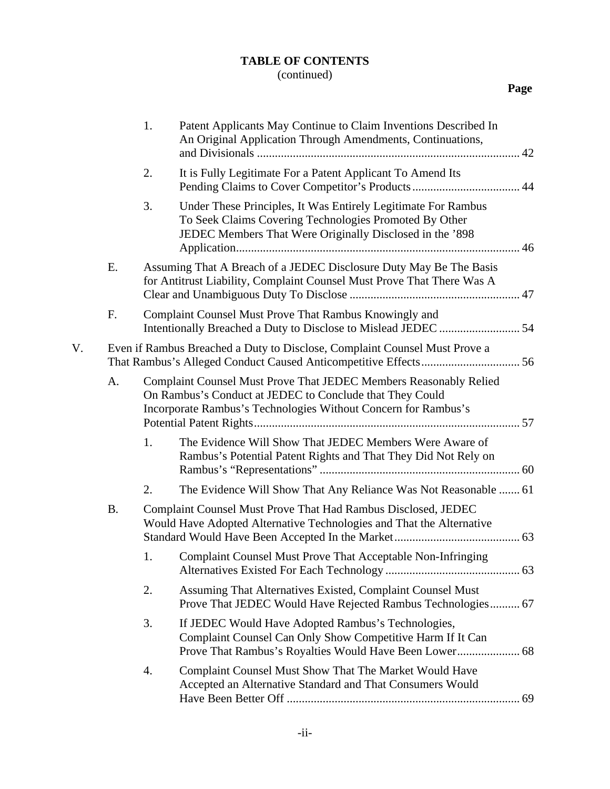# **TABLE OF CONTENTS**

# (continued)

|    |           | 1.                                                                                                                                           | Patent Applicants May Continue to Claim Inventions Described In<br>An Original Application Through Amendments, Continuations,                                                                   |  |  |  |  |
|----|-----------|----------------------------------------------------------------------------------------------------------------------------------------------|-------------------------------------------------------------------------------------------------------------------------------------------------------------------------------------------------|--|--|--|--|
|    |           | 2.                                                                                                                                           | It is Fully Legitimate For a Patent Applicant To Amend Its                                                                                                                                      |  |  |  |  |
|    |           | 3.                                                                                                                                           | Under These Principles, It Was Entirely Legitimate For Rambus<br>To Seek Claims Covering Technologies Promoted By Other<br>JEDEC Members That Were Originally Disclosed in the '898             |  |  |  |  |
|    | Ε.        | Assuming That A Breach of a JEDEC Disclosure Duty May Be The Basis<br>for Antitrust Liability, Complaint Counsel Must Prove That There Was A |                                                                                                                                                                                                 |  |  |  |  |
|    | F.        |                                                                                                                                              | Complaint Counsel Must Prove That Rambus Knowingly and                                                                                                                                          |  |  |  |  |
| V. |           | Even if Rambus Breached a Duty to Disclose, Complaint Counsel Must Prove a                                                                   |                                                                                                                                                                                                 |  |  |  |  |
|    | A.        |                                                                                                                                              | Complaint Counsel Must Prove That JEDEC Members Reasonably Relied<br>On Rambus's Conduct at JEDEC to Conclude that They Could<br>Incorporate Rambus's Technologies Without Concern for Rambus's |  |  |  |  |
|    |           | 1.                                                                                                                                           | The Evidence Will Show That JEDEC Members Were Aware of<br>Rambus's Potential Patent Rights and That They Did Not Rely on                                                                       |  |  |  |  |
|    |           | 2.                                                                                                                                           | The Evidence Will Show That Any Reliance Was Not Reasonable  61                                                                                                                                 |  |  |  |  |
|    | <b>B.</b> |                                                                                                                                              | Complaint Counsel Must Prove That Had Rambus Disclosed, JEDEC<br>Would Have Adopted Alternative Technologies and That the Alternative                                                           |  |  |  |  |
|    |           | 1.                                                                                                                                           | Complaint Counsel Must Prove That Acceptable Non-Infringing                                                                                                                                     |  |  |  |  |
|    |           | 2.                                                                                                                                           | Assuming That Alternatives Existed, Complaint Counsel Must<br>Prove That JEDEC Would Have Rejected Rambus Technologies 67                                                                       |  |  |  |  |
|    |           | 3.                                                                                                                                           | If JEDEC Would Have Adopted Rambus's Technologies,<br>Complaint Counsel Can Only Show Competitive Harm If It Can                                                                                |  |  |  |  |
|    |           | 4.                                                                                                                                           | Complaint Counsel Must Show That The Market Would Have<br>Accepted an Alternative Standard and That Consumers Would                                                                             |  |  |  |  |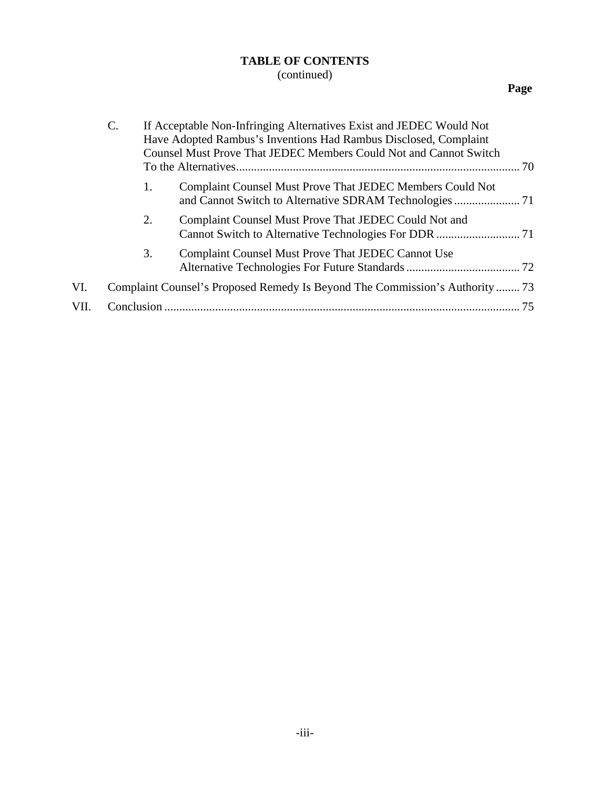# **TABLE OF CONTENTS**

# (continued)

# **Page**

|      | $\mathsf{C}$ .                                                              | If Acceptable Non-Infringing Alternatives Exist and JEDEC Would Not<br>Have Adopted Rambus's Inventions Had Rambus Disclosed, Complaint<br><b>Counsel Must Prove That JEDEC Members Could Not and Cannot Switch</b><br>70 |                                                           |  |  |  |
|------|-----------------------------------------------------------------------------|---------------------------------------------------------------------------------------------------------------------------------------------------------------------------------------------------------------------------|-----------------------------------------------------------|--|--|--|
|      |                                                                             | 1.                                                                                                                                                                                                                        | Complaint Counsel Must Prove That JEDEC Members Could Not |  |  |  |
|      |                                                                             | 2.                                                                                                                                                                                                                        | Complaint Counsel Must Prove That JEDEC Could Not and     |  |  |  |
|      |                                                                             | 3.                                                                                                                                                                                                                        | Complaint Counsel Must Prove That JEDEC Cannot Use        |  |  |  |
| VI.  | Complaint Counsel's Proposed Remedy Is Beyond The Commission's Authority 73 |                                                                                                                                                                                                                           |                                                           |  |  |  |
| VII. | Conclusion                                                                  |                                                                                                                                                                                                                           | 75                                                        |  |  |  |
|      |                                                                             |                                                                                                                                                                                                                           |                                                           |  |  |  |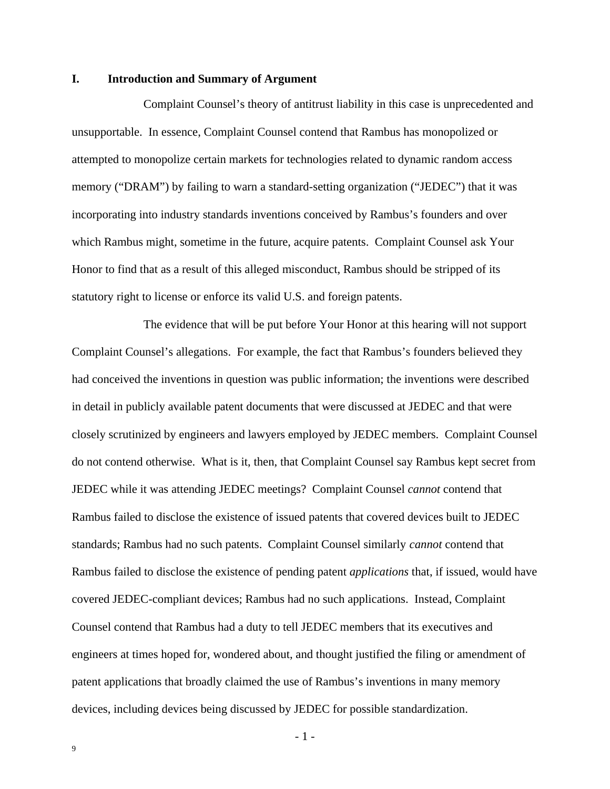#### **I. Introduction and Summary of Argument**

Complaint Counsel's theory of antitrust liability in this case is unprecedented and unsupportable. In essence, Complaint Counsel contend that Rambus has monopolized or attempted to monopolize certain markets for technologies related to dynamic random access memory ("DRAM") by failing to warn a standard-setting organization ("JEDEC") that it was incorporating into industry standards inventions conceived by Rambus's founders and over which Rambus might, sometime in the future, acquire patents. Complaint Counsel ask Your Honor to find that as a result of this alleged misconduct, Rambus should be stripped of its statutory right to license or enforce its valid U.S. and foreign patents.

The evidence that will be put before Your Honor at this hearing will not support Complaint Counsel's allegations. For example, the fact that Rambus's founders believed they had conceived the inventions in question was public information; the inventions were described in detail in publicly available patent documents that were discussed at JEDEC and that were closely scrutinized by engineers and lawyers employed by JEDEC members. Complaint Counsel do not contend otherwise. What is it, then, that Complaint Counsel say Rambus kept secret from JEDEC while it was attending JEDEC meetings? Complaint Counsel *cannot* contend that Rambus failed to disclose the existence of issued patents that covered devices built to JEDEC standards; Rambus had no such patents. Complaint Counsel similarly *cannot* contend that Rambus failed to disclose the existence of pending patent *applications* that, if issued, would have covered JEDEC-compliant devices; Rambus had no such applications. Instead, Complaint Counsel contend that Rambus had a duty to tell JEDEC members that its executives and engineers at times hoped for, wondered about, and thought justified the filing or amendment of patent applications that broadly claimed the use of Rambus's inventions in many memory devices, including devices being discussed by JEDEC for possible standardization.

- 1 -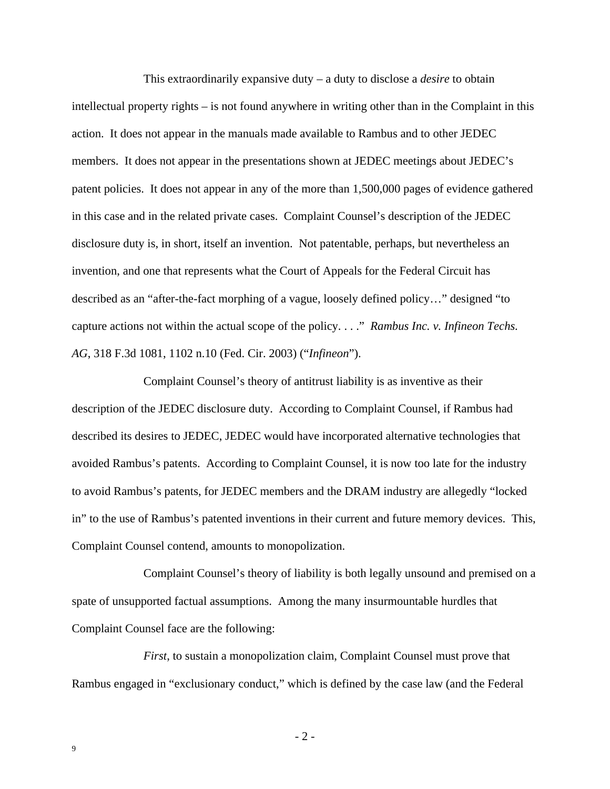This extraordinarily expansive duty – a duty to disclose a *desire* to obtain intellectual property rights – is not found anywhere in writing other than in the Complaint in this action. It does not appear in the manuals made available to Rambus and to other JEDEC members. It does not appear in the presentations shown at JEDEC meetings about JEDEC's patent policies. It does not appear in any of the more than 1,500,000 pages of evidence gathered in this case and in the related private cases. Complaint Counsel's description of the JEDEC disclosure duty is, in short, itself an invention. Not patentable, perhaps, but nevertheless an invention, and one that represents what the Court of Appeals for the Federal Circuit has described as an "after-the-fact morphing of a vague, loosely defined policy…" designed "to capture actions not within the actual scope of the policy. . . ." *Rambus Inc. v. Infineon Techs. AG*, 318 F.3d 1081, 1102 n.10 (Fed. Cir. 2003) ("*Infineon*").

Complaint Counsel's theory of antitrust liability is as inventive as their description of the JEDEC disclosure duty. According to Complaint Counsel, if Rambus had described its desires to JEDEC, JEDEC would have incorporated alternative technologies that avoided Rambus's patents. According to Complaint Counsel, it is now too late for the industry to avoid Rambus's patents, for JEDEC members and the DRAM industry are allegedly "locked in" to the use of Rambus's patented inventions in their current and future memory devices. This, Complaint Counsel contend, amounts to monopolization.

Complaint Counsel's theory of liability is both legally unsound and premised on a spate of unsupported factual assumptions. Among the many insurmountable hurdles that Complaint Counsel face are the following:

*First*, to sustain a monopolization claim, Complaint Counsel must prove that Rambus engaged in "exclusionary conduct," which is defined by the case law (and the Federal

- 2 -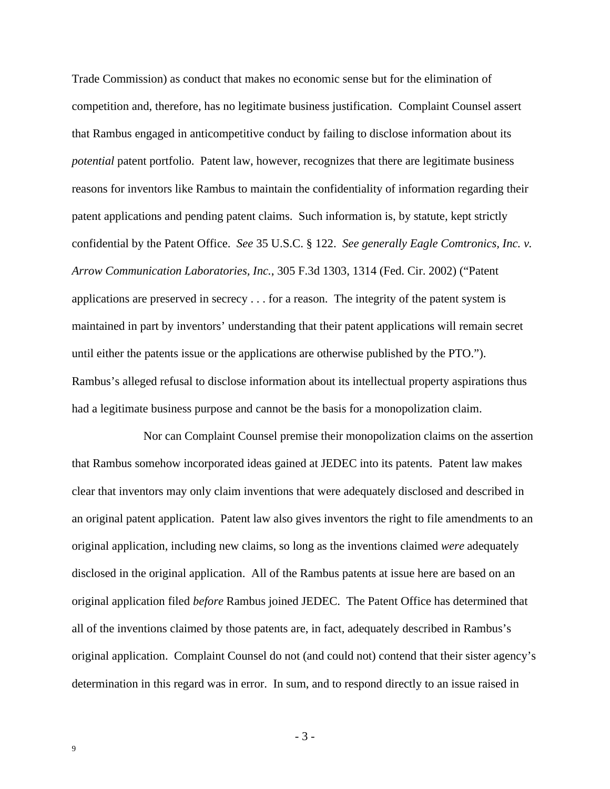Trade Commission) as conduct that makes no economic sense but for the elimination of competition and, therefore, has no legitimate business justification. Complaint Counsel assert that Rambus engaged in anticompetitive conduct by failing to disclose information about its *potential* patent portfolio. Patent law, however, recognizes that there are legitimate business reasons for inventors like Rambus to maintain the confidentiality of information regarding their patent applications and pending patent claims. Such information is, by statute, kept strictly confidential by the Patent Office. *See* 35 U.S.C. § 122. *See generally Eagle Comtronics, Inc. v. Arrow Communication Laboratories, Inc.*, 305 F.3d 1303, 1314 (Fed. Cir. 2002) ("Patent applications are preserved in secrecy . . . for a reason. The integrity of the patent system is maintained in part by inventors' understanding that their patent applications will remain secret until either the patents issue or the applications are otherwise published by the PTO."). Rambus's alleged refusal to disclose information about its intellectual property aspirations thus had a legitimate business purpose and cannot be the basis for a monopolization claim.

Nor can Complaint Counsel premise their monopolization claims on the assertion that Rambus somehow incorporated ideas gained at JEDEC into its patents. Patent law makes clear that inventors may only claim inventions that were adequately disclosed and described in an original patent application. Patent law also gives inventors the right to file amendments to an original application, including new claims, so long as the inventions claimed *were* adequately disclosed in the original application. All of the Rambus patents at issue here are based on an original application filed *before* Rambus joined JEDEC. The Patent Office has determined that all of the inventions claimed by those patents are, in fact, adequately described in Rambus's original application. Complaint Counsel do not (and could not) contend that their sister agency's determination in this regard was in error. In sum, and to respond directly to an issue raised in

- 3 -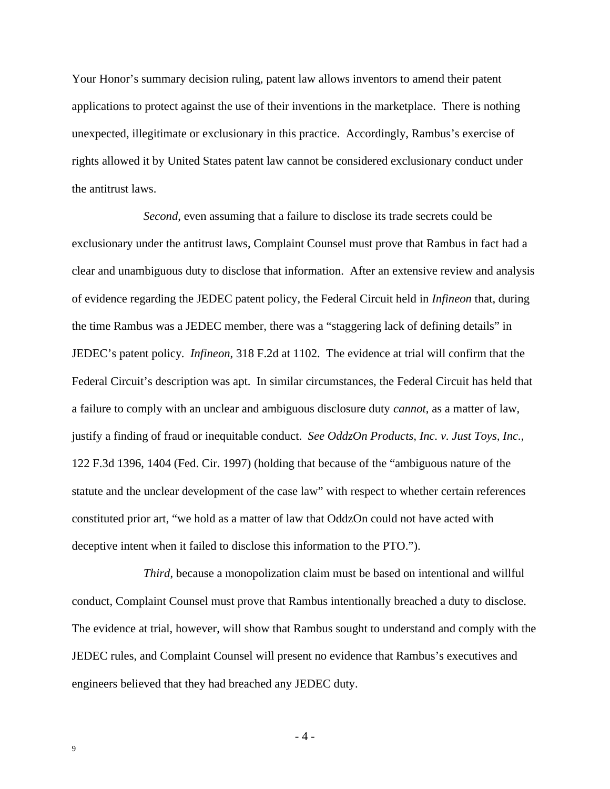Your Honor's summary decision ruling, patent law allows inventors to amend their patent applications to protect against the use of their inventions in the marketplace. There is nothing unexpected, illegitimate or exclusionary in this practice. Accordingly, Rambus's exercise of rights allowed it by United States patent law cannot be considered exclusionary conduct under the antitrust laws.

*Second*, even assuming that a failure to disclose its trade secrets could be exclusionary under the antitrust laws, Complaint Counsel must prove that Rambus in fact had a clear and unambiguous duty to disclose that information. After an extensive review and analysis of evidence regarding the JEDEC patent policy, the Federal Circuit held in *Infineon* that, during the time Rambus was a JEDEC member, there was a "staggering lack of defining details" in JEDEC's patent policy. *Infineon*, 318 F.2d at 1102. The evidence at trial will confirm that the Federal Circuit's description was apt. In similar circumstances, the Federal Circuit has held that a failure to comply with an unclear and ambiguous disclosure duty *cannot*, as a matter of law, justify a finding of fraud or inequitable conduct. *See OddzOn Products, Inc. v. Just Toys, Inc.*, 122 F.3d 1396, 1404 (Fed. Cir. 1997) (holding that because of the "ambiguous nature of the statute and the unclear development of the case law" with respect to whether certain references constituted prior art, "we hold as a matter of law that OddzOn could not have acted with deceptive intent when it failed to disclose this information to the PTO.").

*Third*, because a monopolization claim must be based on intentional and willful conduct, Complaint Counsel must prove that Rambus intentionally breached a duty to disclose. The evidence at trial, however, will show that Rambus sought to understand and comply with the JEDEC rules, and Complaint Counsel will present no evidence that Rambus's executives and engineers believed that they had breached any JEDEC duty.

- 4 -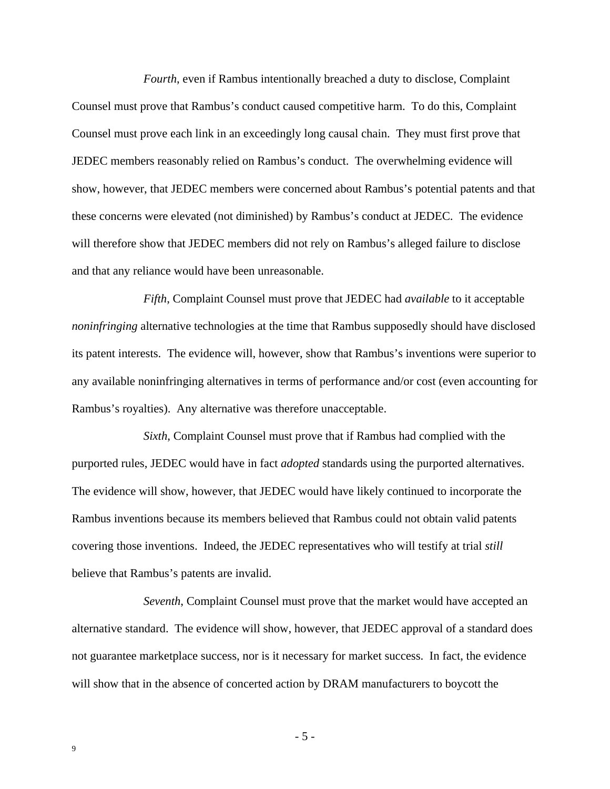*Fourth*, even if Rambus intentionally breached a duty to disclose, Complaint Counsel must prove that Rambus's conduct caused competitive harm. To do this, Complaint Counsel must prove each link in an exceedingly long causal chain. They must first prove that JEDEC members reasonably relied on Rambus's conduct. The overwhelming evidence will show, however, that JEDEC members were concerned about Rambus's potential patents and that these concerns were elevated (not diminished) by Rambus's conduct at JEDEC. The evidence will therefore show that JEDEC members did not rely on Rambus's alleged failure to disclose and that any reliance would have been unreasonable.

*Fifth*, Complaint Counsel must prove that JEDEC had *available* to it acceptable *noninfringing* alternative technologies at the time that Rambus supposedly should have disclosed its patent interests. The evidence will, however, show that Rambus's inventions were superior to any available noninfringing alternatives in terms of performance and/or cost (even accounting for Rambus's royalties). Any alternative was therefore unacceptable.

*Sixth*, Complaint Counsel must prove that if Rambus had complied with the purported rules, JEDEC would have in fact *adopted* standards using the purported alternatives. The evidence will show, however, that JEDEC would have likely continued to incorporate the Rambus inventions because its members believed that Rambus could not obtain valid patents covering those inventions. Indeed, the JEDEC representatives who will testify at trial *still* believe that Rambus's patents are invalid.

*Seventh*, Complaint Counsel must prove that the market would have accepted an alternative standard. The evidence will show, however, that JEDEC approval of a standard does not guarantee marketplace success, nor is it necessary for market success. In fact, the evidence will show that in the absence of concerted action by DRAM manufacturers to boycott the

- 5 -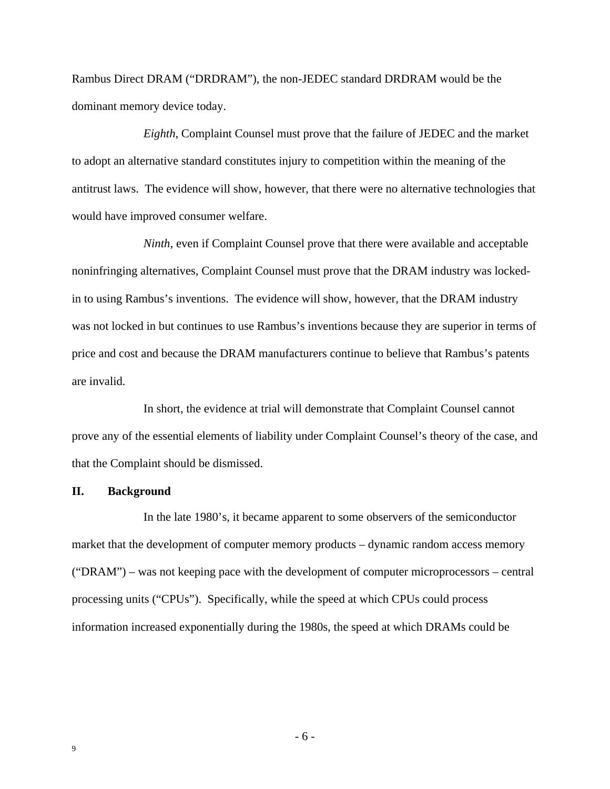Rambus Direct DRAM ("DRDRAM"), the non-JEDEC standard DRDRAM would be the dominant memory device today.

*Eighth*, Complaint Counsel must prove that the failure of JEDEC and the market to adopt an alternative standard constitutes injury to competition within the meaning of the antitrust laws. The evidence will show, however, that there were no alternative technologies that would have improved consumer welfare.

*Ninth*, even if Complaint Counsel prove that there were available and acceptable noninfringing alternatives, Complaint Counsel must prove that the DRAM industry was lockedin to using Rambus's inventions. The evidence will show, however, that the DRAM industry was not locked in but continues to use Rambus's inventions because they are superior in terms of price and cost and because the DRAM manufacturers continue to believe that Rambus's patents are invalid.

In short, the evidence at trial will demonstrate that Complaint Counsel cannot prove any of the essential elements of liability under Complaint Counsel's theory of the case, and that the Complaint should be dismissed.

#### **II. Background**

In the late 1980's, it became apparent to some observers of the semiconductor market that the development of computer memory products – dynamic random access memory ("DRAM") – was not keeping pace with the development of computer microprocessors – central processing units ("CPUs"). Specifically, while the speed at which CPUs could process information increased exponentially during the 1980s, the speed at which DRAMs could be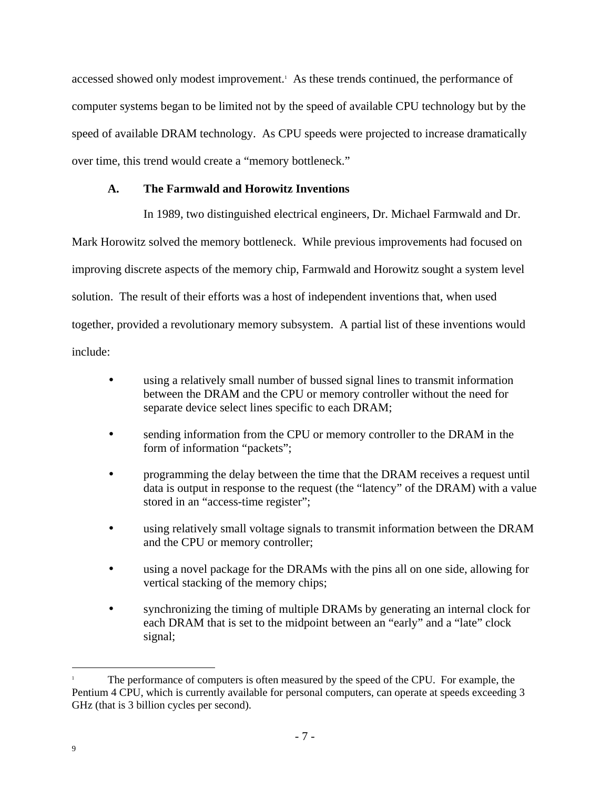accessed showed only modest improvement.<sup>1</sup> As these trends continued, the performance of computer systems began to be limited not by the speed of available CPU technology but by the speed of available DRAM technology. As CPU speeds were projected to increase dramatically over time, this trend would create a "memory bottleneck."

## **A. The Farmwald and Horowitz Inventions**

In 1989, two distinguished electrical engineers, Dr. Michael Farmwald and Dr.

Mark Horowitz solved the memory bottleneck. While previous improvements had focused on improving discrete aspects of the memory chip, Farmwald and Horowitz sought a system level solution. The result of their efforts was a host of independent inventions that, when used together, provided a revolutionary memory subsystem. A partial list of these inventions would include:

- using a relatively small number of bussed signal lines to transmit information between the DRAM and the CPU or memory controller without the need for separate device select lines specific to each DRAM;
- sending information from the CPU or memory controller to the DRAM in the form of information "packets";
- programming the delay between the time that the DRAM receives a request until data is output in response to the request (the "latency" of the DRAM) with a value stored in an "access-time register";
- using relatively small voltage signals to transmit information between the DRAM and the CPU or memory controller;
- using a novel package for the DRAMs with the pins all on one side, allowing for vertical stacking of the memory chips;
- synchronizing the timing of multiple DRAMs by generating an internal clock for each DRAM that is set to the midpoint between an "early" and a "late" clock signal;

<sup>1</sup> The performance of computers is often measured by the speed of the CPU. For example, the Pentium 4 CPU, which is currently available for personal computers, can operate at speeds exceeding 3 GHz (that is 3 billion cycles per second).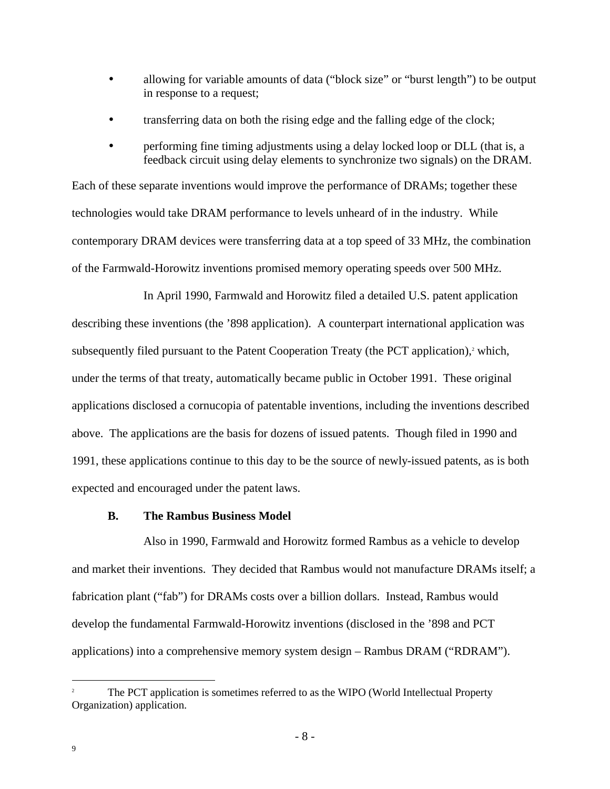- allowing for variable amounts of data ("block size" or "burst length") to be output in response to a request;
- transferring data on both the rising edge and the falling edge of the clock;
- performing fine timing adjustments using a delay locked loop or DLL (that is, a feedback circuit using delay elements to synchronize two signals) on the DRAM.

Each of these separate inventions would improve the performance of DRAMs; together these technologies would take DRAM performance to levels unheard of in the industry. While contemporary DRAM devices were transferring data at a top speed of 33 MHz, the combination of the Farmwald-Horowitz inventions promised memory operating speeds over 500 MHz.

In April 1990, Farmwald and Horowitz filed a detailed U.S. patent application describing these inventions (the '898 application). A counterpart international application was subsequently filed pursuant to the Patent Cooperation Treaty (the PCT application),<sup>2</sup> which, under the terms of that treaty, automatically became public in October 1991. These original applications disclosed a cornucopia of patentable inventions, including the inventions described above. The applications are the basis for dozens of issued patents. Though filed in 1990 and 1991, these applications continue to this day to be the source of newly-issued patents, as is both expected and encouraged under the patent laws.

#### **B. The Rambus Business Model**

Also in 1990, Farmwald and Horowitz formed Rambus as a vehicle to develop and market their inventions. They decided that Rambus would not manufacture DRAMs itself; a fabrication plant ("fab") for DRAMs costs over a billion dollars. Instead, Rambus would develop the fundamental Farmwald-Horowitz inventions (disclosed in the '898 and PCT applications) into a comprehensive memory system design – Rambus DRAM ("RDRAM").

<sup>2</sup> The PCT application is sometimes referred to as the WIPO (World Intellectual Property Organization) application.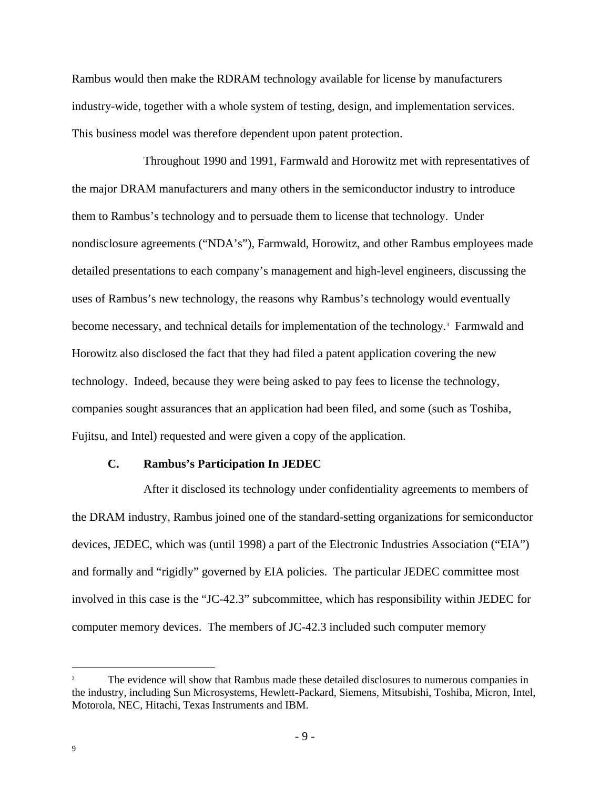Rambus would then make the RDRAM technology available for license by manufacturers industry-wide, together with a whole system of testing, design, and implementation services. This business model was therefore dependent upon patent protection.

Throughout 1990 and 1991, Farmwald and Horowitz met with representatives of the major DRAM manufacturers and many others in the semiconductor industry to introduce them to Rambus's technology and to persuade them to license that technology. Under nondisclosure agreements ("NDA's"), Farmwald, Horowitz, and other Rambus employees made detailed presentations to each company's management and high-level engineers, discussing the uses of Rambus's new technology, the reasons why Rambus's technology would eventually become necessary, and technical details for implementation of the technology.<sup>3</sup> Farmwald and Horowitz also disclosed the fact that they had filed a patent application covering the new technology. Indeed, because they were being asked to pay fees to license the technology, companies sought assurances that an application had been filed, and some (such as Toshiba, Fujitsu, and Intel) requested and were given a copy of the application.

#### **C. Rambus's Participation In JEDEC**

After it disclosed its technology under confidentiality agreements to members of the DRAM industry, Rambus joined one of the standard-setting organizations for semiconductor devices, JEDEC, which was (until 1998) a part of the Electronic Industries Association ("EIA") and formally and "rigidly" governed by EIA policies. The particular JEDEC committee most involved in this case is the "JC-42.3" subcommittee, which has responsibility within JEDEC for computer memory devices. The members of JC-42.3 included such computer memory

The evidence will show that Rambus made these detailed disclosures to numerous companies in the industry, including Sun Microsystems, Hewlett-Packard, Siemens, Mitsubishi, Toshiba, Micron, Intel, Motorola, NEC, Hitachi, Texas Instruments and IBM.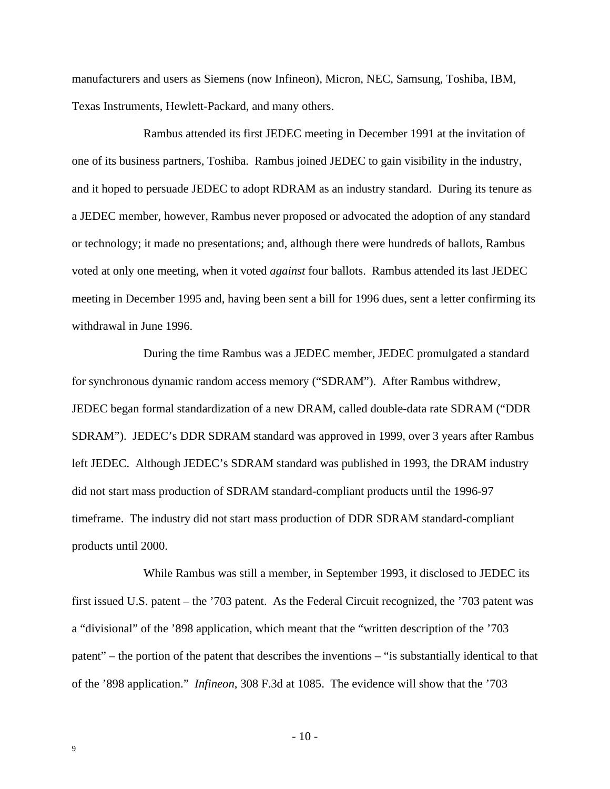manufacturers and users as Siemens (now Infineon), Micron, NEC, Samsung, Toshiba, IBM, Texas Instruments, Hewlett-Packard, and many others.

Rambus attended its first JEDEC meeting in December 1991 at the invitation of one of its business partners, Toshiba. Rambus joined JEDEC to gain visibility in the industry, and it hoped to persuade JEDEC to adopt RDRAM as an industry standard. During its tenure as a JEDEC member, however, Rambus never proposed or advocated the adoption of any standard or technology; it made no presentations; and, although there were hundreds of ballots, Rambus voted at only one meeting, when it voted *against* four ballots. Rambus attended its last JEDEC meeting in December 1995 and, having been sent a bill for 1996 dues, sent a letter confirming its withdrawal in June 1996.

During the time Rambus was a JEDEC member, JEDEC promulgated a standard for synchronous dynamic random access memory ("SDRAM"). After Rambus withdrew, JEDEC began formal standardization of a new DRAM, called double-data rate SDRAM ("DDR SDRAM"). JEDEC's DDR SDRAM standard was approved in 1999, over 3 years after Rambus left JEDEC. Although JEDEC's SDRAM standard was published in 1993, the DRAM industry did not start mass production of SDRAM standard-compliant products until the 1996-97 timeframe. The industry did not start mass production of DDR SDRAM standard-compliant products until 2000.

While Rambus was still a member, in September 1993, it disclosed to JEDEC its first issued U.S. patent – the '703 patent. As the Federal Circuit recognized, the '703 patent was a "divisional" of the '898 application, which meant that the "written description of the '703 patent" – the portion of the patent that describes the inventions – "is substantially identical to that of the '898 application." *Infineon*, 308 F.3d at 1085. The evidence will show that the '703

 $-10-$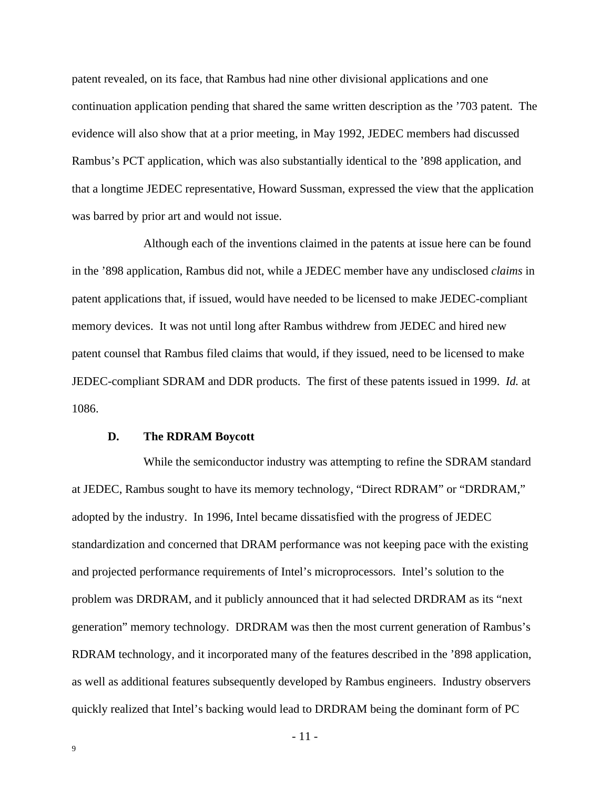patent revealed, on its face, that Rambus had nine other divisional applications and one continuation application pending that shared the same written description as the '703 patent. The evidence will also show that at a prior meeting, in May 1992, JEDEC members had discussed Rambus's PCT application, which was also substantially identical to the '898 application, and that a longtime JEDEC representative, Howard Sussman, expressed the view that the application was barred by prior art and would not issue.

Although each of the inventions claimed in the patents at issue here can be found in the '898 application, Rambus did not, while a JEDEC member have any undisclosed *claims* in patent applications that, if issued, would have needed to be licensed to make JEDEC-compliant memory devices. It was not until long after Rambus withdrew from JEDEC and hired new patent counsel that Rambus filed claims that would, if they issued, need to be licensed to make JEDEC-compliant SDRAM and DDR products. The first of these patents issued in 1999. *Id.* at 1086.

#### **D. The RDRAM Boycott**

While the semiconductor industry was attempting to refine the SDRAM standard at JEDEC, Rambus sought to have its memory technology, "Direct RDRAM" or "DRDRAM," adopted by the industry. In 1996, Intel became dissatisfied with the progress of JEDEC standardization and concerned that DRAM performance was not keeping pace with the existing and projected performance requirements of Intel's microprocessors. Intel's solution to the problem was DRDRAM, and it publicly announced that it had selected DRDRAM as its "next generation" memory technology. DRDRAM was then the most current generation of Rambus's RDRAM technology, and it incorporated many of the features described in the '898 application, as well as additional features subsequently developed by Rambus engineers. Industry observers quickly realized that Intel's backing would lead to DRDRAM being the dominant form of PC

- 11 -

9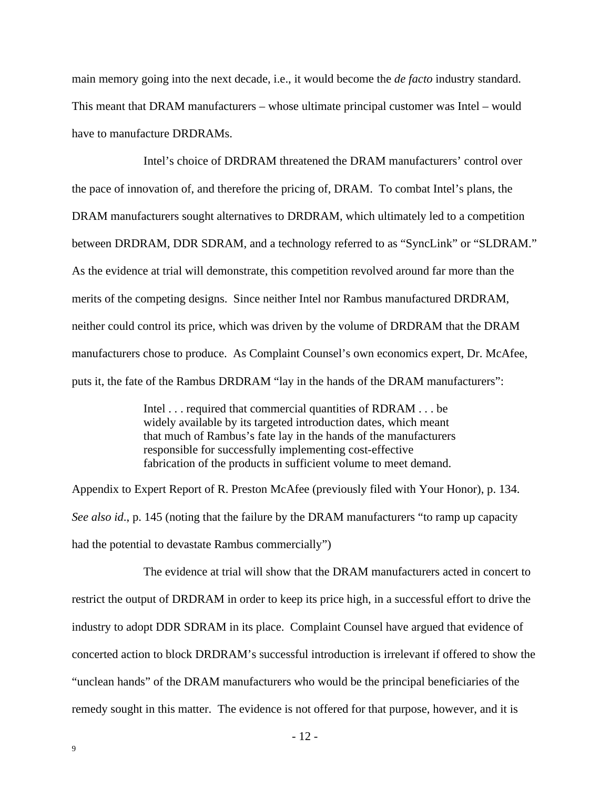main memory going into the next decade, i.e., it would become the *de facto* industry standard. This meant that DRAM manufacturers – whose ultimate principal customer was Intel – would have to manufacture DRDRAMs.

Intel's choice of DRDRAM threatened the DRAM manufacturers' control over the pace of innovation of, and therefore the pricing of, DRAM. To combat Intel's plans, the DRAM manufacturers sought alternatives to DRDRAM, which ultimately led to a competition between DRDRAM, DDR SDRAM, and a technology referred to as "SyncLink" or "SLDRAM." As the evidence at trial will demonstrate, this competition revolved around far more than the merits of the competing designs. Since neither Intel nor Rambus manufactured DRDRAM, neither could control its price, which was driven by the volume of DRDRAM that the DRAM manufacturers chose to produce. As Complaint Counsel's own economics expert, Dr. McAfee, puts it, the fate of the Rambus DRDRAM "lay in the hands of the DRAM manufacturers":

> Intel . . . required that commercial quantities of RDRAM . . . be widely available by its targeted introduction dates, which meant that much of Rambus's fate lay in the hands of the manufacturers responsible for successfully implementing cost-effective fabrication of the products in sufficient volume to meet demand.

Appendix to Expert Report of R. Preston McAfee (previously filed with Your Honor), p. 134. *See also id*., p. 145 (noting that the failure by the DRAM manufacturers "to ramp up capacity had the potential to devastate Rambus commercially")

The evidence at trial will show that the DRAM manufacturers acted in concert to restrict the output of DRDRAM in order to keep its price high, in a successful effort to drive the industry to adopt DDR SDRAM in its place. Complaint Counsel have argued that evidence of concerted action to block DRDRAM's successful introduction is irrelevant if offered to show the "unclean hands" of the DRAM manufacturers who would be the principal beneficiaries of the remedy sought in this matter. The evidence is not offered for that purpose, however, and it is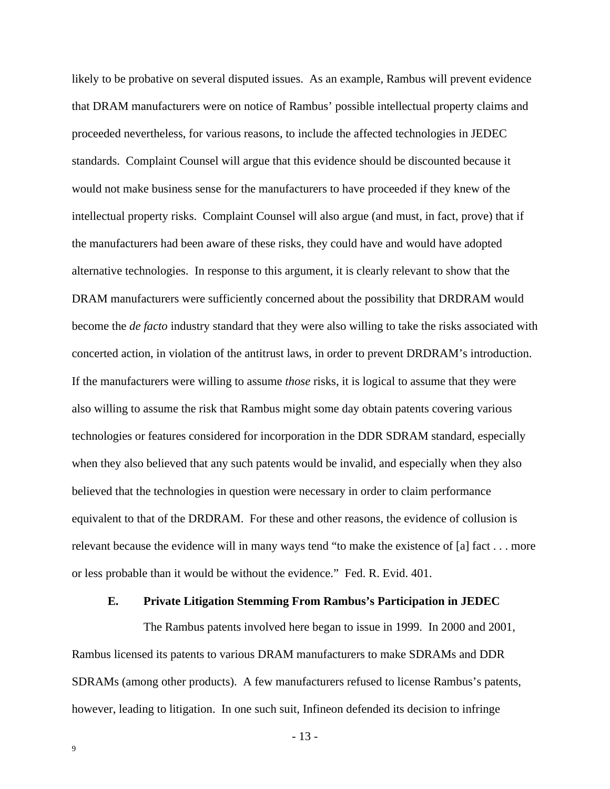likely to be probative on several disputed issues. As an example, Rambus will prevent evidence that DRAM manufacturers were on notice of Rambus' possible intellectual property claims and proceeded nevertheless, for various reasons, to include the affected technologies in JEDEC standards. Complaint Counsel will argue that this evidence should be discounted because it would not make business sense for the manufacturers to have proceeded if they knew of the intellectual property risks. Complaint Counsel will also argue (and must, in fact, prove) that if the manufacturers had been aware of these risks, they could have and would have adopted alternative technologies. In response to this argument, it is clearly relevant to show that the DRAM manufacturers were sufficiently concerned about the possibility that DRDRAM would become the *de facto* industry standard that they were also willing to take the risks associated with concerted action, in violation of the antitrust laws, in order to prevent DRDRAM's introduction. If the manufacturers were willing to assume *those* risks, it is logical to assume that they were also willing to assume the risk that Rambus might some day obtain patents covering various technologies or features considered for incorporation in the DDR SDRAM standard, especially when they also believed that any such patents would be invalid, and especially when they also believed that the technologies in question were necessary in order to claim performance equivalent to that of the DRDRAM. For these and other reasons, the evidence of collusion is relevant because the evidence will in many ways tend "to make the existence of [a] fact . . . more or less probable than it would be without the evidence." Fed. R. Evid. 401.

#### **E. Private Litigation Stemming From Rambus's Participation in JEDEC**

The Rambus patents involved here began to issue in 1999. In 2000 and 2001, Rambus licensed its patents to various DRAM manufacturers to make SDRAMs and DDR SDRAMs (among other products). A few manufacturers refused to license Rambus's patents, however, leading to litigation. In one such suit, Infineon defended its decision to infringe

- 13 -

9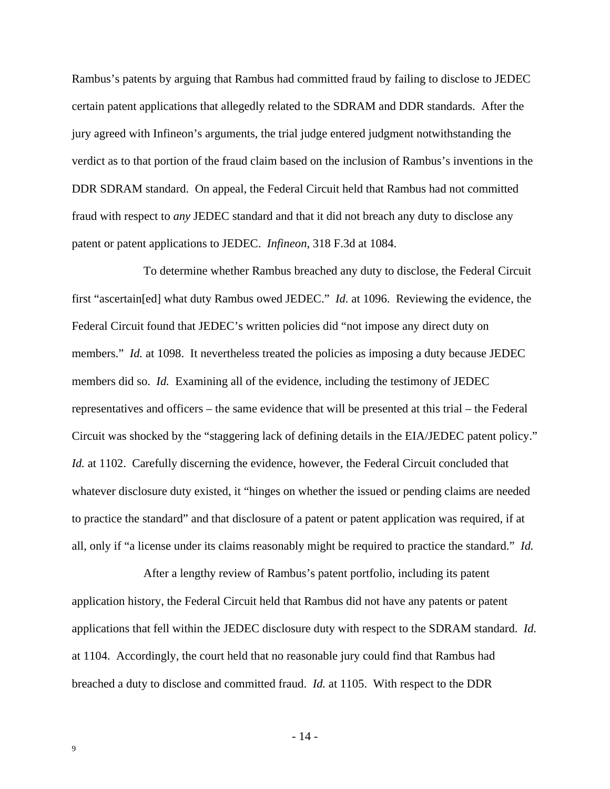Rambus's patents by arguing that Rambus had committed fraud by failing to disclose to JEDEC certain patent applications that allegedly related to the SDRAM and DDR standards. After the jury agreed with Infineon's arguments, the trial judge entered judgment notwithstanding the verdict as to that portion of the fraud claim based on the inclusion of Rambus's inventions in the DDR SDRAM standard. On appeal, the Federal Circuit held that Rambus had not committed fraud with respect to *any* JEDEC standard and that it did not breach any duty to disclose any patent or patent applications to JEDEC. *Infineon*, 318 F.3d at 1084.

To determine whether Rambus breached any duty to disclose, the Federal Circuit first "ascertain[ed] what duty Rambus owed JEDEC." *Id.* at 1096. Reviewing the evidence, the Federal Circuit found that JEDEC's written policies did "not impose any direct duty on members." *Id.* at 1098. It nevertheless treated the policies as imposing a duty because JEDEC members did so. *Id.* Examining all of the evidence, including the testimony of JEDEC representatives and officers – the same evidence that will be presented at this trial – the Federal Circuit was shocked by the "staggering lack of defining details in the EIA/JEDEC patent policy." *Id.* at 1102. Carefully discerning the evidence, however, the Federal Circuit concluded that whatever disclosure duty existed, it "hinges on whether the issued or pending claims are needed to practice the standard" and that disclosure of a patent or patent application was required, if at all, only if "a license under its claims reasonably might be required to practice the standard." *Id.*

After a lengthy review of Rambus's patent portfolio, including its patent application history, the Federal Circuit held that Rambus did not have any patents or patent applications that fell within the JEDEC disclosure duty with respect to the SDRAM standard. *Id.* at 1104. Accordingly, the court held that no reasonable jury could find that Rambus had breached a duty to disclose and committed fraud. *Id.* at 1105. With respect to the DDR

- 14 -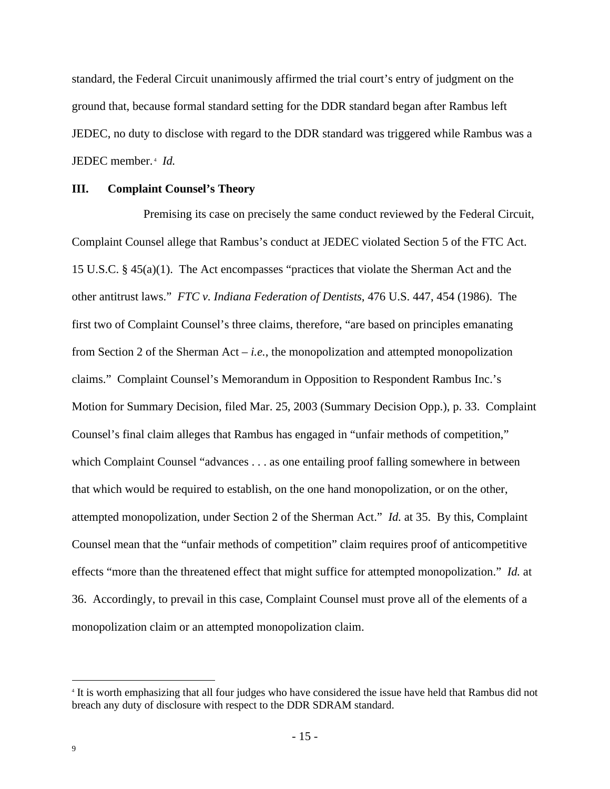standard, the Federal Circuit unanimously affirmed the trial court's entry of judgment on the ground that, because formal standard setting for the DDR standard began after Rambus left JEDEC, no duty to disclose with regard to the DDR standard was triggered while Rambus was a JEDEC member.<sup>4</sup> Id.

#### **III. Complaint Counsel's Theory**

Premising its case on precisely the same conduct reviewed by the Federal Circuit, Complaint Counsel allege that Rambus's conduct at JEDEC violated Section 5 of the FTC Act. 15 U.S.C. § 45(a)(1). The Act encompasses "practices that violate the Sherman Act and the other antitrust laws." *FTC v. Indiana Federation of Dentists*, 476 U.S. 447, 454 (1986). The first two of Complaint Counsel's three claims, therefore, "are based on principles emanating from Section 2 of the Sherman Act – *i.e.*, the monopolization and attempted monopolization claims." Complaint Counsel's Memorandum in Opposition to Respondent Rambus Inc.'s Motion for Summary Decision, filed Mar. 25, 2003 (Summary Decision Opp.), p. 33. Complaint Counsel's final claim alleges that Rambus has engaged in "unfair methods of competition," which Complaint Counsel "advances . . . as one entailing proof falling somewhere in between that which would be required to establish, on the one hand monopolization, or on the other, attempted monopolization, under Section 2 of the Sherman Act." *Id.* at 35. By this, Complaint Counsel mean that the "unfair methods of competition" claim requires proof of anticompetitive effects "more than the threatened effect that might suffice for attempted monopolization." *Id.* at 36. Accordingly, to prevail in this case, Complaint Counsel must prove all of the elements of a monopolization claim or an attempted monopolization claim.

<sup>&</sup>lt;sup>4</sup> It is worth emphasizing that all four judges who have considered the issue have held that Rambus did not breach any duty of disclosure with respect to the DDR SDRAM standard.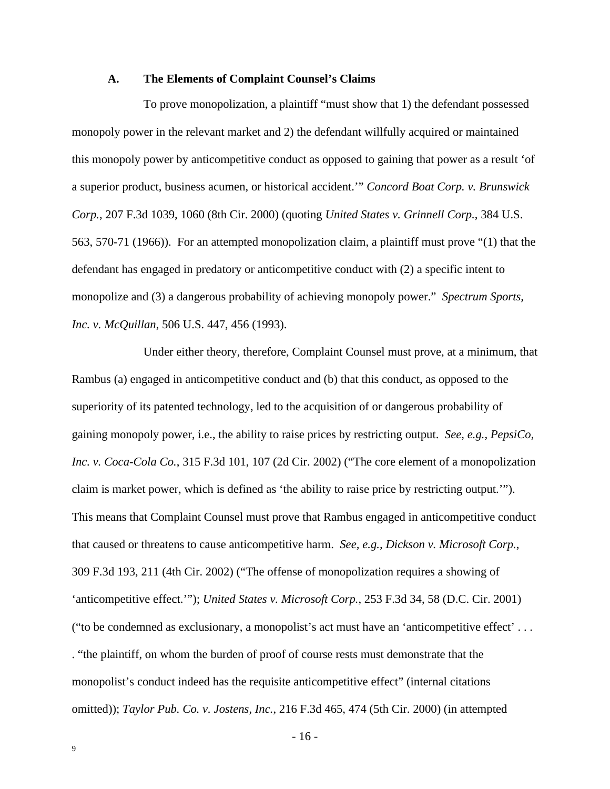#### **A. The Elements of Complaint Counsel's Claims**

To prove monopolization, a plaintiff "must show that 1) the defendant possessed monopoly power in the relevant market and 2) the defendant willfully acquired or maintained this monopoly power by anticompetitive conduct as opposed to gaining that power as a result 'of a superior product, business acumen, or historical accident.'" *Concord Boat Corp. v. Brunswick Corp.*, 207 F.3d 1039, 1060 (8th Cir. 2000) (quoting *United States v. Grinnell Corp.*, 384 U.S. 563, 570-71 (1966)). For an attempted monopolization claim, a plaintiff must prove "(1) that the defendant has engaged in predatory or anticompetitive conduct with (2) a specific intent to monopolize and (3) a dangerous probability of achieving monopoly power." *Spectrum Sports, Inc. v. McQuillan*, 506 U.S. 447, 456 (1993).

Under either theory, therefore, Complaint Counsel must prove, at a minimum, that Rambus (a) engaged in anticompetitive conduct and (b) that this conduct, as opposed to the superiority of its patented technology, led to the acquisition of or dangerous probability of gaining monopoly power, i.e., the ability to raise prices by restricting output. *See, e.g., PepsiCo, Inc. v. Coca-Cola Co.*, 315 F.3d 101, 107 (2d Cir. 2002) ("The core element of a monopolization claim is market power, which is defined as 'the ability to raise price by restricting output.'"). This means that Complaint Counsel must prove that Rambus engaged in anticompetitive conduct that caused or threatens to cause anticompetitive harm. *See, e.g., Dickson v. Microsoft Corp.*, 309 F.3d 193, 211 (4th Cir. 2002) ("The offense of monopolization requires a showing of 'anticompetitive effect.'"); *United States v. Microsoft Corp.*, 253 F.3d 34, 58 (D.C. Cir. 2001) ("to be condemned as exclusionary, a monopolist's act must have an 'anticompetitive effect' . . . . "the plaintiff, on whom the burden of proof of course rests must demonstrate that the monopolist's conduct indeed has the requisite anticompetitive effect" (internal citations omitted)); *Taylor Pub. Co. v. Jostens, Inc.*, 216 F.3d 465, 474 (5th Cir. 2000) (in attempted

- 16 -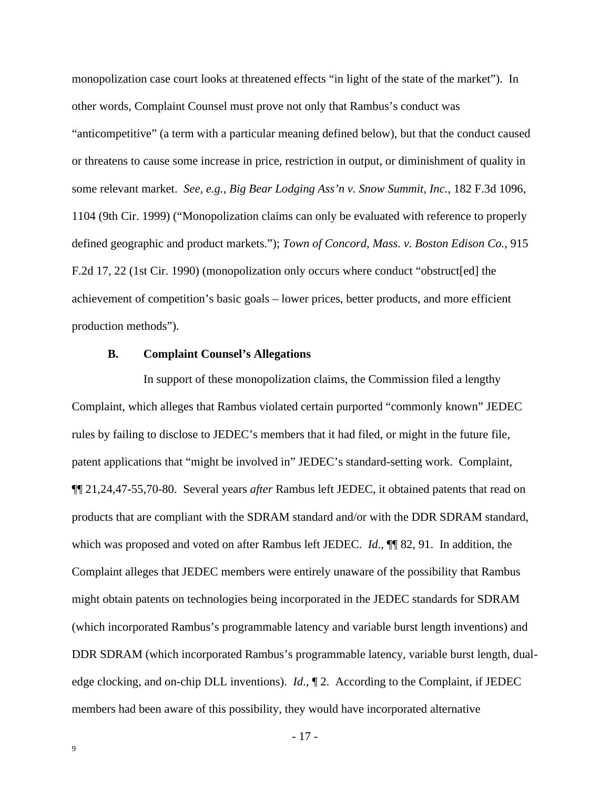monopolization case court looks at threatened effects "in light of the state of the market"). In other words, Complaint Counsel must prove not only that Rambus's conduct was "anticompetitive" (a term with a particular meaning defined below), but that the conduct caused or threatens to cause some increase in price, restriction in output, or diminishment of quality in some relevant market. *See, e.g., Big Bear Lodging Ass'n v. Snow Summit, Inc.*, 182 F.3d 1096, 1104 (9th Cir. 1999) ("Monopolization claims can only be evaluated with reference to properly defined geographic and product markets."); *Town of Concord, Mass. v. Boston Edison Co.*, 915 F.2d 17, 22 (1st Cir. 1990) (monopolization only occurs where conduct "obstruct[ed] the achievement of competition's basic goals – lower prices, better products, and more efficient production methods").

#### **B. Complaint Counsel's Allegations**

In support of these monopolization claims, the Commission filed a lengthy Complaint, which alleges that Rambus violated certain purported "commonly known" JEDEC rules by failing to disclose to JEDEC's members that it had filed, or might in the future file, patent applications that "might be involved in" JEDEC's standard-setting work. Complaint, ¶¶ 21,24,47-55,70-80. Several years *after* Rambus left JEDEC, it obtained patents that read on products that are compliant with the SDRAM standard and/or with the DDR SDRAM standard, which was proposed and voted on after Rambus left JEDEC. *Id*., ¶¶ 82, 91. In addition, the Complaint alleges that JEDEC members were entirely unaware of the possibility that Rambus might obtain patents on technologies being incorporated in the JEDEC standards for SDRAM (which incorporated Rambus's programmable latency and variable burst length inventions) and DDR SDRAM (which incorporated Rambus's programmable latency, variable burst length, dualedge clocking, and on-chip DLL inventions). *Id*., ¶ 2. According to the Complaint, if JEDEC members had been aware of this possibility, they would have incorporated alternative

- 17 -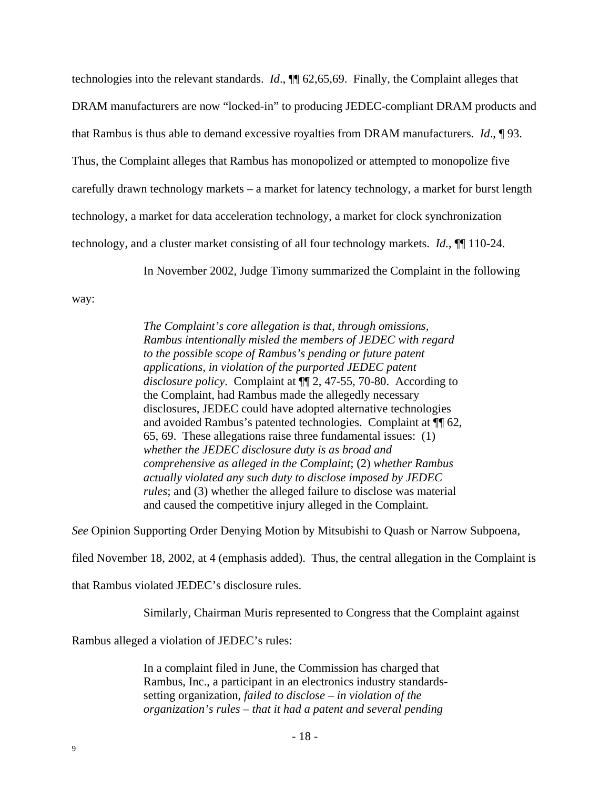technologies into the relevant standards. *Id*., ¶¶ 62,65,69. Finally, the Complaint alleges that DRAM manufacturers are now "locked-in" to producing JEDEC-compliant DRAM products and that Rambus is thus able to demand excessive royalties from DRAM manufacturers. *Id*., ¶ 93. Thus, the Complaint alleges that Rambus has monopolized or attempted to monopolize five carefully drawn technology markets – a market for latency technology, a market for burst length technology, a market for data acceleration technology, a market for clock synchronization technology, and a cluster market consisting of all four technology markets. *Id.*, ¶¶ 110-24.

In November 2002, Judge Timony summarized the Complaint in the following

way:

*The Complaint's core allegation is that, through omissions, Rambus intentionally misled the members of JEDEC with regard to the possible scope of Rambus's pending or future patent applications, in violation of the purported JEDEC patent disclosure policy*. Complaint at ¶¶ 2, 47-55, 70-80. According to the Complaint, had Rambus made the allegedly necessary disclosures, JEDEC could have adopted alternative technologies and avoided Rambus's patented technologies. Complaint at ¶¶ 62, 65, 69. These allegations raise three fundamental issues: (1) *whether the JEDEC disclosure duty is as broad and comprehensive as alleged in the Complaint*; (2) *whether Rambus actually violated any such duty to disclose imposed by JEDEC rules*; and (3) whether the alleged failure to disclose was material and caused the competitive injury alleged in the Complaint.

*See* Opinion Supporting Order Denying Motion by Mitsubishi to Quash or Narrow Subpoena,

filed November 18, 2002, at 4 (emphasis added). Thus, the central allegation in the Complaint is

that Rambus violated JEDEC's disclosure rules.

Similarly, Chairman Muris represented to Congress that the Complaint against

Rambus alleged a violation of JEDEC's rules:

In a complaint filed in June, the Commission has charged that Rambus, Inc., a participant in an electronics industry standardssetting organization, *failed to disclose – in violation of the organization's rules – that it had a patent and several pending*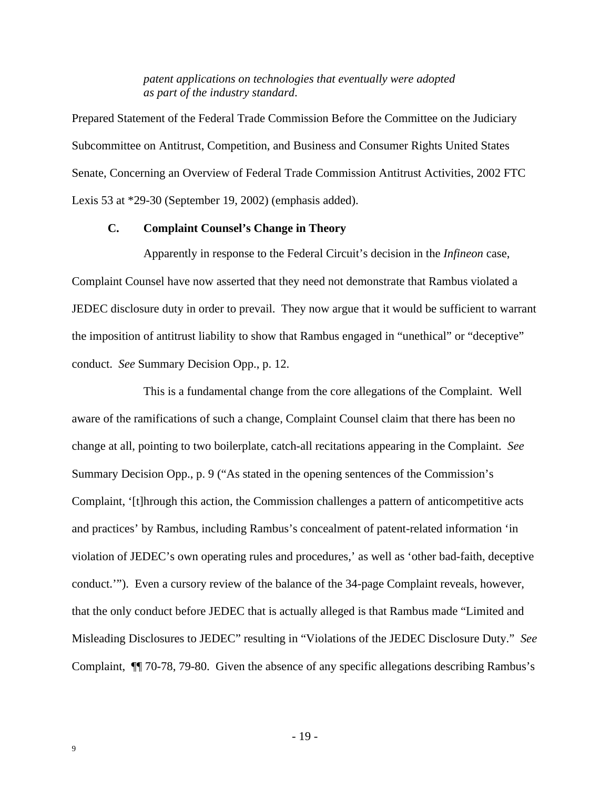*patent applications on technologies that eventually were adopted as part of the industry standard*.

Prepared Statement of the Federal Trade Commission Before the Committee on the Judiciary Subcommittee on Antitrust, Competition, and Business and Consumer Rights United States Senate, Concerning an Overview of Federal Trade Commission Antitrust Activities, 2002 FTC Lexis 53 at \*29-30 (September 19, 2002) (emphasis added).

#### **C. Complaint Counsel's Change in Theory**

Apparently in response to the Federal Circuit's decision in the *Infineon* case, Complaint Counsel have now asserted that they need not demonstrate that Rambus violated a JEDEC disclosure duty in order to prevail. They now argue that it would be sufficient to warrant the imposition of antitrust liability to show that Rambus engaged in "unethical" or "deceptive" conduct. *See* Summary Decision Opp., p. 12.

This is a fundamental change from the core allegations of the Complaint. Well aware of the ramifications of such a change, Complaint Counsel claim that there has been no change at all, pointing to two boilerplate, catch-all recitations appearing in the Complaint. *See* Summary Decision Opp., p. 9 ("As stated in the opening sentences of the Commission's Complaint, '[t]hrough this action, the Commission challenges a pattern of anticompetitive acts and practices' by Rambus, including Rambus's concealment of patent-related information 'in violation of JEDEC's own operating rules and procedures,' as well as 'other bad-faith, deceptive conduct.'"). Even a cursory review of the balance of the 34-page Complaint reveals, however, that the only conduct before JEDEC that is actually alleged is that Rambus made "Limited and Misleading Disclosures to JEDEC" resulting in "Violations of the JEDEC Disclosure Duty." *See* Complaint, ¶¶ 70-78, 79-80. Given the absence of any specific allegations describing Rambus's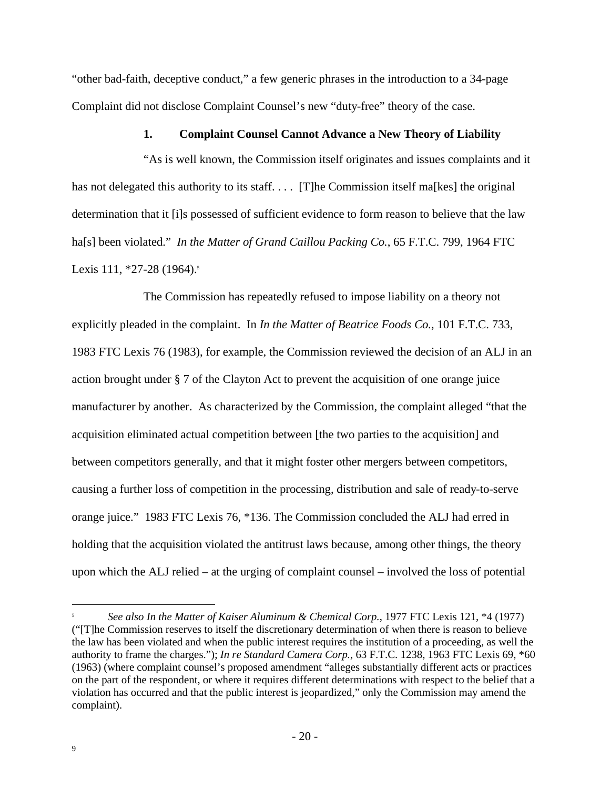"other bad-faith, deceptive conduct," a few generic phrases in the introduction to a 34-page Complaint did not disclose Complaint Counsel's new "duty-free" theory of the case.

#### **1. Complaint Counsel Cannot Advance a New Theory of Liability**

"As is well known, the Commission itself originates and issues complaints and it has not delegated this authority to its staff. . . . [T]he Commission itself ma[kes] the original determination that it [i]s possessed of sufficient evidence to form reason to believe that the law ha[s] been violated." *In the Matter of Grand Caillou Packing Co.*, 65 F.T.C. 799, 1964 FTC Lexis 111, \*27-28 (1964).<sup>5</sup>

The Commission has repeatedly refused to impose liability on a theory not explicitly pleaded in the complaint. In *In the Matter of Beatrice Foods Co.*, 101 F.T.C. 733, 1983 FTC Lexis 76 (1983), for example, the Commission reviewed the decision of an ALJ in an action brought under § 7 of the Clayton Act to prevent the acquisition of one orange juice manufacturer by another. As characterized by the Commission, the complaint alleged "that the acquisition eliminated actual competition between [the two parties to the acquisition] and between competitors generally, and that it might foster other mergers between competitors, causing a further loss of competition in the processing, distribution and sale of ready-to-serve orange juice." 1983 FTC Lexis 76, \*136. The Commission concluded the ALJ had erred in holding that the acquisition violated the antitrust laws because, among other things, the theory upon which the ALJ relied – at the urging of complaint counsel – involved the loss of potential

<sup>5</sup> *See also In the Matter of Kaiser Aluminum & Chemical Corp.*, 1977 FTC Lexis 121, \*4 (1977) ("[T]he Commission reserves to itself the discretionary determination of when there is reason to believe the law has been violated and when the public interest requires the institution of a proceeding, as well the authority to frame the charges."); *In re Standard Camera Corp.*, 63 F.T.C. 1238, 1963 FTC Lexis 69, \*60 (1963) (where complaint counsel's proposed amendment "alleges substantially different acts or practices on the part of the respondent, or where it requires different determinations with respect to the belief that a violation has occurred and that the public interest is jeopardized," only the Commission may amend the complaint).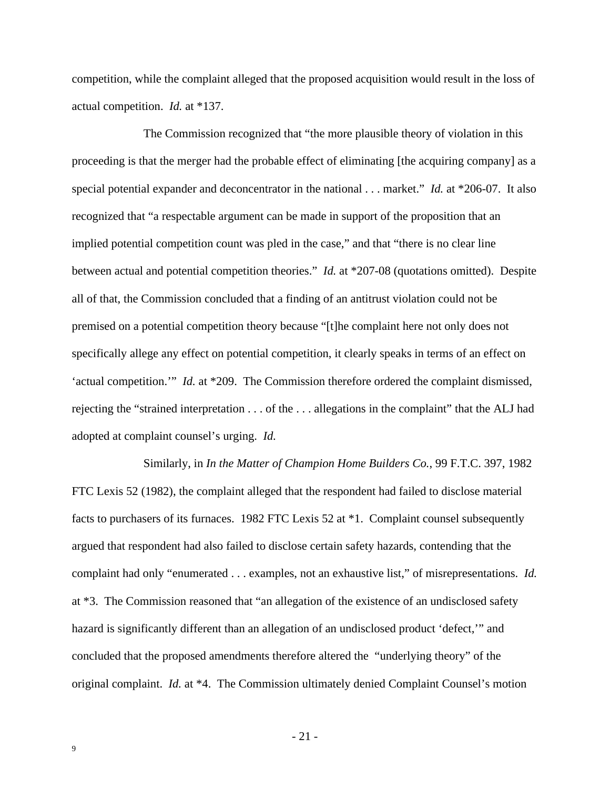competition, while the complaint alleged that the proposed acquisition would result in the loss of actual competition. *Id.* at \*137.

The Commission recognized that "the more plausible theory of violation in this proceeding is that the merger had the probable effect of eliminating [the acquiring company] as a special potential expander and deconcentrator in the national . . . market." *Id.* at \*206-07. It also recognized that "a respectable argument can be made in support of the proposition that an implied potential competition count was pled in the case," and that "there is no clear line between actual and potential competition theories." *Id.* at \*207-08 (quotations omitted). Despite all of that, the Commission concluded that a finding of an antitrust violation could not be premised on a potential competition theory because "[t]he complaint here not only does not specifically allege any effect on potential competition, it clearly speaks in terms of an effect on 'actual competition.'" *Id.* at \*209. The Commission therefore ordered the complaint dismissed, rejecting the "strained interpretation . . . of the . . . allegations in the complaint" that the ALJ had adopted at complaint counsel's urging. *Id.*

Similarly, in *In the Matter of Champion Home Builders Co.*, 99 F.T.C. 397, 1982 FTC Lexis 52 (1982), the complaint alleged that the respondent had failed to disclose material facts to purchasers of its furnaces. 1982 FTC Lexis 52 at \*1. Complaint counsel subsequently argued that respondent had also failed to disclose certain safety hazards, contending that the complaint had only "enumerated . . . examples, not an exhaustive list," of misrepresentations. *Id.*  at \*3. The Commission reasoned that "an allegation of the existence of an undisclosed safety hazard is significantly different than an allegation of an undisclosed product 'defect,'" and concluded that the proposed amendments therefore altered the "underlying theory" of the original complaint. *Id.* at \*4. The Commission ultimately denied Complaint Counsel's motion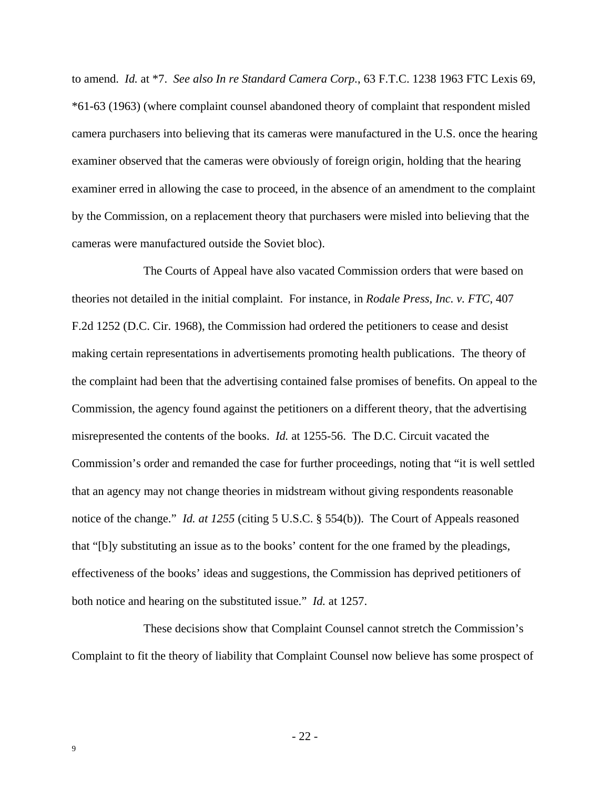to amend. *Id.* at \*7. *See also In re Standard Camera Corp.*, 63 F.T.C. 1238 1963 FTC Lexis 69, \*61-63 (1963) (where complaint counsel abandoned theory of complaint that respondent misled camera purchasers into believing that its cameras were manufactured in the U.S. once the hearing examiner observed that the cameras were obviously of foreign origin, holding that the hearing examiner erred in allowing the case to proceed, in the absence of an amendment to the complaint by the Commission, on a replacement theory that purchasers were misled into believing that the cameras were manufactured outside the Soviet bloc).

The Courts of Appeal have also vacated Commission orders that were based on theories not detailed in the initial complaint. For instance, in *Rodale Press, Inc. v. FTC*, 407 F.2d 1252 (D.C. Cir. 1968), the Commission had ordered the petitioners to cease and desist making certain representations in advertisements promoting health publications. The theory of the complaint had been that the advertising contained false promises of benefits. On appeal to the Commission, the agency found against the petitioners on a different theory, that the advertising misrepresented the contents of the books. *Id.* at 1255-56. The D.C. Circuit vacated the Commission's order and remanded the case for further proceedings, noting that "it is well settled that an agency may not change theories in midstream without giving respondents reasonable notice of the change." *Id. at 1255* (citing 5 U.S.C. § 554(b)). The Court of Appeals reasoned that "[b]y substituting an issue as to the books' content for the one framed by the pleadings, effectiveness of the books' ideas and suggestions, the Commission has deprived petitioners of both notice and hearing on the substituted issue." *Id.* at 1257.

These decisions show that Complaint Counsel cannot stretch the Commission's Complaint to fit the theory of liability that Complaint Counsel now believe has some prospect of

- 22 -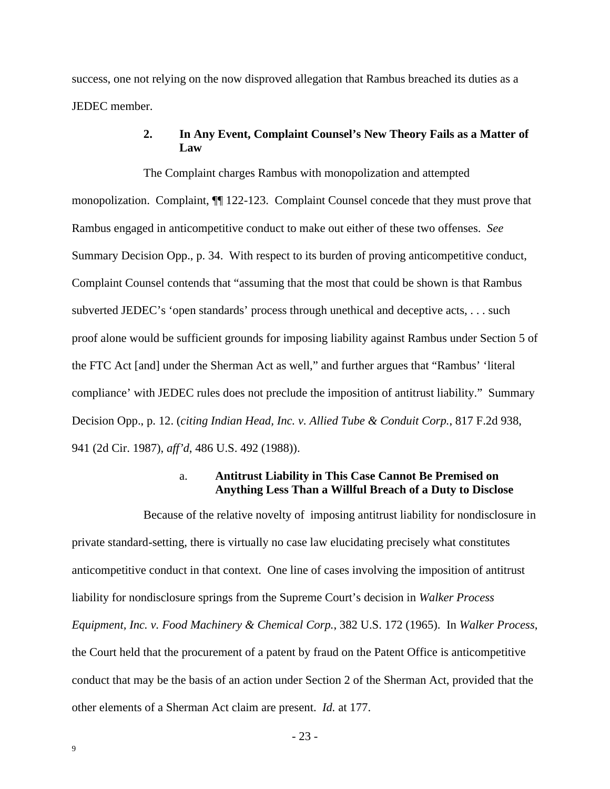success, one not relying on the now disproved allegation that Rambus breached its duties as a JEDEC member.

### **2. In Any Event, Complaint Counsel's New Theory Fails as a Matter of Law**

The Complaint charges Rambus with monopolization and attempted monopolization. Complaint, ¶¶ 122-123. Complaint Counsel concede that they must prove that Rambus engaged in anticompetitive conduct to make out either of these two offenses. *See* Summary Decision Opp., p. 34. With respect to its burden of proving anticompetitive conduct, Complaint Counsel contends that "assuming that the most that could be shown is that Rambus subverted JEDEC's 'open standards' process through unethical and deceptive acts, . . . such proof alone would be sufficient grounds for imposing liability against Rambus under Section 5 of the FTC Act [and] under the Sherman Act as well," and further argues that "Rambus' 'literal compliance' with JEDEC rules does not preclude the imposition of antitrust liability." Summary Decision Opp., p. 12. (*citing Indian Head, Inc. v. Allied Tube & Conduit Corp.*, 817 F.2d 938, 941 (2d Cir. 1987), *aff'd*, 486 U.S. 492 (1988)).

#### a. **Antitrust Liability in This Case Cannot Be Premised on Anything Less Than a Willful Breach of a Duty to Disclose**

Because of the relative novelty of imposing antitrust liability for nondisclosure in private standard-setting, there is virtually no case law elucidating precisely what constitutes anticompetitive conduct in that context. One line of cases involving the imposition of antitrust liability for nondisclosure springs from the Supreme Court's decision in *Walker Process Equipment, Inc. v. Food Machinery & Chemical Corp.*, 382 U.S. 172 (1965). In *Walker Process*, the Court held that the procurement of a patent by fraud on the Patent Office is anticompetitive conduct that may be the basis of an action under Section 2 of the Sherman Act, provided that the other elements of a Sherman Act claim are present. *Id.* at 177.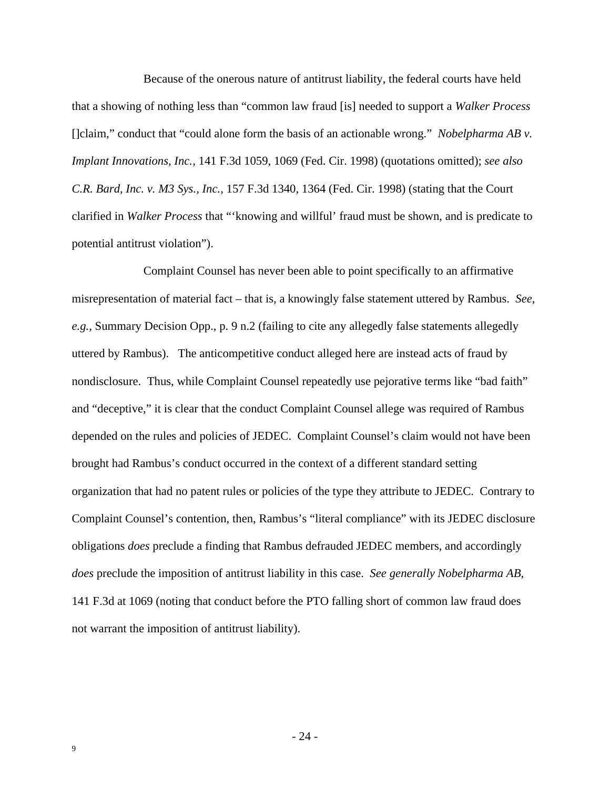Because of the onerous nature of antitrust liability, the federal courts have held that a showing of nothing less than "common law fraud [is] needed to support a *Walker Process* []claim," conduct that "could alone form the basis of an actionable wrong." *Nobelpharma AB v. Implant Innovations, Inc.*, 141 F.3d 1059, 1069 (Fed. Cir. 1998) (quotations omitted); *see also C.R. Bard, Inc. v. M3 Sys., Inc.*, 157 F.3d 1340, 1364 (Fed. Cir. 1998) (stating that the Court clarified in *Walker Process* that "'knowing and willful' fraud must be shown, and is predicate to potential antitrust violation").

Complaint Counsel has never been able to point specifically to an affirmative misrepresentation of material fact – that is, a knowingly false statement uttered by Rambus. *See, e.g.*, Summary Decision Opp., p. 9 n.2 (failing to cite any allegedly false statements allegedly uttered by Rambus). The anticompetitive conduct alleged here are instead acts of fraud by nondisclosure. Thus, while Complaint Counsel repeatedly use pejorative terms like "bad faith" and "deceptive," it is clear that the conduct Complaint Counsel allege was required of Rambus depended on the rules and policies of JEDEC. Complaint Counsel's claim would not have been brought had Rambus's conduct occurred in the context of a different standard setting organization that had no patent rules or policies of the type they attribute to JEDEC. Contrary to Complaint Counsel's contention, then, Rambus's "literal compliance" with its JEDEC disclosure obligations *does* preclude a finding that Rambus defrauded JEDEC members, and accordingly *does* preclude the imposition of antitrust liability in this case. *See generally Nobelpharma AB*, 141 F.3d at 1069 (noting that conduct before the PTO falling short of common law fraud does not warrant the imposition of antitrust liability).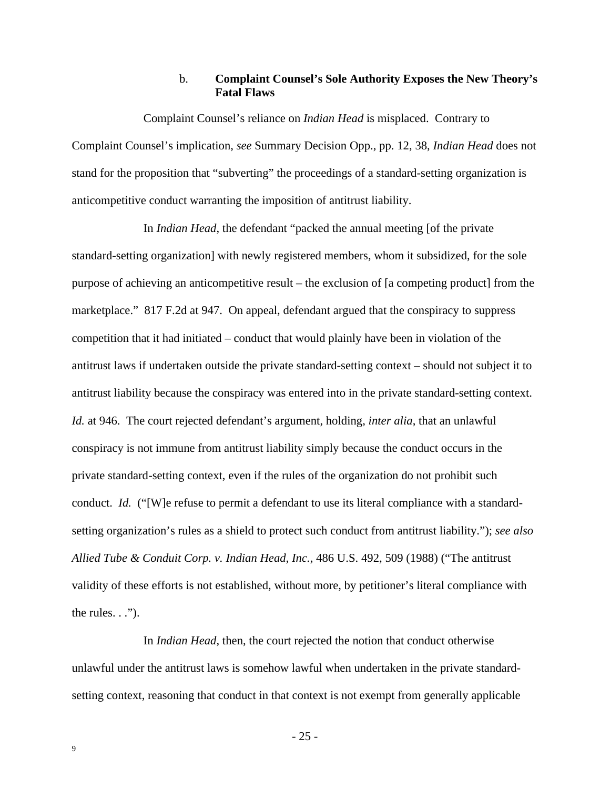#### b. **Complaint Counsel's Sole Authority Exposes the New Theory's Fatal Flaws**

Complaint Counsel's reliance on *Indian Head* is misplaced. Contrary to Complaint Counsel's implication, *see* Summary Decision Opp., pp. 12, 38, *Indian Head* does not stand for the proposition that "subverting" the proceedings of a standard-setting organization is anticompetitive conduct warranting the imposition of antitrust liability.

In *Indian Head*, the defendant "packed the annual meeting [of the private standard-setting organization] with newly registered members, whom it subsidized, for the sole purpose of achieving an anticompetitive result – the exclusion of [a competing product] from the marketplace." 817 F.2d at 947. On appeal, defendant argued that the conspiracy to suppress competition that it had initiated – conduct that would plainly have been in violation of the antitrust laws if undertaken outside the private standard-setting context – should not subject it to antitrust liability because the conspiracy was entered into in the private standard-setting context. *Id.* at 946. The court rejected defendant's argument, holding, *inter alia*, that an unlawful conspiracy is not immune from antitrust liability simply because the conduct occurs in the private standard-setting context, even if the rules of the organization do not prohibit such conduct. *Id.* ("[W]e refuse to permit a defendant to use its literal compliance with a standardsetting organization's rules as a shield to protect such conduct from antitrust liability."); *see also Allied Tube & Conduit Corp. v. Indian Head, Inc.*, 486 U.S. 492, 509 (1988) ("The antitrust validity of these efforts is not established, without more, by petitioner's literal compliance with the rules.  $\ldots$ ").

In *Indian Head*, then, the court rejected the notion that conduct otherwise unlawful under the antitrust laws is somehow lawful when undertaken in the private standardsetting context, reasoning that conduct in that context is not exempt from generally applicable

- 25 -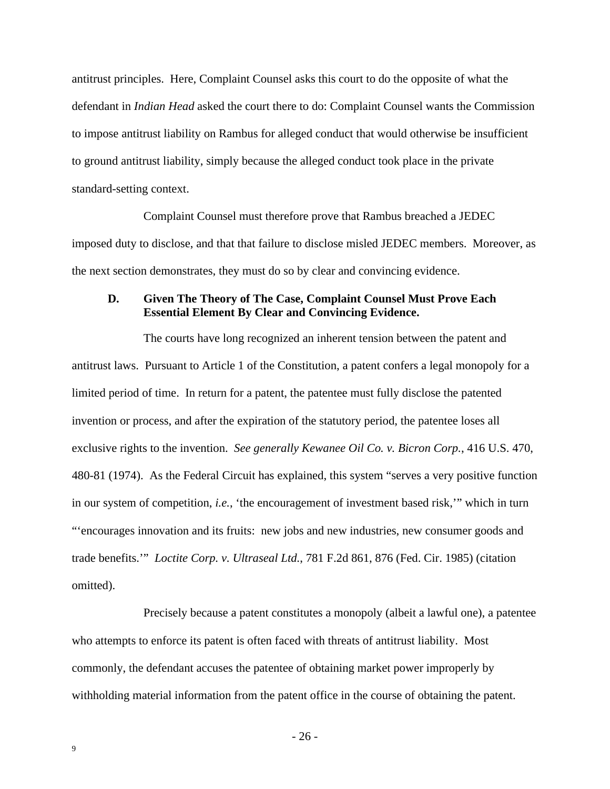antitrust principles. Here, Complaint Counsel asks this court to do the opposite of what the defendant in *Indian Head* asked the court there to do: Complaint Counsel wants the Commission to impose antitrust liability on Rambus for alleged conduct that would otherwise be insufficient to ground antitrust liability, simply because the alleged conduct took place in the private standard-setting context.

Complaint Counsel must therefore prove that Rambus breached a JEDEC imposed duty to disclose, and that that failure to disclose misled JEDEC members. Moreover, as the next section demonstrates, they must do so by clear and convincing evidence.

#### **D. Given The Theory of The Case, Complaint Counsel Must Prove Each Essential Element By Clear and Convincing Evidence.**

The courts have long recognized an inherent tension between the patent and antitrust laws. Pursuant to Article 1 of the Constitution, a patent confers a legal monopoly for a limited period of time. In return for a patent, the patentee must fully disclose the patented invention or process, and after the expiration of the statutory period, the patentee loses all exclusive rights to the invention. *See generally Kewanee Oil Co. v. Bicron Corp.*, 416 U.S. 470, 480-81 (1974). As the Federal Circuit has explained, this system "serves a very positive function in our system of competition, *i.e.*, 'the encouragement of investment based risk,'" which in turn "'encourages innovation and its fruits: new jobs and new industries, new consumer goods and trade benefits.'" *Loctite Corp. v. Ultraseal Ltd.*, 781 F.2d 861, 876 (Fed. Cir. 1985) (citation omitted).

Precisely because a patent constitutes a monopoly (albeit a lawful one), a patentee who attempts to enforce its patent is often faced with threats of antitrust liability. Most commonly, the defendant accuses the patentee of obtaining market power improperly by withholding material information from the patent office in the course of obtaining the patent.

- 26 -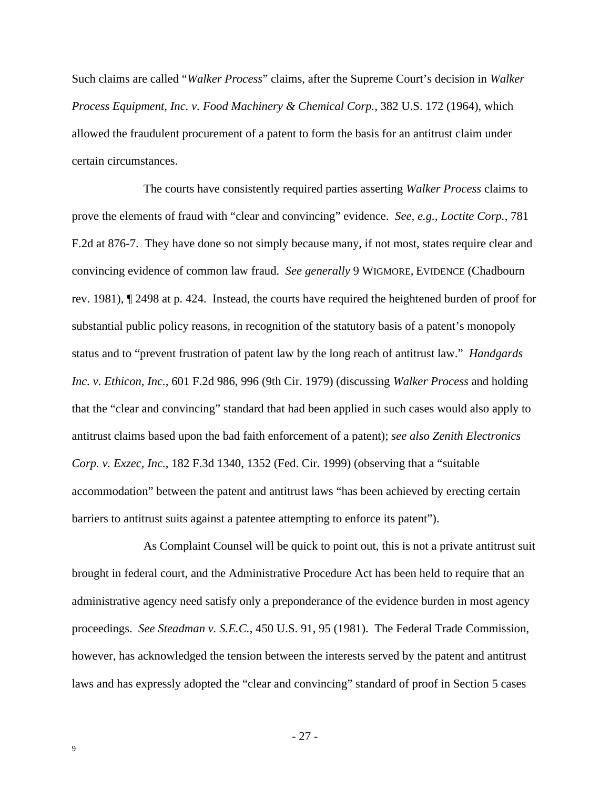Such claims are called "*Walker Process*" claims, after the Supreme Court's decision in *Walker Process Equipment, Inc. v. Food Machinery & Chemical Corp.*, 382 U.S. 172 (1964), which allowed the fraudulent procurement of a patent to form the basis for an antitrust claim under certain circumstances.

The courts have consistently required parties asserting *Walker Process* claims to prove the elements of fraud with "clear and convincing" evidence. *See, e.g., Loctite Corp.*, 781 F.2d at 876-7. They have done so not simply because many, if not most, states require clear and convincing evidence of common law fraud. *See generally* 9 WIGMORE, EVIDENCE (Chadbourn rev. 1981), ¶ 2498 at p. 424. Instead, the courts have required the heightened burden of proof for substantial public policy reasons, in recognition of the statutory basis of a patent's monopoly status and to "prevent frustration of patent law by the long reach of antitrust law." *Handgards Inc. v. Ethicon, Inc.*, 601 F.2d 986, 996 (9th Cir. 1979) (discussing *Walker Process* and holding that the "clear and convincing" standard that had been applied in such cases would also apply to antitrust claims based upon the bad faith enforcement of a patent); *see also Zenith Electronics Corp. v. Exzec, Inc.*, 182 F.3d 1340, 1352 (Fed. Cir. 1999) (observing that a "suitable accommodation" between the patent and antitrust laws "has been achieved by erecting certain barriers to antitrust suits against a patentee attempting to enforce its patent").

As Complaint Counsel will be quick to point out, this is not a private antitrust suit brought in federal court, and the Administrative Procedure Act has been held to require that an administrative agency need satisfy only a preponderance of the evidence burden in most agency proceedings. *See Steadman v. S.E.C.*, 450 U.S. 91, 95 (1981). The Federal Trade Commission, however, has acknowledged the tension between the interests served by the patent and antitrust laws and has expressly adopted the "clear and convincing" standard of proof in Section 5 cases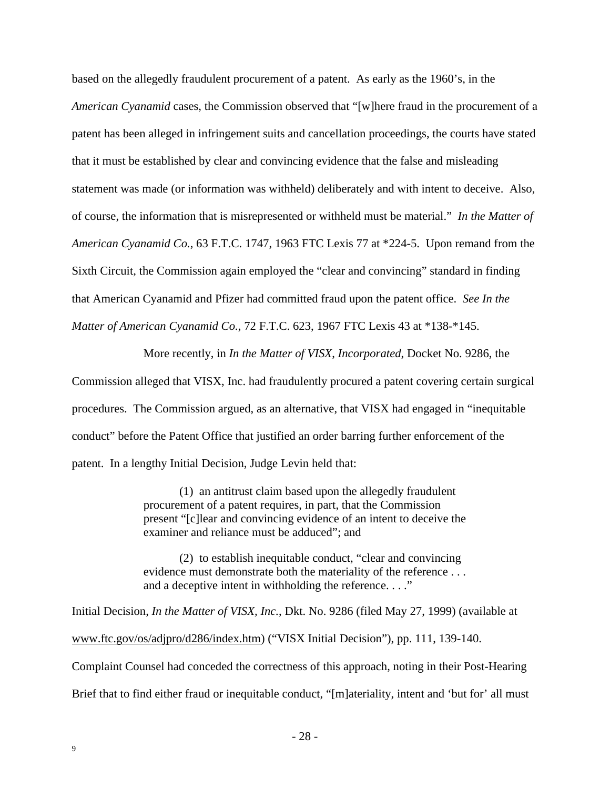based on the allegedly fraudulent procurement of a patent. As early as the 1960's, in the *American Cyanamid* cases, the Commission observed that "[w]here fraud in the procurement of a patent has been alleged in infringement suits and cancellation proceedings, the courts have stated that it must be established by clear and convincing evidence that the false and misleading statement was made (or information was withheld) deliberately and with intent to deceive. Also, of course, the information that is misrepresented or withheld must be material." *In the Matter of American Cyanamid Co.*, 63 F.T.C. 1747, 1963 FTC Lexis 77 at \*224-5. Upon remand from the Sixth Circuit, the Commission again employed the "clear and convincing" standard in finding that American Cyanamid and Pfizer had committed fraud upon the patent office. *See In the Matter of American Cyanamid Co.*, 72 F.T.C. 623, 1967 FTC Lexis 43 at \*138-\*145.

More recently, in *In the Matter of VISX*, *Incorporated*, Docket No. 9286, the Commission alleged that VISX, Inc. had fraudulently procured a patent covering certain surgical procedures. The Commission argued, as an alternative, that VISX had engaged in "inequitable conduct" before the Patent Office that justified an order barring further enforcement of the patent. In a lengthy Initial Decision, Judge Levin held that:

> (1) an antitrust claim based upon the allegedly fraudulent procurement of a patent requires, in part, that the Commission present "[c]lear and convincing evidence of an intent to deceive the examiner and reliance must be adduced"; and

> (2) to establish inequitable conduct, "clear and convincing evidence must demonstrate both the materiality of the reference . . . and a deceptive intent in withholding the reference. . . ."

Initial Decision, *In the Matter of VISX, Inc.*, Dkt. No. 9286 (filed May 27, 1999) (available at www.ftc.gov/os/adjpro/d286/index.htm) ("VISX Initial Decision"), pp. 111, 139-140. Complaint Counsel had conceded the correctness of this approach, noting in their Post-Hearing Brief that to find either fraud or inequitable conduct, "[m]ateriality, intent and 'but for' all must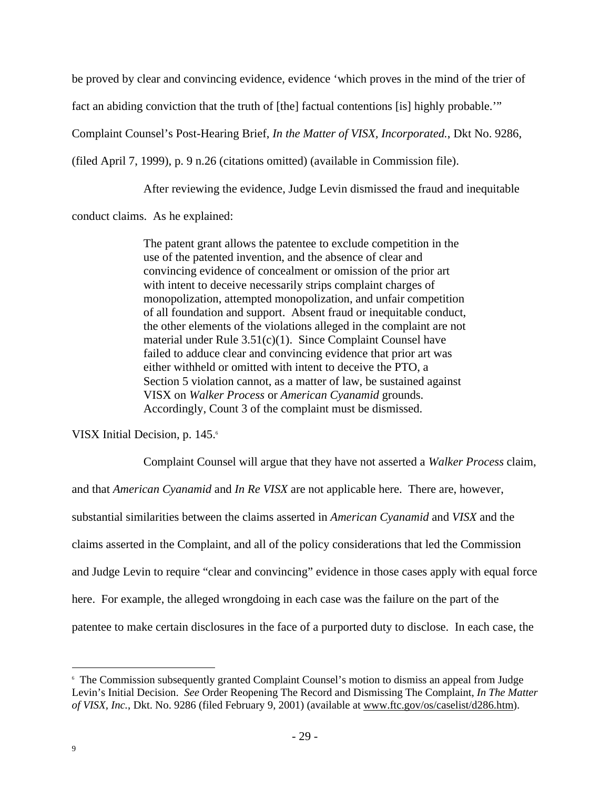be proved by clear and convincing evidence, evidence 'which proves in the mind of the trier of fact an abiding conviction that the truth of [the] factual contentions [is] highly probable.'"

Complaint Counsel's Post-Hearing Brief, *In the Matter of VISX, Incorporated.*, Dkt No. 9286,

(filed April 7, 1999), p. 9 n.26 (citations omitted) (available in Commission file).

After reviewing the evidence, Judge Levin dismissed the fraud and inequitable

conduct claims. As he explained:

The patent grant allows the patentee to exclude competition in the use of the patented invention, and the absence of clear and convincing evidence of concealment or omission of the prior art with intent to deceive necessarily strips complaint charges of monopolization, attempted monopolization, and unfair competition of all foundation and support. Absent fraud or inequitable conduct, the other elements of the violations alleged in the complaint are not material under Rule 3.51(c)(1). Since Complaint Counsel have failed to adduce clear and convincing evidence that prior art was either withheld or omitted with intent to deceive the PTO, a Section 5 violation cannot, as a matter of law, be sustained against VISX on *Walker Process* or *American Cyanamid* grounds. Accordingly, Count 3 of the complaint must be dismissed.

VISX Initial Decision, p. 145.6

Complaint Counsel will argue that they have not asserted a *Walker Process* claim,

and that *American Cyanamid* and *In Re VISX* are not applicable here. There are, however, substantial similarities between the claims asserted in *American Cyanamid* and *VISX* and the claims asserted in the Complaint, and all of the policy considerations that led the Commission and Judge Levin to require "clear and convincing" evidence in those cases apply with equal force here. For example, the alleged wrongdoing in each case was the failure on the part of the patentee to make certain disclosures in the face of a purported duty to disclose. In each case, the

<sup>&</sup>lt;sup>6</sup> The Commission subsequently granted Complaint Counsel's motion to dismiss an appeal from Judge Levin's Initial Decision. *See* Order Reopening The Record and Dismissing The Complaint, *In The Matter of VISX, Inc.*, Dkt. No. 9286 (filed February 9, 2001) (available at www.ftc.gov/os/caselist/d286.htm).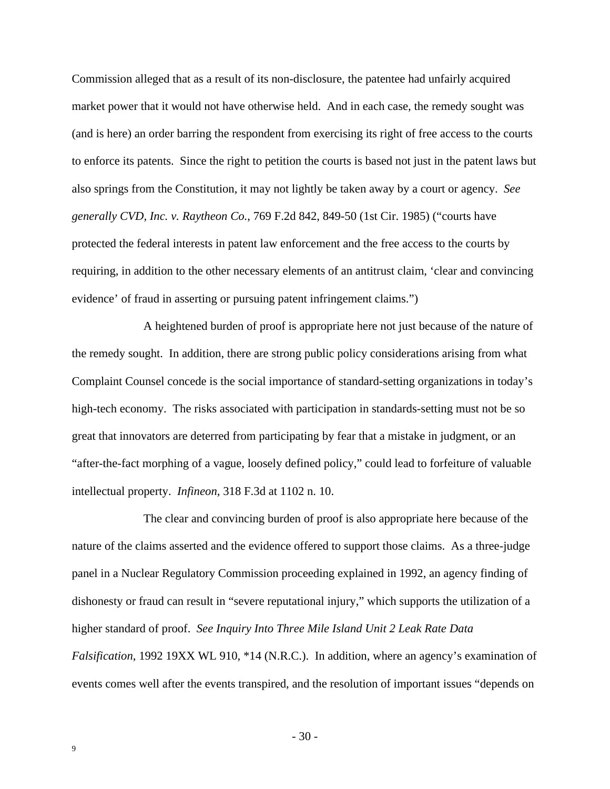Commission alleged that as a result of its non-disclosure, the patentee had unfairly acquired market power that it would not have otherwise held. And in each case, the remedy sought was (and is here) an order barring the respondent from exercising its right of free access to the courts to enforce its patents. Since the right to petition the courts is based not just in the patent laws but also springs from the Constitution, it may not lightly be taken away by a court or agency. *See generally CVD, Inc. v. Raytheon Co.*, 769 F.2d 842, 849-50 (1st Cir. 1985) ("courts have protected the federal interests in patent law enforcement and the free access to the courts by requiring, in addition to the other necessary elements of an antitrust claim, 'clear and convincing evidence' of fraud in asserting or pursuing patent infringement claims.")

A heightened burden of proof is appropriate here not just because of the nature of the remedy sought. In addition, there are strong public policy considerations arising from what Complaint Counsel concede is the social importance of standard-setting organizations in today's high-tech economy. The risks associated with participation in standards-setting must not be so great that innovators are deterred from participating by fear that a mistake in judgment, or an "after-the-fact morphing of a vague, loosely defined policy," could lead to forfeiture of valuable intellectual property. *Infineon*, 318 F.3d at 1102 n. 10.

The clear and convincing burden of proof is also appropriate here because of the nature of the claims asserted and the evidence offered to support those claims. As a three-judge panel in a Nuclear Regulatory Commission proceeding explained in 1992, an agency finding of dishonesty or fraud can result in "severe reputational injury," which supports the utilization of a higher standard of proof. *See Inquiry Into Three Mile Island Unit 2 Leak Rate Data Falsification*, 1992 19XX WL 910, \*14 (N.R.C.). In addition, where an agency's examination of events comes well after the events transpired, and the resolution of important issues "depends on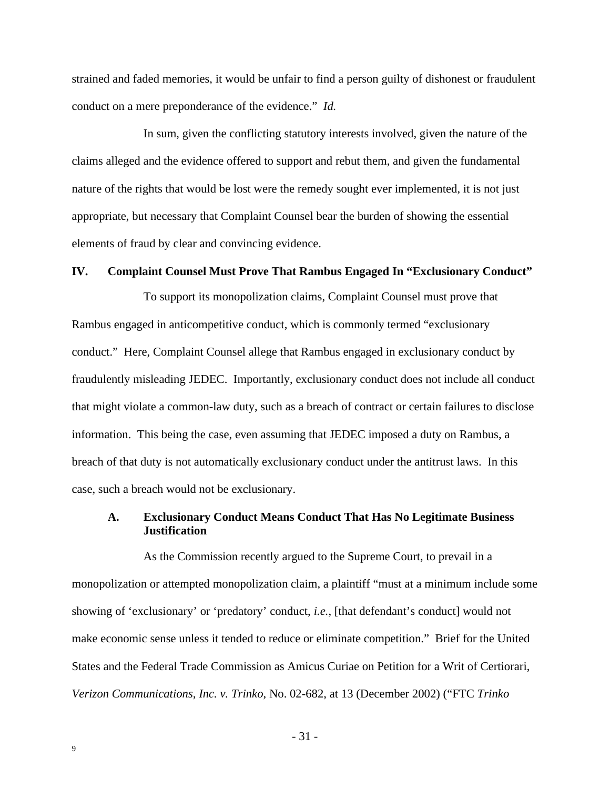strained and faded memories, it would be unfair to find a person guilty of dishonest or fraudulent conduct on a mere preponderance of the evidence." *Id.*

In sum, given the conflicting statutory interests involved, given the nature of the claims alleged and the evidence offered to support and rebut them, and given the fundamental nature of the rights that would be lost were the remedy sought ever implemented, it is not just appropriate, but necessary that Complaint Counsel bear the burden of showing the essential elements of fraud by clear and convincing evidence.

#### **IV. Complaint Counsel Must Prove That Rambus Engaged In "Exclusionary Conduct"**

To support its monopolization claims, Complaint Counsel must prove that Rambus engaged in anticompetitive conduct, which is commonly termed "exclusionary conduct." Here, Complaint Counsel allege that Rambus engaged in exclusionary conduct by fraudulently misleading JEDEC. Importantly, exclusionary conduct does not include all conduct that might violate a common-law duty, such as a breach of contract or certain failures to disclose information. This being the case, even assuming that JEDEC imposed a duty on Rambus, a breach of that duty is not automatically exclusionary conduct under the antitrust laws. In this case, such a breach would not be exclusionary.

### **A. Exclusionary Conduct Means Conduct That Has No Legitimate Business Justification**

As the Commission recently argued to the Supreme Court, to prevail in a monopolization or attempted monopolization claim, a plaintiff "must at a minimum include some showing of 'exclusionary' or 'predatory' conduct, *i.e.*, [that defendant's conduct] would not make economic sense unless it tended to reduce or eliminate competition." Brief for the United States and the Federal Trade Commission as Amicus Curiae on Petition for a Writ of Certiorari, *Verizon Communications, Inc. v. Trinko*, No. 02-682, at 13 (December 2002) ("FTC *Trinko*

- 31 -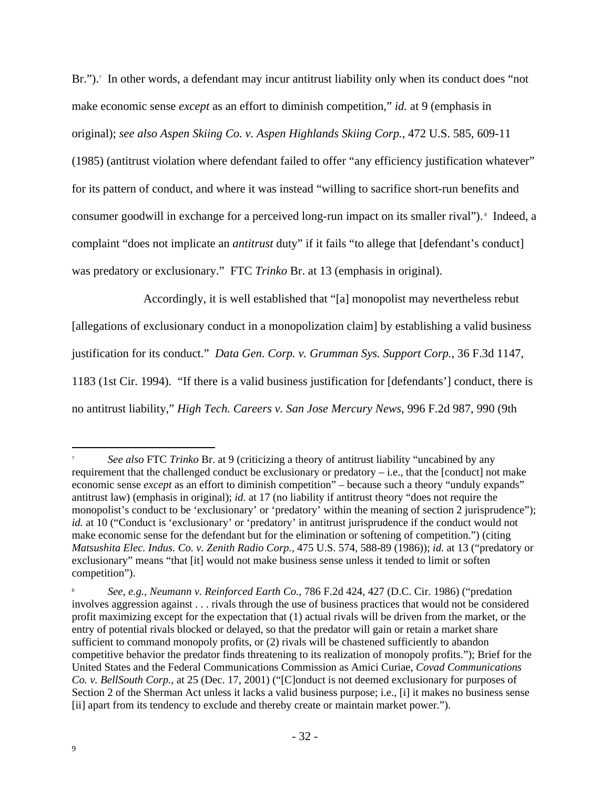Br.").<sup>7</sup> In other words, a defendant may incur antitrust liability only when its conduct does "not make economic sense *except* as an effort to diminish competition," *id.* at 9 (emphasis in original); *see also Aspen Skiing Co. v. Aspen Highlands Skiing Corp.*, 472 U.S. 585, 609-11

(1985) (antitrust violation where defendant failed to offer "any efficiency justification whatever" for its pattern of conduct, and where it was instead "willing to sacrifice short-run benefits and consumer goodwill in exchange for a perceived long-run impact on its smaller rival").<sup>8</sup> Indeed, a complaint "does not implicate an *antitrust* duty" if it fails "to allege that [defendant's conduct] was predatory or exclusionary." FTC *Trinko* Br. at 13 (emphasis in original).

Accordingly, it is well established that "[a] monopolist may nevertheless rebut

[allegations of exclusionary conduct in a monopolization claim] by establishing a valid business

justification for its conduct." *Data Gen. Corp. v. Grumman Sys. Support Corp.*, 36 F.3d 1147,

1183 (1st Cir. 1994). "If there is a valid business justification for [defendants'] conduct, there is no antitrust liability," *High Tech. Careers v. San Jose Mercury News*, 996 F.2d 987, 990 (9th

<sup>7</sup> *See also* FTC *Trinko* Br. at 9 (criticizing a theory of antitrust liability "uncabined by any requirement that the challenged conduct be exclusionary or predatory  $-i.e.,$  that the [conduct] not make economic sense *except* as an effort to diminish competition" – because such a theory "unduly expands" antitrust law) (emphasis in original); *id.* at 17 (no liability if antitrust theory "does not require the monopolist's conduct to be 'exclusionary' or 'predatory' within the meaning of section 2 jurisprudence"); *id.* at 10 ("Conduct is 'exclusionary' or 'predatory' in antitrust jurisprudence if the conduct would not make economic sense for the defendant but for the elimination or softening of competition.") (citing *Matsushita Elec. Indus. Co. v. Zenith Radio Corp.*, 475 U.S. 574, 588-89 (1986)); *id.* at 13 ("predatory or exclusionary" means "that [it] would not make business sense unless it tended to limit or soften competition").

<sup>8</sup> *See, e.g., Neumann v. Reinforced Earth Co.*, 786 F.2d 424, 427 (D.C. Cir. 1986) ("predation involves aggression against . . . rivals through the use of business practices that would not be considered profit maximizing except for the expectation that (1) actual rivals will be driven from the market, or the entry of potential rivals blocked or delayed, so that the predator will gain or retain a market share sufficient to command monopoly profits, or (2) rivals will be chastened sufficiently to abandon competitive behavior the predator finds threatening to its realization of monopoly profits."); Brief for the United States and the Federal Communications Commission as Amici Curiae, *Covad Communications Co. v. BellSouth Corp.*, at 25 (Dec. 17, 2001) ("[C]onduct is not deemed exclusionary for purposes of Section 2 of the Sherman Act unless it lacks a valid business purpose; i.e., [i] it makes no business sense [ii] apart from its tendency to exclude and thereby create or maintain market power.").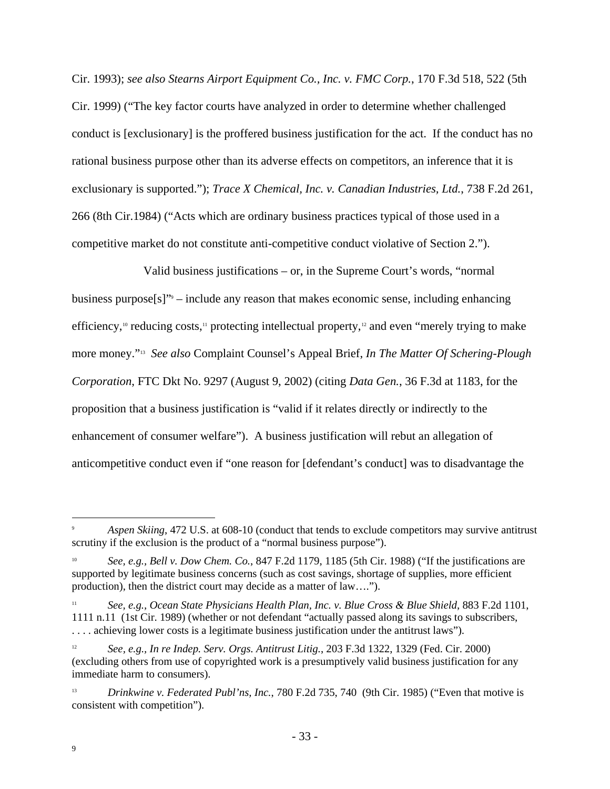Cir. 1993); *see also Stearns Airport Equipment Co., Inc. v. FMC Corp.*, 170 F.3d 518, 522 (5th Cir. 1999) ("The key factor courts have analyzed in order to determine whether challenged conduct is [exclusionary] is the proffered business justification for the act. If the conduct has no rational business purpose other than its adverse effects on competitors, an inference that it is exclusionary is supported."); *Trace X Chemical, Inc. v. Canadian Industries, Ltd.*, 738 F.2d 261, 266 (8th Cir.1984) ("Acts which are ordinary business practices typical of those used in a competitive market do not constitute anti-competitive conduct violative of Section 2.").

Valid business justifications – or, in the Supreme Court's words, "normal business purpose $[s]$ <sup>"9</sup> – include any reason that makes economic sense, including enhancing efficiency,<sup>10</sup> reducing costs,<sup>11</sup> protecting intellectual property,<sup>12</sup> and even "merely trying to make more money."<sup>13</sup> *See also* Complaint Counsel's Appeal Brief, *In The Matter Of Schering-Plough Corporation*, FTC Dkt No. 9297 (August 9, 2002) (citing *Data Gen.*, 36 F.3d at 1183, for the proposition that a business justification is "valid if it relates directly or indirectly to the enhancement of consumer welfare"). A business justification will rebut an allegation of anticompetitive conduct even if "one reason for [defendant's conduct] was to disadvantage the

Aspen Skiing, 472 U.S. at 608-10 (conduct that tends to exclude competitors may survive antitrust scrutiny if the exclusion is the product of a "normal business purpose").

<sup>10</sup> *See, e.g., Bell v. Dow Chem. Co.*, 847 F.2d 1179, 1185 (5th Cir. 1988) ("If the justifications are supported by legitimate business concerns (such as cost savings, shortage of supplies, more efficient production), then the district court may decide as a matter of law….").

<sup>11</sup> *See, e.g., Ocean State Physicians Health Plan, Inc. v. Blue Cross & Blue Shield*, 883 F.2d 1101, 1111 n.11 (1st Cir. 1989) (whether or not defendant "actually passed along its savings to subscribers, . . . . achieving lower costs is a legitimate business justification under the antitrust laws").

<sup>12</sup> *See, e.g., In re Indep. Serv. Orgs. Antitrust Litig.*, 203 F.3d 1322, 1329 (Fed. Cir. 2000) (excluding others from use of copyrighted work is a presumptively valid business justification for any immediate harm to consumers).

<sup>13</sup> *Drinkwine v. Federated Publ'ns, Inc.*, 780 F.2d 735, 740 (9th Cir. 1985) ("Even that motive is consistent with competition").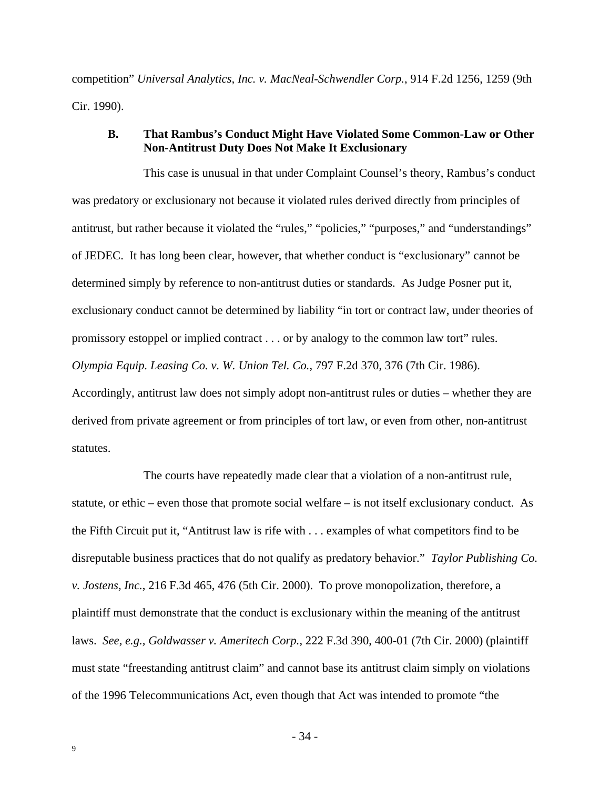competition" *Universal Analytics, Inc. v. MacNeal-Schwendler Corp.*, 914 F.2d 1256, 1259 (9th Cir. 1990).

### **B. That Rambus's Conduct Might Have Violated Some Common-Law or Other Non-Antitrust Duty Does Not Make It Exclusionary**

This case is unusual in that under Complaint Counsel's theory, Rambus's conduct was predatory or exclusionary not because it violated rules derived directly from principles of antitrust, but rather because it violated the "rules," "policies," "purposes," and "understandings" of JEDEC. It has long been clear, however, that whether conduct is "exclusionary" cannot be determined simply by reference to non-antitrust duties or standards. As Judge Posner put it, exclusionary conduct cannot be determined by liability "in tort or contract law, under theories of promissory estoppel or implied contract . . . or by analogy to the common law tort" rules. *Olympia Equip. Leasing Co. v. W. Union Tel. Co.*, 797 F.2d 370, 376 (7th Cir. 1986). Accordingly, antitrust law does not simply adopt non-antitrust rules or duties – whether they are derived from private agreement or from principles of tort law, or even from other, non-antitrust statutes.

The courts have repeatedly made clear that a violation of a non-antitrust rule, statute, or ethic – even those that promote social welfare – is not itself exclusionary conduct. As the Fifth Circuit put it, "Antitrust law is rife with . . . examples of what competitors find to be disreputable business practices that do not qualify as predatory behavior." *Taylor Publishing Co. v. Jostens, Inc.*, 216 F.3d 465, 476 (5th Cir. 2000). To prove monopolization, therefore, a plaintiff must demonstrate that the conduct is exclusionary within the meaning of the antitrust laws. *See, e.g., Goldwasser v. Ameritech Corp.*, 222 F.3d 390, 400-01 (7th Cir. 2000) (plaintiff must state "freestanding antitrust claim" and cannot base its antitrust claim simply on violations of the 1996 Telecommunications Act, even though that Act was intended to promote "the

- 34 -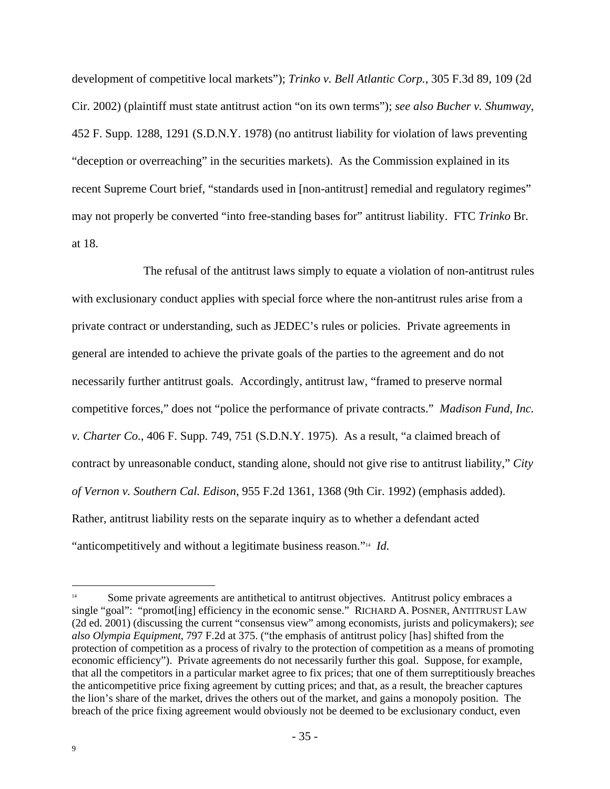development of competitive local markets"); *Trinko v. Bell Atlantic Corp.*, 305 F.3d 89, 109 (2d Cir. 2002) (plaintiff must state antitrust action "on its own terms"); *see also Bucher v. Shumway*, 452 F. Supp. 1288, 1291 (S.D.N.Y. 1978) (no antitrust liability for violation of laws preventing "deception or overreaching" in the securities markets). As the Commission explained in its recent Supreme Court brief, "standards used in [non-antitrust] remedial and regulatory regimes" may not properly be converted "into free-standing bases for" antitrust liability. FTC *Trinko* Br. at 18.

The refusal of the antitrust laws simply to equate a violation of non-antitrust rules with exclusionary conduct applies with special force where the non-antitrust rules arise from a private contract or understanding, such as JEDEC's rules or policies. Private agreements in general are intended to achieve the private goals of the parties to the agreement and do not necessarily further antitrust goals. Accordingly, antitrust law, "framed to preserve normal competitive forces," does not "police the performance of private contracts." *Madison Fund, Inc. v. Charter Co.*, 406 F. Supp. 749, 751 (S.D.N.Y. 1975). As a result, "a claimed breach of contract by unreasonable conduct, standing alone, should not give rise to antitrust liability," *City of Vernon v. Southern Cal. Edison*, 955 F.2d 1361, 1368 (9th Cir. 1992) (emphasis added). Rather, antitrust liability rests on the separate inquiry as to whether a defendant acted "anticompetitively and without a legitimate business reason."<sup>14</sup> *Id.*

<sup>&</sup>lt;sup>14</sup> Some private agreements are antithetical to antitrust objectives. Antitrust policy embraces a single "goal": "promot[ing] efficiency in the economic sense." RICHARD A. POSNER, ANTITRUST LAW (2d ed. 2001) (discussing the current "consensus view" among economists, jurists and policymakers); *see also Olympia Equipment*, 797 F.2d at 375. ("the emphasis of antitrust policy [has] shifted from the protection of competition as a process of rivalry to the protection of competition as a means of promoting economic efficiency"). Private agreements do not necessarily further this goal. Suppose, for example, that all the competitors in a particular market agree to fix prices; that one of them surreptitiously breaches the anticompetitive price fixing agreement by cutting prices; and that, as a result, the breacher captures the lion's share of the market, drives the others out of the market, and gains a monopoly position. The breach of the price fixing agreement would obviously not be deemed to be exclusionary conduct, even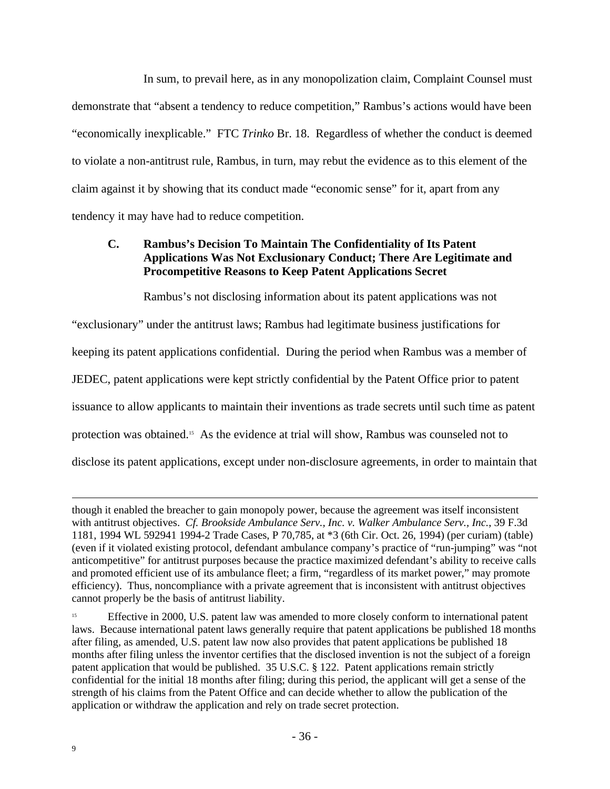In sum, to prevail here, as in any monopolization claim, Complaint Counsel must demonstrate that "absent a tendency to reduce competition," Rambus's actions would have been "economically inexplicable." FTC *Trinko* Br. 18. Regardless of whether the conduct is deemed to violate a non-antitrust rule, Rambus, in turn, may rebut the evidence as to this element of the claim against it by showing that its conduct made "economic sense" for it, apart from any tendency it may have had to reduce competition.

# **C. Rambus's Decision To Maintain The Confidentiality of Its Patent Applications Was Not Exclusionary Conduct; There Are Legitimate and Procompetitive Reasons to Keep Patent Applications Secret**

Rambus's not disclosing information about its patent applications was not

"exclusionary" under the antitrust laws; Rambus had legitimate business justifications for keeping its patent applications confidential. During the period when Rambus was a member of JEDEC, patent applications were kept strictly confidential by the Patent Office prior to patent issuance to allow applicants to maintain their inventions as trade secrets until such time as patent protection was obtained.15 As the evidence at trial will show, Rambus was counseled not to disclose its patent applications, except under non-disclosure agreements, in order to maintain that

though it enabled the breacher to gain monopoly power, because the agreement was itself inconsistent with antitrust objectives. *Cf. Brookside Ambulance Serv., Inc. v. Walker Ambulance Serv., Inc.*, 39 F.3d 1181, 1994 WL 592941 1994-2 Trade Cases, P 70,785, at \*3 (6th Cir. Oct. 26, 1994) (per curiam) (table) (even if it violated existing protocol, defendant ambulance company's practice of "run-jumping" was "not anticompetitive" for antitrust purposes because the practice maximized defendant's ability to receive calls and promoted efficient use of its ambulance fleet; a firm, "regardless of its market power," may promote efficiency). Thus, noncompliance with a private agreement that is inconsistent with antitrust objectives cannot properly be the basis of antitrust liability.

<sup>&</sup>lt;sup>15</sup> Effective in 2000, U.S. patent law was amended to more closely conform to international patent laws. Because international patent laws generally require that patent applications be published 18 months after filing, as amended, U.S. patent law now also provides that patent applications be published 18 months after filing unless the inventor certifies that the disclosed invention is not the subject of a foreign patent application that would be published. 35 U.S.C. § 122. Patent applications remain strictly confidential for the initial 18 months after filing; during this period, the applicant will get a sense of the strength of his claims from the Patent Office and can decide whether to allow the publication of the application or withdraw the application and rely on trade secret protection.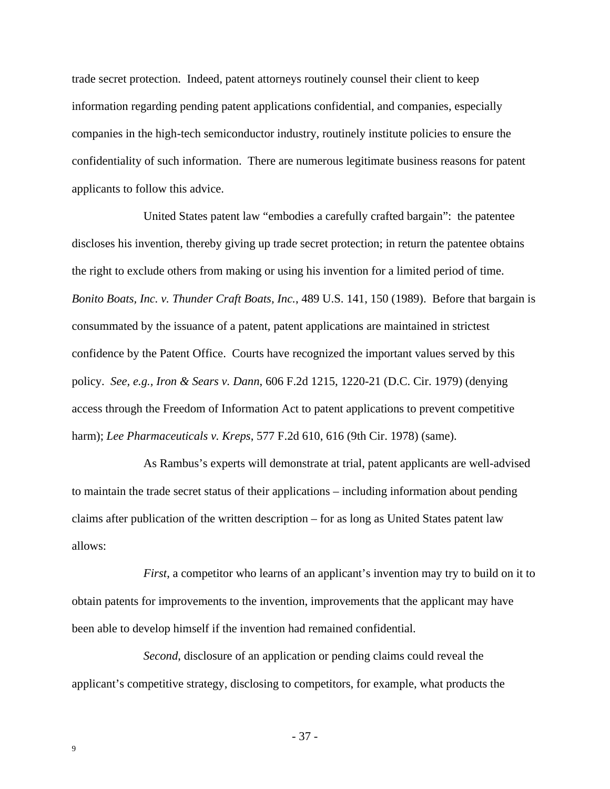trade secret protection. Indeed, patent attorneys routinely counsel their client to keep information regarding pending patent applications confidential, and companies, especially companies in the high-tech semiconductor industry, routinely institute policies to ensure the confidentiality of such information. There are numerous legitimate business reasons for patent applicants to follow this advice.

United States patent law "embodies a carefully crafted bargain": the patentee discloses his invention, thereby giving up trade secret protection; in return the patentee obtains the right to exclude others from making or using his invention for a limited period of time. *Bonito Boats, Inc. v. Thunder Craft Boats, Inc.*, 489 U.S. 141, 150 (1989). Before that bargain is consummated by the issuance of a patent, patent applications are maintained in strictest confidence by the Patent Office. Courts have recognized the important values served by this policy. *See, e.g., Iron & Sears v. Dann*, 606 F.2d 1215, 1220-21 (D.C. Cir. 1979) (denying access through the Freedom of Information Act to patent applications to prevent competitive harm); *Lee Pharmaceuticals v. Kreps*, 577 F.2d 610, 616 (9th Cir. 1978) (same).

As Rambus's experts will demonstrate at trial, patent applicants are well-advised to maintain the trade secret status of their applications – including information about pending claims after publication of the written description – for as long as United States patent law allows:

*First*, a competitor who learns of an applicant's invention may try to build on it to obtain patents for improvements to the invention, improvements that the applicant may have been able to develop himself if the invention had remained confidential.

*Second*, disclosure of an application or pending claims could reveal the applicant's competitive strategy, disclosing to competitors, for example, what products the

- 37 -

9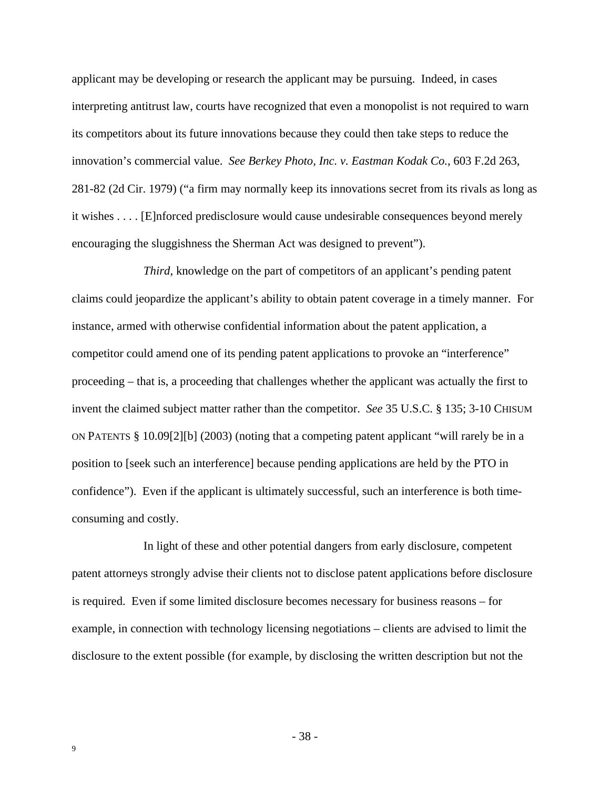applicant may be developing or research the applicant may be pursuing. Indeed, in cases interpreting antitrust law, courts have recognized that even a monopolist is not required to warn its competitors about its future innovations because they could then take steps to reduce the innovation's commercial value. *See Berkey Photo, Inc. v. Eastman Kodak Co.*, 603 F.2d 263, 281-82 (2d Cir. 1979) ("a firm may normally keep its innovations secret from its rivals as long as it wishes . . . . [E]nforced predisclosure would cause undesirable consequences beyond merely encouraging the sluggishness the Sherman Act was designed to prevent").

*Third*, knowledge on the part of competitors of an applicant's pending patent claims could jeopardize the applicant's ability to obtain patent coverage in a timely manner. For instance, armed with otherwise confidential information about the patent application, a competitor could amend one of its pending patent applications to provoke an "interference" proceeding – that is, a proceeding that challenges whether the applicant was actually the first to invent the claimed subject matter rather than the competitor. *See* 35 U.S.C. § 135; 3-10 CHISUM ON PATENTS § 10.09[2][b] (2003) (noting that a competing patent applicant "will rarely be in a position to [seek such an interference] because pending applications are held by the PTO in confidence"). Even if the applicant is ultimately successful, such an interference is both timeconsuming and costly.

In light of these and other potential dangers from early disclosure, competent patent attorneys strongly advise their clients not to disclose patent applications before disclosure is required. Even if some limited disclosure becomes necessary for business reasons – for example, in connection with technology licensing negotiations – clients are advised to limit the disclosure to the extent possible (for example, by disclosing the written description but not the

- 38 -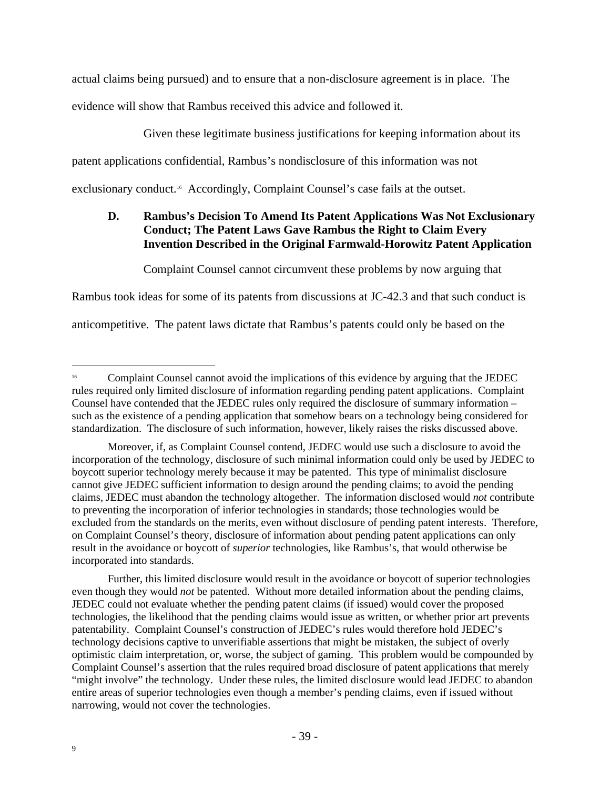actual claims being pursued) and to ensure that a non-disclosure agreement is in place. The evidence will show that Rambus received this advice and followed it.

Given these legitimate business justifications for keeping information about its

patent applications confidential, Rambus's nondisclosure of this information was not

exclusionary conduct.<sup>16</sup> Accordingly, Complaint Counsel's case fails at the outset.

# **D. Rambus's Decision To Amend Its Patent Applications Was Not Exclusionary Conduct; The Patent Laws Gave Rambus the Right to Claim Every Invention Described in the Original Farmwald-Horowitz Patent Application**

Complaint Counsel cannot circumvent these problems by now arguing that

Rambus took ideas for some of its patents from discussions at JC-42.3 and that such conduct is

anticompetitive. The patent laws dictate that Rambus's patents could only be based on the

Further, this limited disclosure would result in the avoidance or boycott of superior technologies even though they would *not* be patented. Without more detailed information about the pending claims, JEDEC could not evaluate whether the pending patent claims (if issued) would cover the proposed technologies, the likelihood that the pending claims would issue as written, or whether prior art prevents patentability. Complaint Counsel's construction of JEDEC's rules would therefore hold JEDEC's technology decisions captive to unverifiable assertions that might be mistaken, the subject of overly optimistic claim interpretation, or, worse, the subject of gaming. This problem would be compounded by Complaint Counsel's assertion that the rules required broad disclosure of patent applications that merely "might involve" the technology. Under these rules, the limited disclosure would lead JEDEC to abandon entire areas of superior technologies even though a member's pending claims, even if issued without narrowing, would not cover the technologies.

<sup>&</sup>lt;sup>16</sup> Complaint Counsel cannot avoid the implications of this evidence by arguing that the JEDEC rules required only limited disclosure of information regarding pending patent applications. Complaint Counsel have contended that the JEDEC rules only required the disclosure of summary information – such as the existence of a pending application that somehow bears on a technology being considered for standardization. The disclosure of such information, however, likely raises the risks discussed above.

Moreover, if, as Complaint Counsel contend, JEDEC would use such a disclosure to avoid the incorporation of the technology, disclosure of such minimal information could only be used by JEDEC to boycott superior technology merely because it may be patented. This type of minimalist disclosure cannot give JEDEC sufficient information to design around the pending claims; to avoid the pending claims, JEDEC must abandon the technology altogether. The information disclosed would *not* contribute to preventing the incorporation of inferior technologies in standards; those technologies would be excluded from the standards on the merits, even without disclosure of pending patent interests. Therefore, on Complaint Counsel's theory, disclosure of information about pending patent applications can only result in the avoidance or boycott of *superior* technologies, like Rambus's, that would otherwise be incorporated into standards.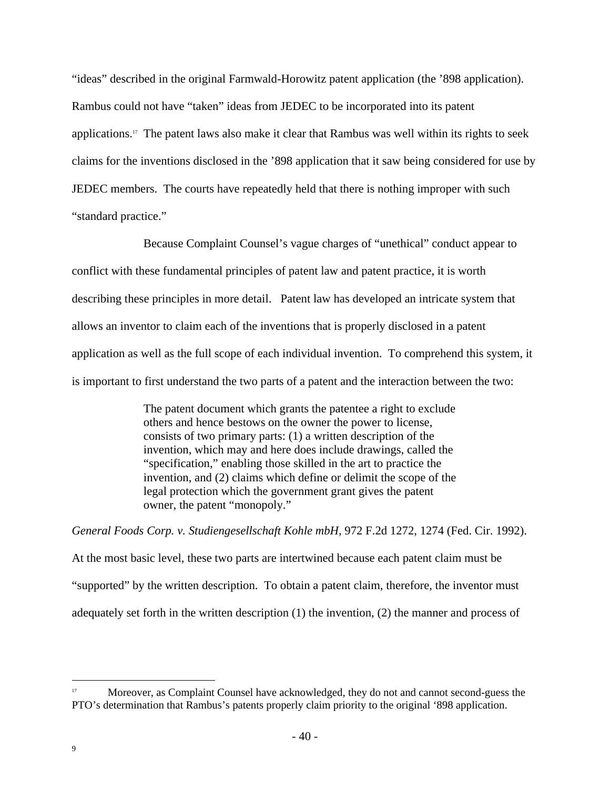"ideas" described in the original Farmwald-Horowitz patent application (the '898 application). Rambus could not have "taken" ideas from JEDEC to be incorporated into its patent applications.17 The patent laws also make it clear that Rambus was well within its rights to seek claims for the inventions disclosed in the '898 application that it saw being considered for use by JEDEC members. The courts have repeatedly held that there is nothing improper with such "standard practice."

Because Complaint Counsel's vague charges of "unethical" conduct appear to conflict with these fundamental principles of patent law and patent practice, it is worth describing these principles in more detail. Patent law has developed an intricate system that allows an inventor to claim each of the inventions that is properly disclosed in a patent application as well as the full scope of each individual invention. To comprehend this system, it is important to first understand the two parts of a patent and the interaction between the two:

> The patent document which grants the patentee a right to exclude others and hence bestows on the owner the power to license, consists of two primary parts: (1) a written description of the invention, which may and here does include drawings, called the "specification," enabling those skilled in the art to practice the invention, and (2) claims which define or delimit the scope of the legal protection which the government grant gives the patent owner, the patent "monopoly."

*General Foods Corp. v. Studiengesellschaft Kohle mbH*, 972 F.2d 1272, 1274 (Fed. Cir. 1992).

At the most basic level, these two parts are intertwined because each patent claim must be "supported" by the written description. To obtain a patent claim, therefore, the inventor must adequately set forth in the written description (1) the invention, (2) the manner and process of

Moreover, as Complaint Counsel have acknowledged, they do not and cannot second-guess the PTO's determination that Rambus's patents properly claim priority to the original '898 application.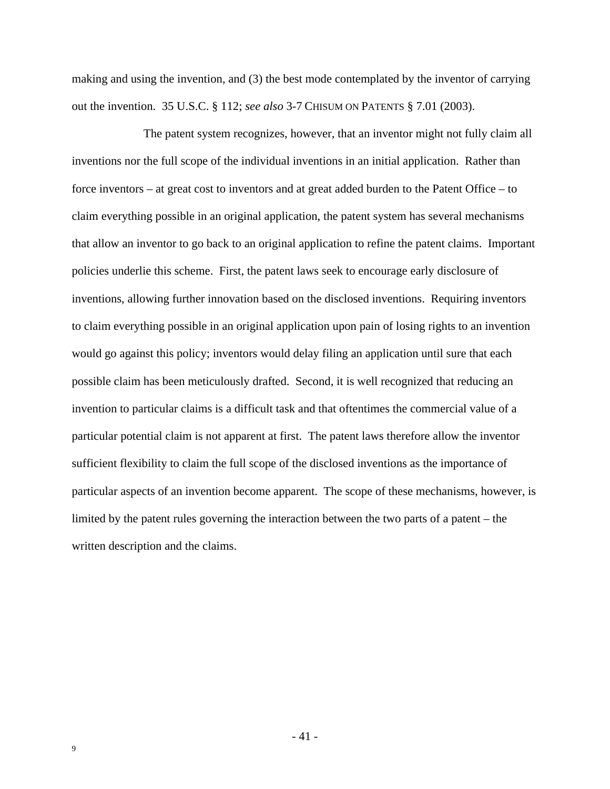making and using the invention, and (3) the best mode contemplated by the inventor of carrying out the invention. 35 U.S.C. § 112; *see also* 3-7 CHISUM ON PATENTS § 7.01 (2003).

The patent system recognizes, however, that an inventor might not fully claim all inventions nor the full scope of the individual inventions in an initial application. Rather than force inventors – at great cost to inventors and at great added burden to the Patent Office – to claim everything possible in an original application, the patent system has several mechanisms that allow an inventor to go back to an original application to refine the patent claims. Important policies underlie this scheme. First, the patent laws seek to encourage early disclosure of inventions, allowing further innovation based on the disclosed inventions. Requiring inventors to claim everything possible in an original application upon pain of losing rights to an invention would go against this policy; inventors would delay filing an application until sure that each possible claim has been meticulously drafted. Second, it is well recognized that reducing an invention to particular claims is a difficult task and that oftentimes the commercial value of a particular potential claim is not apparent at first. The patent laws therefore allow the inventor sufficient flexibility to claim the full scope of the disclosed inventions as the importance of particular aspects of an invention become apparent. The scope of these mechanisms, however, is limited by the patent rules governing the interaction between the two parts of a patent – the written description and the claims.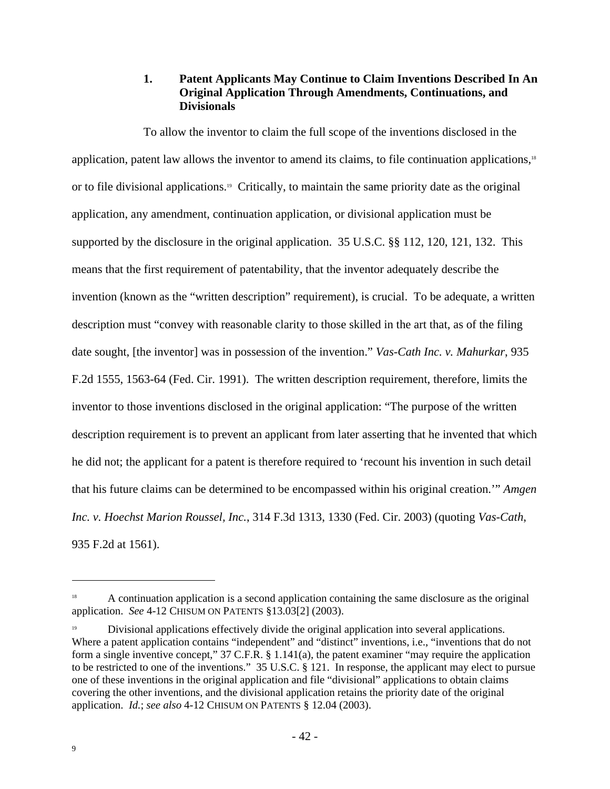## **1. Patent Applicants May Continue to Claim Inventions Described In An Original Application Through Amendments, Continuations, and Divisionals**

To allow the inventor to claim the full scope of the inventions disclosed in the application, patent law allows the inventor to amend its claims, to file continuation applications,<sup>18</sup> or to file divisional applications.19 Critically, to maintain the same priority date as the original application, any amendment, continuation application, or divisional application must be supported by the disclosure in the original application. 35 U.S.C. §§ 112, 120, 121, 132. This means that the first requirement of patentability, that the inventor adequately describe the invention (known as the "written description" requirement), is crucial. To be adequate, a written description must "convey with reasonable clarity to those skilled in the art that, as of the filing date sought, [the inventor] was in possession of the invention." *Vas-Cath Inc. v. Mahurkar*, 935 F.2d 1555, 1563-64 (Fed. Cir. 1991). The written description requirement, therefore, limits the inventor to those inventions disclosed in the original application: "The purpose of the written description requirement is to prevent an applicant from later asserting that he invented that which he did not; the applicant for a patent is therefore required to 'recount his invention in such detail that his future claims can be determined to be encompassed within his original creation.'" *Amgen Inc. v. Hoechst Marion Roussel, Inc.*, 314 F.3d 1313, 1330 (Fed. Cir. 2003) (quoting *Vas-Cath*, 935 F.2d at 1561).

<sup>&</sup>lt;sup>18</sup> A continuation application is a second application containing the same disclosure as the original application. *See* 4-12 CHISUM ON PATENTS §13.03[2] (2003).

<sup>19</sup> Divisional applications effectively divide the original application into several applications. Where a patent application contains "independent" and "distinct" inventions, i.e., "inventions that do not form a single inventive concept," 37 C.F.R. § 1.141(a), the patent examiner "may require the application to be restricted to one of the inventions." 35 U.S.C. § 121. In response, the applicant may elect to pursue one of these inventions in the original application and file "divisional" applications to obtain claims covering the other inventions, and the divisional application retains the priority date of the original application. *Id.*; *see also* 4-12 CHISUM ON PATENTS § 12.04 (2003).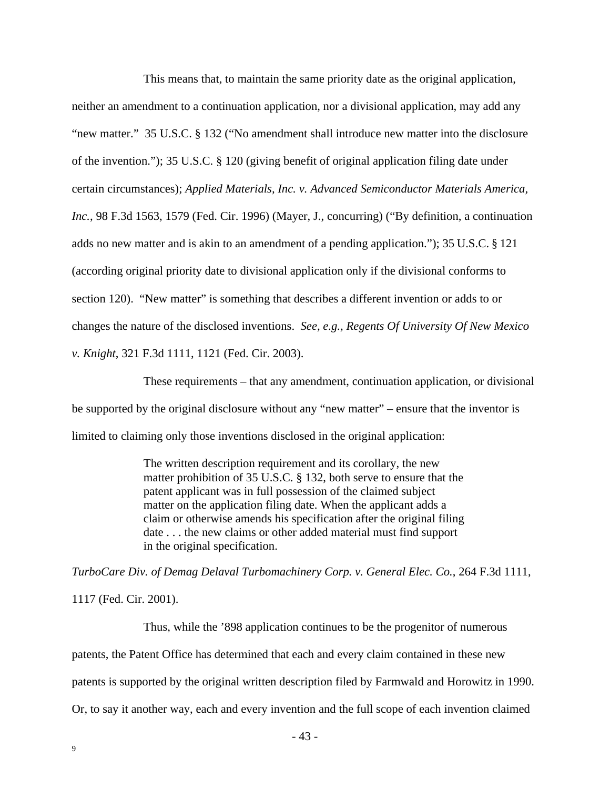This means that, to maintain the same priority date as the original application, neither an amendment to a continuation application, nor a divisional application, may add any "new matter." 35 U.S.C. § 132 ("No amendment shall introduce new matter into the disclosure of the invention."); 35 U.S.C. § 120 (giving benefit of original application filing date under certain circumstances); *Applied Materials, Inc. v. Advanced Semiconductor Materials America, Inc.*, 98 F.3d 1563, 1579 (Fed. Cir. 1996) (Mayer, J., concurring) ("By definition, a continuation adds no new matter and is akin to an amendment of a pending application."); 35 U.S.C. § 121 (according original priority date to divisional application only if the divisional conforms to section 120). "New matter" is something that describes a different invention or adds to or changes the nature of the disclosed inventions. *See, e.g., Regents Of University Of New Mexico v. Knight*, 321 F.3d 1111, 1121 (Fed. Cir. 2003).

These requirements – that any amendment, continuation application, or divisional be supported by the original disclosure without any "new matter" – ensure that the inventor is limited to claiming only those inventions disclosed in the original application:

> The written description requirement and its corollary, the new matter prohibition of 35 U.S.C. § 132, both serve to ensure that the patent applicant was in full possession of the claimed subject matter on the application filing date. When the applicant adds a claim or otherwise amends his specification after the original filing date . . . the new claims or other added material must find support in the original specification.

*TurboCare Div. of Demag Delaval Turbomachinery Corp. v. General Elec. Co.*, 264 F.3d 1111, 1117 (Fed. Cir. 2001).

Thus, while the '898 application continues to be the progenitor of numerous patents, the Patent Office has determined that each and every claim contained in these new patents is supported by the original written description filed by Farmwald and Horowitz in 1990. Or, to say it another way, each and every invention and the full scope of each invention claimed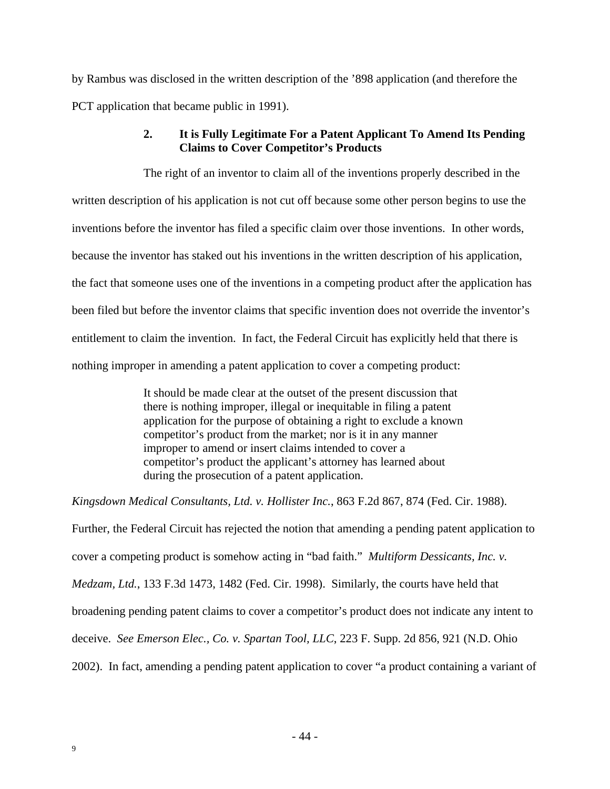by Rambus was disclosed in the written description of the '898 application (and therefore the PCT application that became public in 1991).

# **2. It is Fully Legitimate For a Patent Applicant To Amend Its Pending Claims to Cover Competitor's Products**

The right of an inventor to claim all of the inventions properly described in the written description of his application is not cut off because some other person begins to use the inventions before the inventor has filed a specific claim over those inventions. In other words, because the inventor has staked out his inventions in the written description of his application, the fact that someone uses one of the inventions in a competing product after the application has been filed but before the inventor claims that specific invention does not override the inventor's entitlement to claim the invention. In fact, the Federal Circuit has explicitly held that there is nothing improper in amending a patent application to cover a competing product:

> It should be made clear at the outset of the present discussion that there is nothing improper, illegal or inequitable in filing a patent application for the purpose of obtaining a right to exclude a known competitor's product from the market; nor is it in any manner improper to amend or insert claims intended to cover a competitor's product the applicant's attorney has learned about during the prosecution of a patent application.

*Kingsdown Medical Consultants, Ltd. v. Hollister Inc.*, 863 F.2d 867, 874 (Fed. Cir. 1988).

Further, the Federal Circuit has rejected the notion that amending a pending patent application to cover a competing product is somehow acting in "bad faith." *Multiform Dessicants, Inc. v. Medzam, Ltd.*, 133 F.3d 1473, 1482 (Fed. Cir. 1998). Similarly, the courts have held that broadening pending patent claims to cover a competitor's product does not indicate any intent to deceive. *See Emerson Elec., Co. v. Spartan Tool, LLC*, 223 F. Supp. 2d 856, 921 (N.D. Ohio 2002). In fact, amending a pending patent application to cover "a product containing a variant of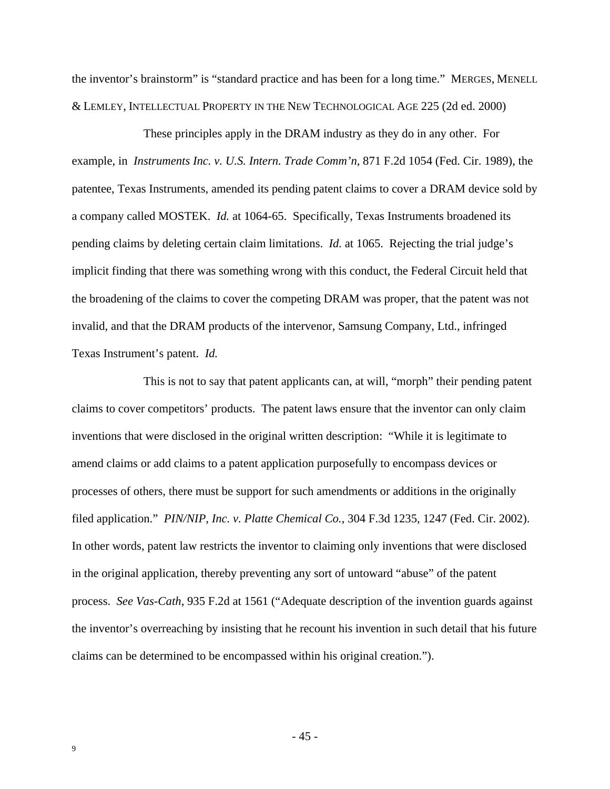the inventor's brainstorm" is "standard practice and has been for a long time." MERGES, MENELL & LEMLEY, INTELLECTUAL PROPERTY IN THE NEW TECHNOLOGICAL AGE 225 (2d ed. 2000)

These principles apply in the DRAM industry as they do in any other. For example, in *Instruments Inc. v. U.S. Intern. Trade Comm'n*, 871 F.2d 1054 (Fed. Cir. 1989), the patentee, Texas Instruments, amended its pending patent claims to cover a DRAM device sold by a company called MOSTEK. *Id.* at 1064-65. Specifically, Texas Instruments broadened its pending claims by deleting certain claim limitations. *Id.* at 1065. Rejecting the trial judge's implicit finding that there was something wrong with this conduct, the Federal Circuit held that the broadening of the claims to cover the competing DRAM was proper, that the patent was not invalid, and that the DRAM products of the intervenor, Samsung Company, Ltd., infringed Texas Instrument's patent. *Id.*

This is not to say that patent applicants can, at will, "morph" their pending patent claims to cover competitors' products. The patent laws ensure that the inventor can only claim inventions that were disclosed in the original written description: "While it is legitimate to amend claims or add claims to a patent application purposefully to encompass devices or processes of others, there must be support for such amendments or additions in the originally filed application." *PIN/NIP, Inc. v. Platte Chemical Co.*, 304 F.3d 1235, 1247 (Fed. Cir. 2002). In other words, patent law restricts the inventor to claiming only inventions that were disclosed in the original application, thereby preventing any sort of untoward "abuse" of the patent process. *See Vas-Cath*, 935 F.2d at 1561 ("Adequate description of the invention guards against the inventor's overreaching by insisting that he recount his invention in such detail that his future claims can be determined to be encompassed within his original creation.").

- 45 -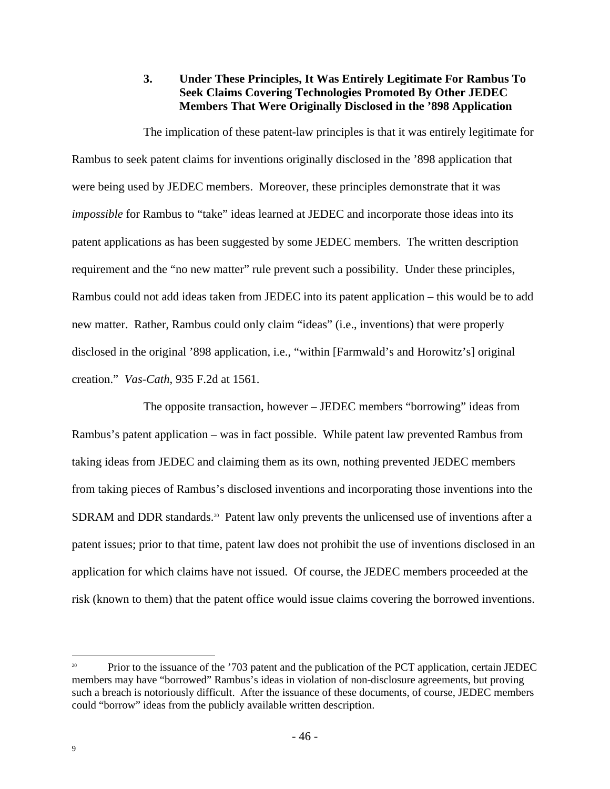# **3. Under These Principles, It Was Entirely Legitimate For Rambus To Seek Claims Covering Technologies Promoted By Other JEDEC Members That Were Originally Disclosed in the '898 Application**

The implication of these patent-law principles is that it was entirely legitimate for Rambus to seek patent claims for inventions originally disclosed in the '898 application that were being used by JEDEC members. Moreover, these principles demonstrate that it was *impossible* for Rambus to "take" ideas learned at JEDEC and incorporate those ideas into its patent applications as has been suggested by some JEDEC members. The written description requirement and the "no new matter" rule prevent such a possibility. Under these principles, Rambus could not add ideas taken from JEDEC into its patent application – this would be to add new matter. Rather, Rambus could only claim "ideas" (i.e., inventions) that were properly disclosed in the original '898 application, i.e., "within [Farmwald's and Horowitz's] original creation." *Vas-Cath*, 935 F.2d at 1561.

The opposite transaction, however – JEDEC members "borrowing" ideas from Rambus's patent application – was in fact possible. While patent law prevented Rambus from taking ideas from JEDEC and claiming them as its own, nothing prevented JEDEC members from taking pieces of Rambus's disclosed inventions and incorporating those inventions into the SDRAM and DDR standards.<sup>20</sup> Patent law only prevents the unlicensed use of inventions after a patent issues; prior to that time, patent law does not prohibit the use of inventions disclosed in an application for which claims have not issued. Of course, the JEDEC members proceeded at the risk (known to them) that the patent office would issue claims covering the borrowed inventions.

Prior to the issuance of the '703 patent and the publication of the PCT application, certain JEDEC members may have "borrowed" Rambus's ideas in violation of non-disclosure agreements, but proving such a breach is notoriously difficult. After the issuance of these documents, of course, JEDEC members could "borrow" ideas from the publicly available written description.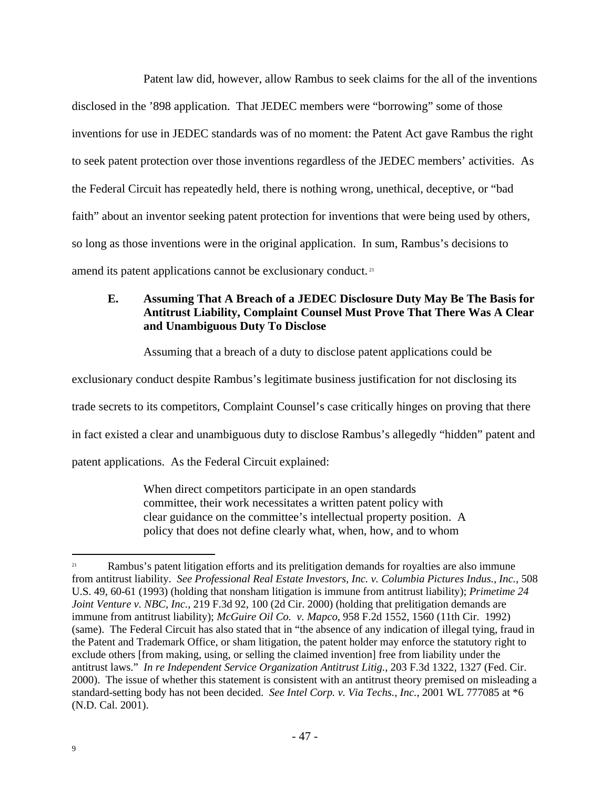Patent law did, however, allow Rambus to seek claims for the all of the inventions disclosed in the '898 application. That JEDEC members were "borrowing" some of those inventions for use in JEDEC standards was of no moment: the Patent Act gave Rambus the right to seek patent protection over those inventions regardless of the JEDEC members' activities. As the Federal Circuit has repeatedly held, there is nothing wrong, unethical, deceptive, or "bad faith" about an inventor seeking patent protection for inventions that were being used by others, so long as those inventions were in the original application. In sum, Rambus's decisions to amend its patent applications cannot be exclusionary conduct.<sup>21</sup>

# **E. Assuming That A Breach of a JEDEC Disclosure Duty May Be The Basis for Antitrust Liability, Complaint Counsel Must Prove That There Was A Clear and Unambiguous Duty To Disclose**

Assuming that a breach of a duty to disclose patent applications could be

exclusionary conduct despite Rambus's legitimate business justification for not disclosing its

trade secrets to its competitors, Complaint Counsel's case critically hinges on proving that there

in fact existed a clear and unambiguous duty to disclose Rambus's allegedly "hidden" patent and

patent applications. As the Federal Circuit explained:

When direct competitors participate in an open standards committee, their work necessitates a written patent policy with clear guidance on the committee's intellectual property position. A policy that does not define clearly what, when, how, and to whom

<sup>&</sup>lt;sup>21</sup> Rambus's patent litigation efforts and its prelitigation demands for royalties are also immune from antitrust liability. *See Professional Real Estate Investors, Inc. v. Columbia Pictures Indus., Inc.*, 508 U.S. 49, 60-61 (1993) (holding that nonsham litigation is immune from antitrust liability); *Primetime 24 Joint Venture v. NBC, Inc.*, 219 F.3d 92, 100 (2d Cir. 2000) (holding that prelitigation demands are immune from antitrust liability); *McGuire Oil Co. v. Mapco*, 958 F.2d 1552, 1560 (11th Cir. 1992) (same). The Federal Circuit has also stated that in "the absence of any indication of illegal tying, fraud in the Patent and Trademark Office, or sham litigation, the patent holder may enforce the statutory right to exclude others [from making, using, or selling the claimed invention] free from liability under the antitrust laws." *In re Independent Service Organization Antitrust Litig.*, 203 F.3d 1322, 1327 (Fed. Cir. 2000). The issue of whether this statement is consistent with an antitrust theory premised on misleading a standard-setting body has not been decided. *See Intel Corp. v. Via Techs., Inc.*, 2001 WL 777085 at \*6 (N.D. Cal. 2001).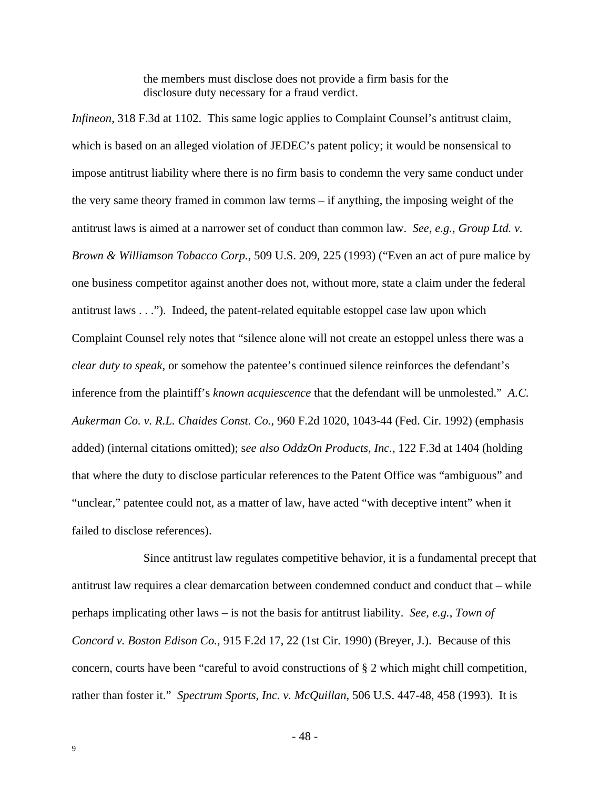the members must disclose does not provide a firm basis for the disclosure duty necessary for a fraud verdict.

*Infineon*, 318 F.3d at 1102. This same logic applies to Complaint Counsel's antitrust claim, which is based on an alleged violation of JEDEC's patent policy; it would be nonsensical to impose antitrust liability where there is no firm basis to condemn the very same conduct under the very same theory framed in common law terms – if anything, the imposing weight of the antitrust laws is aimed at a narrower set of conduct than common law. *See, e.g., Group Ltd. v. Brown & Williamson Tobacco Corp.*, 509 U.S. 209, 225 (1993) ("Even an act of pure malice by one business competitor against another does not, without more, state a claim under the federal antitrust laws . . ."). Indeed, the patent-related equitable estoppel case law upon which Complaint Counsel rely notes that "silence alone will not create an estoppel unless there was a *clear duty to speak*, or somehow the patentee's continued silence reinforces the defendant's inference from the plaintiff's *known acquiescence* that the defendant will be unmolested." *A.C. Aukerman Co. v. R.L. Chaides Const. Co.*, 960 F.2d 1020, 1043-44 (Fed. Cir. 1992) (emphasis added) (internal citations omitted); s*ee also OddzOn Products, Inc.*, 122 F.3d at 1404 (holding that where the duty to disclose particular references to the Patent Office was "ambiguous" and "unclear," patentee could not, as a matter of law, have acted "with deceptive intent" when it failed to disclose references).

Since antitrust law regulates competitive behavior, it is a fundamental precept that antitrust law requires a clear demarcation between condemned conduct and conduct that – while perhaps implicating other laws – is not the basis for antitrust liability. *See, e.g.*, *Town of Concord v. Boston Edison Co.*, 915 F.2d 17, 22 (1st Cir. 1990) (Breyer, J.). Because of this concern, courts have been "careful to avoid constructions of § 2 which might chill competition, rather than foster it." *Spectrum Sports, Inc. v. McQuillan*, 506 U.S. 447-48, 458 (1993). It is

- 48 -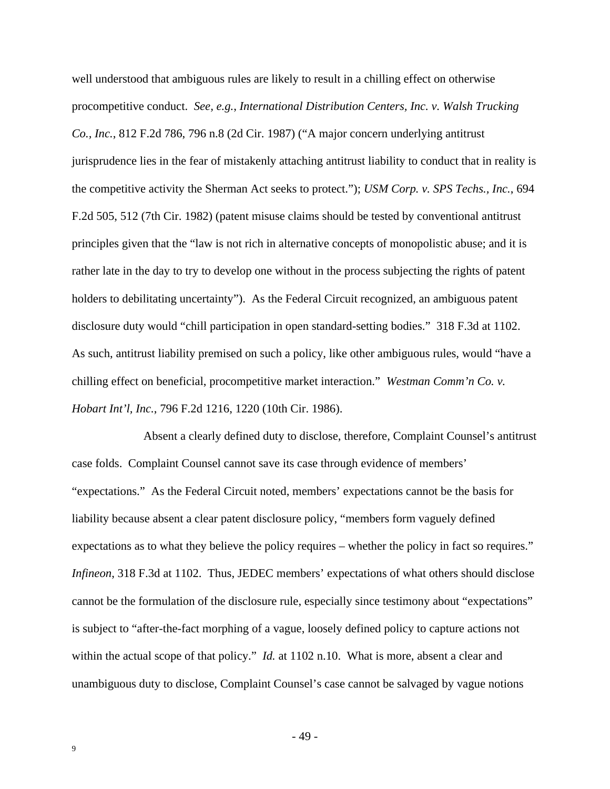well understood that ambiguous rules are likely to result in a chilling effect on otherwise procompetitive conduct. *See, e.g.*, *International Distribution Centers, Inc. v. Walsh Trucking Co., Inc.*, 812 F.2d 786, 796 n.8 (2d Cir. 1987) ("A major concern underlying antitrust jurisprudence lies in the fear of mistakenly attaching antitrust liability to conduct that in reality is the competitive activity the Sherman Act seeks to protect."); *USM Corp. v. SPS Techs., Inc.*, 694 F.2d 505, 512 (7th Cir. 1982) (patent misuse claims should be tested by conventional antitrust principles given that the "law is not rich in alternative concepts of monopolistic abuse; and it is rather late in the day to try to develop one without in the process subjecting the rights of patent holders to debilitating uncertainty"). As the Federal Circuit recognized, an ambiguous patent disclosure duty would "chill participation in open standard-setting bodies." 318 F.3d at 1102. As such, antitrust liability premised on such a policy, like other ambiguous rules, would "have a chilling effect on beneficial, procompetitive market interaction." *Westman Comm'n Co. v. Hobart Int'l, Inc.*, 796 F.2d 1216, 1220 (10th Cir. 1986).

Absent a clearly defined duty to disclose, therefore, Complaint Counsel's antitrust case folds. Complaint Counsel cannot save its case through evidence of members' "expectations." As the Federal Circuit noted, members' expectations cannot be the basis for liability because absent a clear patent disclosure policy, "members form vaguely defined expectations as to what they believe the policy requires – whether the policy in fact so requires." *Infineon*, 318 F.3d at 1102. Thus, JEDEC members' expectations of what others should disclose cannot be the formulation of the disclosure rule, especially since testimony about "expectations" is subject to "after-the-fact morphing of a vague, loosely defined policy to capture actions not within the actual scope of that policy." *Id.* at 1102 n.10. What is more, absent a clear and unambiguous duty to disclose, Complaint Counsel's case cannot be salvaged by vague notions

- 49 -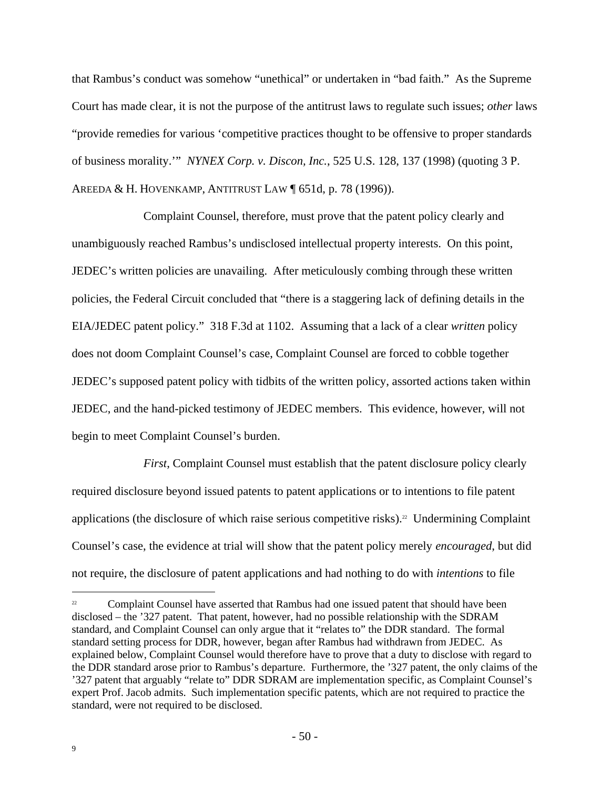that Rambus's conduct was somehow "unethical" or undertaken in "bad faith." As the Supreme Court has made clear, it is not the purpose of the antitrust laws to regulate such issues; *other* laws "provide remedies for various 'competitive practices thought to be offensive to proper standards of business morality.'" *NYNEX Corp. v. Discon, Inc.*, 525 U.S. 128, 137 (1998) (quoting 3 P. AREEDA & H. HOVENKAMP, ANTITRUST LAW ¶ 651d, p. 78 (1996)).

Complaint Counsel, therefore, must prove that the patent policy clearly and unambiguously reached Rambus's undisclosed intellectual property interests. On this point, JEDEC's written policies are unavailing. After meticulously combing through these written policies, the Federal Circuit concluded that "there is a staggering lack of defining details in the EIA/JEDEC patent policy." 318 F.3d at 1102. Assuming that a lack of a clear *written* policy does not doom Complaint Counsel's case, Complaint Counsel are forced to cobble together JEDEC's supposed patent policy with tidbits of the written policy, assorted actions taken within JEDEC, and the hand-picked testimony of JEDEC members. This evidence, however, will not begin to meet Complaint Counsel's burden.

*First*, Complaint Counsel must establish that the patent disclosure policy clearly required disclosure beyond issued patents to patent applications or to intentions to file patent applications (the disclosure of which raise serious competitive risks).<sup>22</sup> Undermining Complaint Counsel's case, the evidence at trial will show that the patent policy merely *encouraged*, but did not require, the disclosure of patent applications and had nothing to do with *intentions* to file

<sup>&</sup>lt;sup>22</sup> Complaint Counsel have asserted that Rambus had one issued patent that should have been disclosed – the '327 patent. That patent, however, had no possible relationship with the SDRAM standard, and Complaint Counsel can only argue that it "relates to" the DDR standard. The formal standard setting process for DDR, however, began after Rambus had withdrawn from JEDEC. As explained below, Complaint Counsel would therefore have to prove that a duty to disclose with regard to the DDR standard arose prior to Rambus's departure. Furthermore, the '327 patent, the only claims of the '327 patent that arguably "relate to" DDR SDRAM are implementation specific, as Complaint Counsel's expert Prof. Jacob admits. Such implementation specific patents, which are not required to practice the standard, were not required to be disclosed.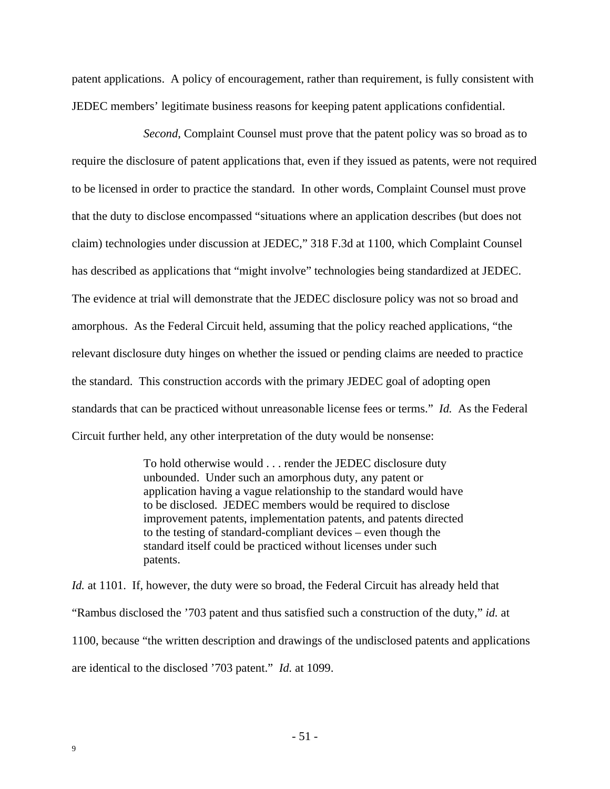patent applications. A policy of encouragement, rather than requirement, is fully consistent with JEDEC members' legitimate business reasons for keeping patent applications confidential.

*Second*, Complaint Counsel must prove that the patent policy was so broad as to require the disclosure of patent applications that, even if they issued as patents, were not required to be licensed in order to practice the standard. In other words, Complaint Counsel must prove that the duty to disclose encompassed "situations where an application describes (but does not claim) technologies under discussion at JEDEC," 318 F.3d at 1100, which Complaint Counsel has described as applications that "might involve" technologies being standardized at JEDEC. The evidence at trial will demonstrate that the JEDEC disclosure policy was not so broad and amorphous. As the Federal Circuit held, assuming that the policy reached applications, "the relevant disclosure duty hinges on whether the issued or pending claims are needed to practice the standard. This construction accords with the primary JEDEC goal of adopting open standards that can be practiced without unreasonable license fees or terms." *Id.* As the Federal Circuit further held, any other interpretation of the duty would be nonsense:

> To hold otherwise would . . . render the JEDEC disclosure duty unbounded. Under such an amorphous duty, any patent or application having a vague relationship to the standard would have to be disclosed. JEDEC members would be required to disclose improvement patents, implementation patents, and patents directed to the testing of standard-compliant devices – even though the standard itself could be practiced without licenses under such patents.

*Id.* at 1101. If, however, the duty were so broad, the Federal Circuit has already held that "Rambus disclosed the '703 patent and thus satisfied such a construction of the duty," *id.* at 1100, because "the written description and drawings of the undisclosed patents and applications are identical to the disclosed '703 patent." *Id.* at 1099.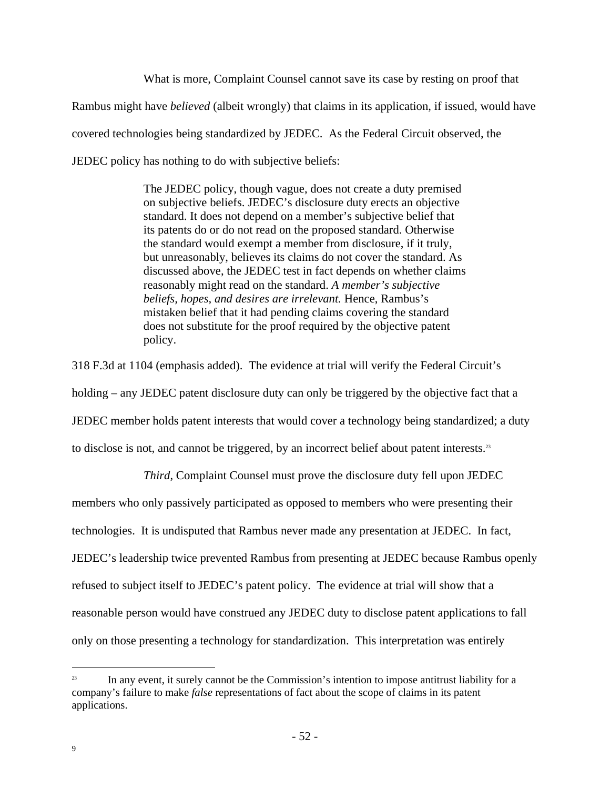What is more, Complaint Counsel cannot save its case by resting on proof that Rambus might have *believed* (albeit wrongly) that claims in its application, if issued, would have covered technologies being standardized by JEDEC. As the Federal Circuit observed, the JEDEC policy has nothing to do with subjective beliefs:

> The JEDEC policy, though vague, does not create a duty premised on subjective beliefs. JEDEC's disclosure duty erects an objective standard. It does not depend on a member's subjective belief that its patents do or do not read on the proposed standard. Otherwise the standard would exempt a member from disclosure, if it truly, but unreasonably, believes its claims do not cover the standard. As discussed above, the JEDEC test in fact depends on whether claims reasonably might read on the standard. *A member's subjective beliefs, hopes, and desires are irrelevant.* Hence, Rambus's mistaken belief that it had pending claims covering the standard does not substitute for the proof required by the objective patent policy.

318 F.3d at 1104 (emphasis added). The evidence at trial will verify the Federal Circuit's holding – any JEDEC patent disclosure duty can only be triggered by the objective fact that a JEDEC member holds patent interests that would cover a technology being standardized; a duty to disclose is not, and cannot be triggered, by an incorrect belief about patent interests.<sup>23</sup>

*Third*, Complaint Counsel must prove the disclosure duty fell upon JEDEC

members who only passively participated as opposed to members who were presenting their technologies. It is undisputed that Rambus never made any presentation at JEDEC. In fact, JEDEC's leadership twice prevented Rambus from presenting at JEDEC because Rambus openly refused to subject itself to JEDEC's patent policy. The evidence at trial will show that a reasonable person would have construed any JEDEC duty to disclose patent applications to fall only on those presenting a technology for standardization. This interpretation was entirely

<sup>&</sup>lt;sup>23</sup> In any event, it surely cannot be the Commission's intention to impose antitrust liability for a company's failure to make *false* representations of fact about the scope of claims in its patent applications.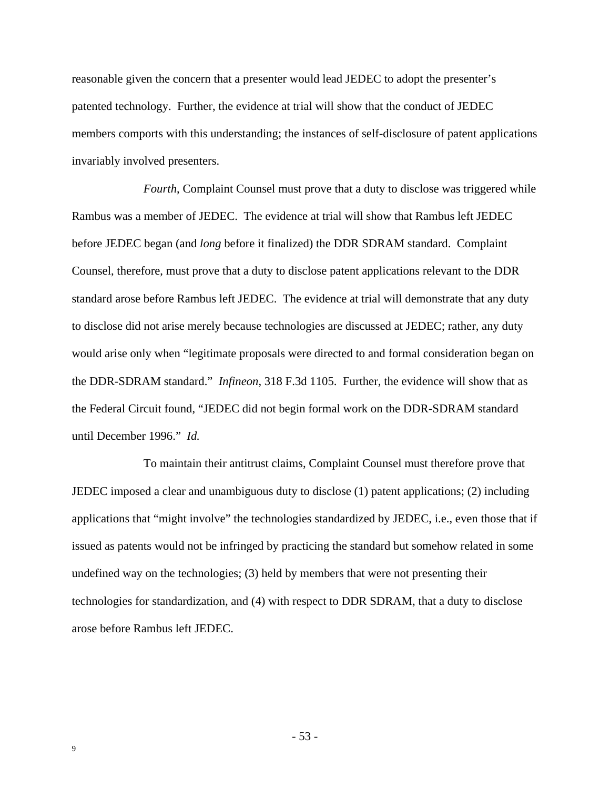reasonable given the concern that a presenter would lead JEDEC to adopt the presenter's patented technology. Further, the evidence at trial will show that the conduct of JEDEC members comports with this understanding; the instances of self-disclosure of patent applications invariably involved presenters.

*Fourth*, Complaint Counsel must prove that a duty to disclose was triggered while Rambus was a member of JEDEC. The evidence at trial will show that Rambus left JEDEC before JEDEC began (and *long* before it finalized) the DDR SDRAM standard. Complaint Counsel, therefore, must prove that a duty to disclose patent applications relevant to the DDR standard arose before Rambus left JEDEC. The evidence at trial will demonstrate that any duty to disclose did not arise merely because technologies are discussed at JEDEC; rather, any duty would arise only when "legitimate proposals were directed to and formal consideration began on the DDR-SDRAM standard." *Infineon*, 318 F.3d 1105. Further, the evidence will show that as the Federal Circuit found, "JEDEC did not begin formal work on the DDR-SDRAM standard until December 1996." *Id.*

To maintain their antitrust claims, Complaint Counsel must therefore prove that JEDEC imposed a clear and unambiguous duty to disclose (1) patent applications; (2) including applications that "might involve" the technologies standardized by JEDEC, i.e., even those that if issued as patents would not be infringed by practicing the standard but somehow related in some undefined way on the technologies; (3) held by members that were not presenting their technologies for standardization, and (4) with respect to DDR SDRAM, that a duty to disclose arose before Rambus left JEDEC.

- 53 -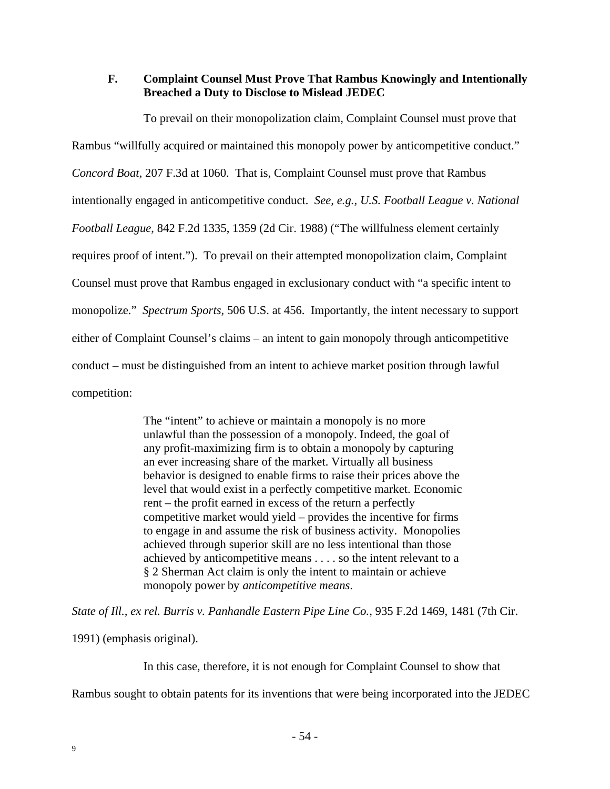### **F. Complaint Counsel Must Prove That Rambus Knowingly and Intentionally Breached a Duty to Disclose to Mislead JEDEC**

To prevail on their monopolization claim, Complaint Counsel must prove that Rambus "willfully acquired or maintained this monopoly power by anticompetitive conduct." *Concord Boat*, 207 F.3d at 1060. That is, Complaint Counsel must prove that Rambus intentionally engaged in anticompetitive conduct. *See, e.g., U.S. Football League v. National Football League*, 842 F.2d 1335, 1359 (2d Cir. 1988) ("The willfulness element certainly requires proof of intent."). To prevail on their attempted monopolization claim, Complaint Counsel must prove that Rambus engaged in exclusionary conduct with "a specific intent to monopolize." *Spectrum Sports*, 506 U.S. at 456. Importantly, the intent necessary to support either of Complaint Counsel's claims – an intent to gain monopoly through anticompetitive conduct – must be distinguished from an intent to achieve market position through lawful competition:

> The "intent" to achieve or maintain a monopoly is no more unlawful than the possession of a monopoly. Indeed, the goal of any profit-maximizing firm is to obtain a monopoly by capturing an ever increasing share of the market. Virtually all business behavior is designed to enable firms to raise their prices above the level that would exist in a perfectly competitive market. Economic rent – the profit earned in excess of the return a perfectly competitive market would yield – provides the incentive for firms to engage in and assume the risk of business activity. Monopolies achieved through superior skill are no less intentional than those achieved by anticompetitive means . . . . so the intent relevant to a § 2 Sherman Act claim is only the intent to maintain or achieve monopoly power by *anticompetitive means*.

*State of Ill., ex rel. Burris v. Panhandle Eastern Pipe Line Co.*, 935 F.2d 1469, 1481 (7th Cir.

1991) (emphasis original).

In this case, therefore, it is not enough for Complaint Counsel to show that

Rambus sought to obtain patents for its inventions that were being incorporated into the JEDEC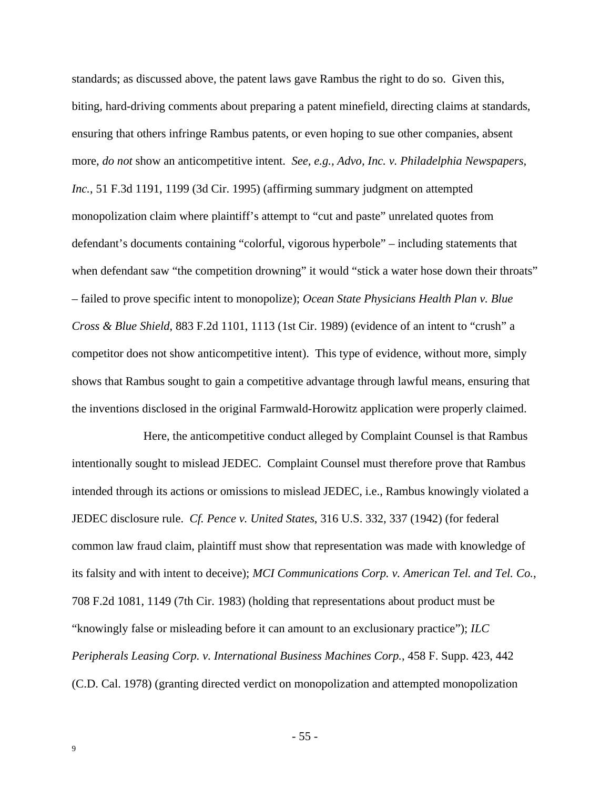standards; as discussed above, the patent laws gave Rambus the right to do so. Given this, biting, hard-driving comments about preparing a patent minefield, directing claims at standards, ensuring that others infringe Rambus patents, or even hoping to sue other companies, absent more, *do not* show an anticompetitive intent. *See, e.g., Advo, Inc. v. Philadelphia Newspapers, Inc.*, 51 F.3d 1191, 1199 (3d Cir. 1995) (affirming summary judgment on attempted monopolization claim where plaintiff's attempt to "cut and paste" unrelated quotes from defendant's documents containing "colorful, vigorous hyperbole" – including statements that when defendant saw "the competition drowning" it would "stick a water hose down their throats" – failed to prove specific intent to monopolize); *Ocean State Physicians Health Plan v. Blue Cross & Blue Shield*, 883 F.2d 1101, 1113 (1st Cir. 1989) (evidence of an intent to "crush" a competitor does not show anticompetitive intent). This type of evidence, without more, simply shows that Rambus sought to gain a competitive advantage through lawful means, ensuring that the inventions disclosed in the original Farmwald-Horowitz application were properly claimed.

Here, the anticompetitive conduct alleged by Complaint Counsel is that Rambus intentionally sought to mislead JEDEC. Complaint Counsel must therefore prove that Rambus intended through its actions or omissions to mislead JEDEC, i.e., Rambus knowingly violated a JEDEC disclosure rule. *Cf. Pence v. United States*, 316 U.S. 332, 337 (1942) (for federal common law fraud claim, plaintiff must show that representation was made with knowledge of its falsity and with intent to deceive); *MCI Communications Corp. v. American Tel. and Tel. Co.*, 708 F.2d 1081, 1149 (7th Cir. 1983) (holding that representations about product must be "knowingly false or misleading before it can amount to an exclusionary practice"); *ILC Peripherals Leasing Corp. v. International Business Machines Corp.*, 458 F. Supp. 423, 442 (C.D. Cal. 1978) (granting directed verdict on monopolization and attempted monopolization

- 55 -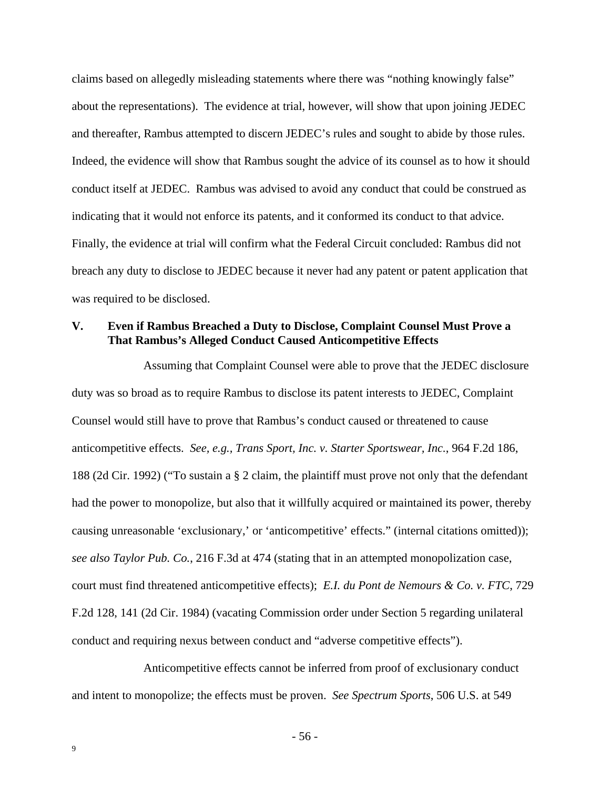claims based on allegedly misleading statements where there was "nothing knowingly false" about the representations). The evidence at trial, however, will show that upon joining JEDEC and thereafter, Rambus attempted to discern JEDEC's rules and sought to abide by those rules. Indeed, the evidence will show that Rambus sought the advice of its counsel as to how it should conduct itself at JEDEC. Rambus was advised to avoid any conduct that could be construed as indicating that it would not enforce its patents, and it conformed its conduct to that advice. Finally, the evidence at trial will confirm what the Federal Circuit concluded: Rambus did not breach any duty to disclose to JEDEC because it never had any patent or patent application that was required to be disclosed.

#### **V. Even if Rambus Breached a Duty to Disclose, Complaint Counsel Must Prove a That Rambus's Alleged Conduct Caused Anticompetitive Effects**

Assuming that Complaint Counsel were able to prove that the JEDEC disclosure duty was so broad as to require Rambus to disclose its patent interests to JEDEC, Complaint Counsel would still have to prove that Rambus's conduct caused or threatened to cause anticompetitive effects. *See, e.g., Trans Sport, Inc. v. Starter Sportswear, Inc.*, 964 F.2d 186, 188 (2d Cir. 1992) ("To sustain a § 2 claim, the plaintiff must prove not only that the defendant had the power to monopolize, but also that it willfully acquired or maintained its power, thereby causing unreasonable 'exclusionary,' or 'anticompetitive' effects." (internal citations omitted)); *see also Taylor Pub. Co.*, 216 F.3d at 474 (stating that in an attempted monopolization case, court must find threatened anticompetitive effects); *E.I. du Pont de Nemours & Co. v. FTC*, 729 F.2d 128, 141 (2d Cir. 1984) (vacating Commission order under Section 5 regarding unilateral conduct and requiring nexus between conduct and "adverse competitive effects").

Anticompetitive effects cannot be inferred from proof of exclusionary conduct and intent to monopolize; the effects must be proven. *See Spectrum Sports*, 506 U.S. at 549

- 56 -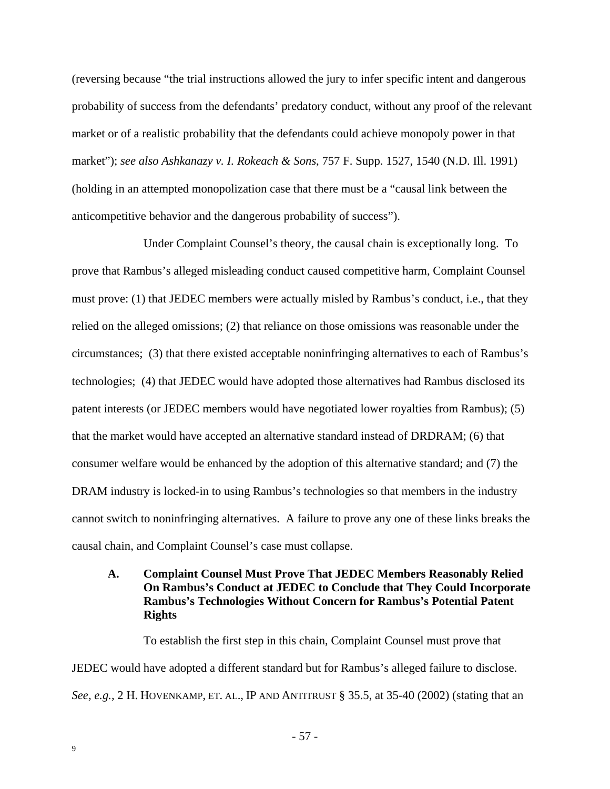(reversing because "the trial instructions allowed the jury to infer specific intent and dangerous probability of success from the defendants' predatory conduct, without any proof of the relevant market or of a realistic probability that the defendants could achieve monopoly power in that market"); *see also Ashkanazy v. I. Rokeach & Sons*, 757 F. Supp. 1527, 1540 (N.D. Ill. 1991) (holding in an attempted monopolization case that there must be a "causal link between the anticompetitive behavior and the dangerous probability of success").

Under Complaint Counsel's theory, the causal chain is exceptionally long. To prove that Rambus's alleged misleading conduct caused competitive harm, Complaint Counsel must prove: (1) that JEDEC members were actually misled by Rambus's conduct, i.e., that they relied on the alleged omissions; (2) that reliance on those omissions was reasonable under the circumstances; (3) that there existed acceptable noninfringing alternatives to each of Rambus's technologies; (4) that JEDEC would have adopted those alternatives had Rambus disclosed its patent interests (or JEDEC members would have negotiated lower royalties from Rambus); (5) that the market would have accepted an alternative standard instead of DRDRAM; (6) that consumer welfare would be enhanced by the adoption of this alternative standard; and (7) the DRAM industry is locked-in to using Rambus's technologies so that members in the industry cannot switch to noninfringing alternatives. A failure to prove any one of these links breaks the causal chain, and Complaint Counsel's case must collapse.

### **A. Complaint Counsel Must Prove That JEDEC Members Reasonably Relied On Rambus's Conduct at JEDEC to Conclude that They Could Incorporate Rambus's Technologies Without Concern for Rambus's Potential Patent Rights**

To establish the first step in this chain, Complaint Counsel must prove that JEDEC would have adopted a different standard but for Rambus's alleged failure to disclose. *See, e.g.,* 2 H. HOVENKAMP, ET. AL., IP AND ANTITRUST § 35.5, at 35-40 (2002) (stating that an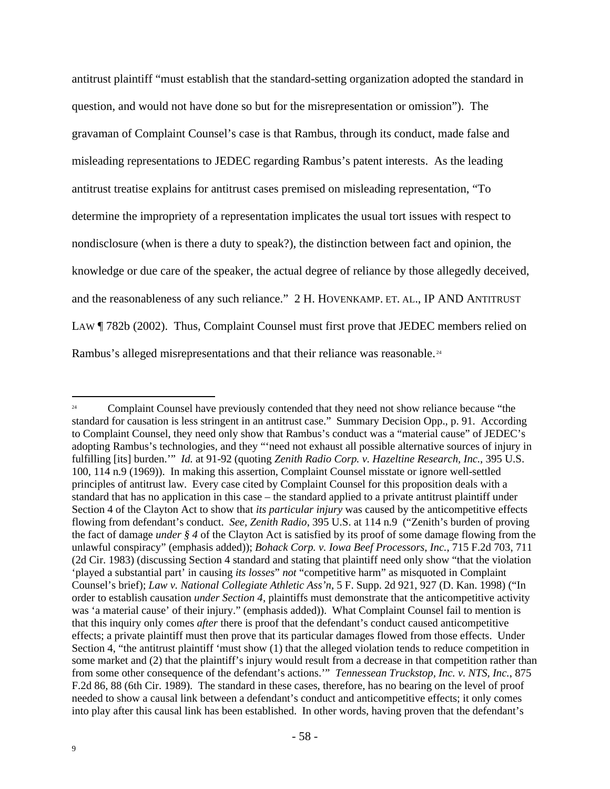antitrust plaintiff "must establish that the standard-setting organization adopted the standard in question, and would not have done so but for the misrepresentation or omission"). The gravaman of Complaint Counsel's case is that Rambus, through its conduct, made false and misleading representations to JEDEC regarding Rambus's patent interests. As the leading antitrust treatise explains for antitrust cases premised on misleading representation, "To determine the impropriety of a representation implicates the usual tort issues with respect to nondisclosure (when is there a duty to speak?), the distinction between fact and opinion, the knowledge or due care of the speaker, the actual degree of reliance by those allegedly deceived, and the reasonableness of any such reliance." 2 H. HOVENKAMP. ET. AL., IP AND ANTITRUST LAW ¶ 782b (2002). Thus, Complaint Counsel must first prove that JEDEC members relied on Rambus's alleged misrepresentations and that their reliance was reasonable.<sup>24</sup>

 $\overline{a}$ <sup>24</sup> Complaint Counsel have previously contended that they need not show reliance because "the standard for causation is less stringent in an antitrust case." Summary Decision Opp., p. 91. According to Complaint Counsel, they need only show that Rambus's conduct was a "material cause" of JEDEC's adopting Rambus's technologies, and they "'need not exhaust all possible alternative sources of injury in fulfilling [its] burden.'" *Id.* at 91-92 (quoting *Zenith Radio Corp. v. Hazeltine Research, Inc.*, 395 U.S. 100, 114 n.9 (1969)). In making this assertion, Complaint Counsel misstate or ignore well-settled principles of antitrust law. Every case cited by Complaint Counsel for this proposition deals with a standard that has no application in this case – the standard applied to a private antitrust plaintiff under Section 4 of the Clayton Act to show that *its particular injury* was caused by the anticompetitive effects flowing from defendant's conduct. *See, Zenith Radio*, 395 U.S. at 114 n.9 ("Zenith's burden of proving the fact of damage *under § 4* of the Clayton Act is satisfied by its proof of some damage flowing from the unlawful conspiracy" (emphasis added)); *Bohack Corp. v. Iowa Beef Processors, Inc.*, 715 F.2d 703, 711 (2d Cir. 1983) (discussing Section 4 standard and stating that plaintiff need only show "that the violation 'played a substantial part' in causing *its losses*" *not* "competitive harm" as misquoted in Complaint Counsel's brief); *Law v. National Collegiate Athletic Ass'n*, 5 F. Supp. 2d 921, 927 (D. Kan. 1998) ("In order to establish causation *under Section 4*, plaintiffs must demonstrate that the anticompetitive activity was 'a material cause' of their injury." (emphasis added)). What Complaint Counsel fail to mention is that this inquiry only comes *after* there is proof that the defendant's conduct caused anticompetitive effects; a private plaintiff must then prove that its particular damages flowed from those effects. Under Section 4, "the antitrust plaintiff 'must show (1) that the alleged violation tends to reduce competition in some market and (2) that the plaintiff's injury would result from a decrease in that competition rather than from some other consequence of the defendant's actions.'" *Tennessean Truckstop, Inc. v. NTS, Inc.*, 875 F.2d 86, 88 (6th Cir. 1989). The standard in these cases, therefore, has no bearing on the level of proof needed to show a causal link between a defendant's conduct and anticompetitive effects; it only comes into play after this causal link has been established. In other words, having proven that the defendant's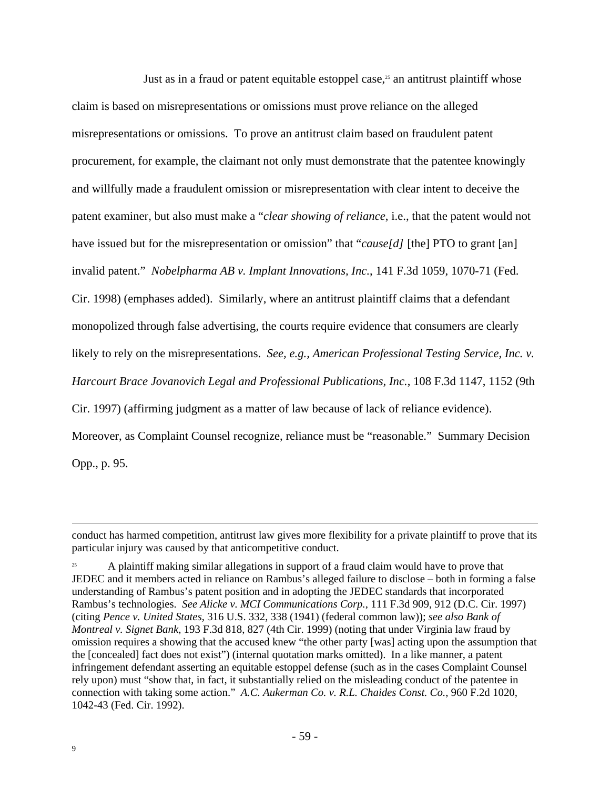Just as in a fraud or patent equitable estoppel case, $25$  an antitrust plaintiff whose claim is based on misrepresentations or omissions must prove reliance on the alleged misrepresentations or omissions. To prove an antitrust claim based on fraudulent patent procurement, for example, the claimant not only must demonstrate that the patentee knowingly and willfully made a fraudulent omission or misrepresentation with clear intent to deceive the patent examiner, but also must make a "*clear showing of reliance*, i.e., that the patent would not have issued but for the misrepresentation or omission" that "*cause[d]* [the] PTO to grant [an] invalid patent." *Nobelpharma AB v. Implant Innovations, Inc.*, 141 F.3d 1059, 1070-71 (Fed. Cir. 1998) (emphases added). Similarly, where an antitrust plaintiff claims that a defendant monopolized through false advertising, the courts require evidence that consumers are clearly likely to rely on the misrepresentations. *See, e.g., American Professional Testing Service, Inc. v. Harcourt Brace Jovanovich Legal and Professional Publications, Inc.*, 108 F.3d 1147, 1152 (9th Cir. 1997) (affirming judgment as a matter of law because of lack of reliance evidence). Moreover, as Complaint Counsel recognize, reliance must be "reasonable." Summary Decision Opp., p. 95.

conduct has harmed competition, antitrust law gives more flexibility for a private plaintiff to prove that its particular injury was caused by that anticompetitive conduct.

<sup>25</sup> A plaintiff making similar allegations in support of a fraud claim would have to prove that JEDEC and it members acted in reliance on Rambus's alleged failure to disclose – both in forming a false understanding of Rambus's patent position and in adopting the JEDEC standards that incorporated Rambus's technologies. *See Alicke v. MCI Communications Corp.*, 111 F.3d 909, 912 (D.C. Cir. 1997) (citing *Pence v. United States*, 316 U.S. 332, 338 (1941) (federal common law)); *see also Bank of Montreal v. Signet Bank*, 193 F.3d 818, 827 (4th Cir. 1999) (noting that under Virginia law fraud by omission requires a showing that the accused knew "the other party [was] acting upon the assumption that the [concealed] fact does not exist") (internal quotation marks omitted). In a like manner, a patent infringement defendant asserting an equitable estoppel defense (such as in the cases Complaint Counsel rely upon) must "show that, in fact, it substantially relied on the misleading conduct of the patentee in connection with taking some action." *A.C. Aukerman Co. v. R.L. Chaides Const. Co.*, 960 F.2d 1020, 1042-43 (Fed. Cir. 1992).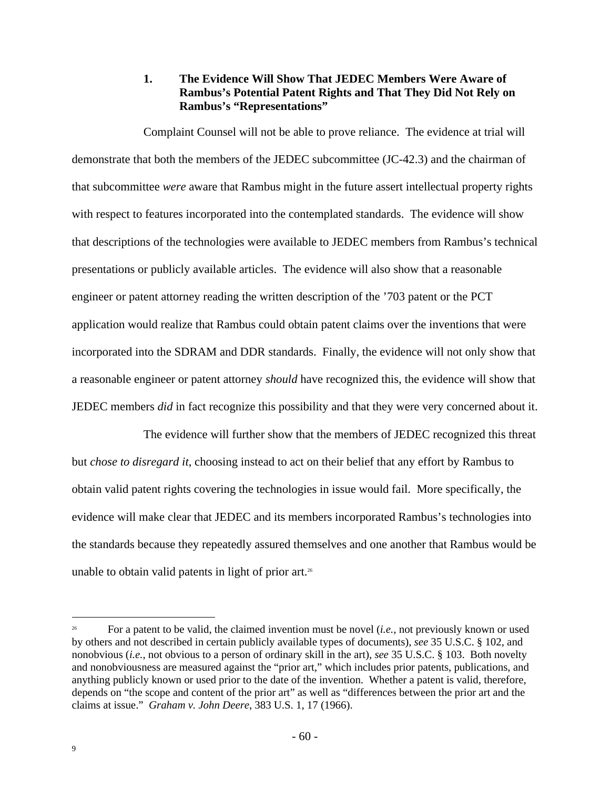# **1. The Evidence Will Show That JEDEC Members Were Aware of Rambus's Potential Patent Rights and That They Did Not Rely on Rambus's "Representations"**

Complaint Counsel will not be able to prove reliance. The evidence at trial will demonstrate that both the members of the JEDEC subcommittee (JC-42.3) and the chairman of that subcommittee *were* aware that Rambus might in the future assert intellectual property rights with respect to features incorporated into the contemplated standards. The evidence will show that descriptions of the technologies were available to JEDEC members from Rambus's technical presentations or publicly available articles. The evidence will also show that a reasonable engineer or patent attorney reading the written description of the '703 patent or the PCT application would realize that Rambus could obtain patent claims over the inventions that were incorporated into the SDRAM and DDR standards. Finally, the evidence will not only show that a reasonable engineer or patent attorney *should* have recognized this, the evidence will show that JEDEC members *did* in fact recognize this possibility and that they were very concerned about it.

The evidence will further show that the members of JEDEC recognized this threat but *chose to disregard it*, choosing instead to act on their belief that any effort by Rambus to obtain valid patent rights covering the technologies in issue would fail. More specifically, the evidence will make clear that JEDEC and its members incorporated Rambus's technologies into the standards because they repeatedly assured themselves and one another that Rambus would be unable to obtain valid patents in light of prior art.<sup>26</sup>

<sup>26</sup> For a patent to be valid, the claimed invention must be novel (*i.e.*, not previously known or used by others and not described in certain publicly available types of documents), *see* 35 U.S.C. § 102, and nonobvious (*i.e.*, not obvious to a person of ordinary skill in the art), *see* 35 U.S.C. § 103. Both novelty and nonobviousness are measured against the "prior art," which includes prior patents, publications, and anything publicly known or used prior to the date of the invention. Whether a patent is valid, therefore, depends on "the scope and content of the prior art" as well as "differences between the prior art and the claims at issue." *Graham v. John Deere*, 383 U.S. 1, 17 (1966).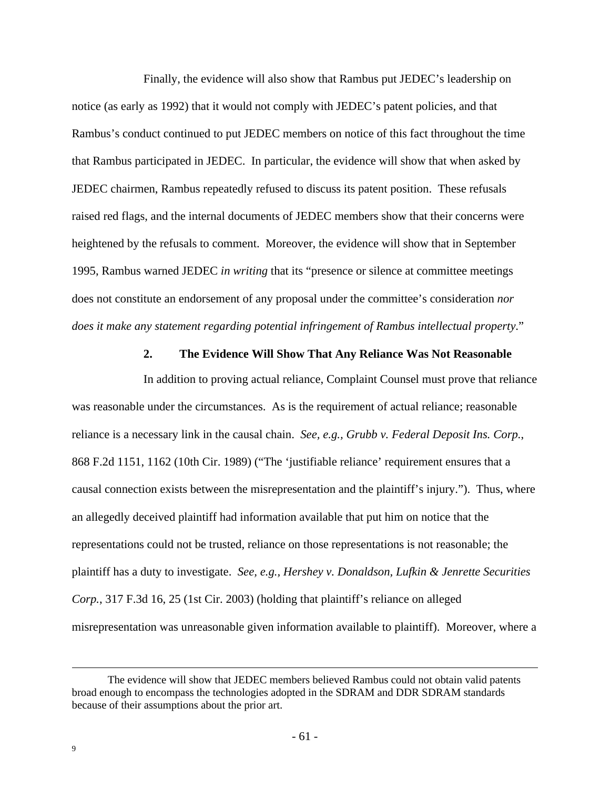Finally, the evidence will also show that Rambus put JEDEC's leadership on notice (as early as 1992) that it would not comply with JEDEC's patent policies, and that Rambus's conduct continued to put JEDEC members on notice of this fact throughout the time that Rambus participated in JEDEC. In particular, the evidence will show that when asked by JEDEC chairmen, Rambus repeatedly refused to discuss its patent position. These refusals raised red flags, and the internal documents of JEDEC members show that their concerns were heightened by the refusals to comment. Moreover, the evidence will show that in September 1995, Rambus warned JEDEC *in writing* that its "presence or silence at committee meetings does not constitute an endorsement of any proposal under the committee's consideration *nor does it make any statement regarding potential infringement of Rambus intellectual property*."

#### **2. The Evidence Will Show That Any Reliance Was Not Reasonable**

In addition to proving actual reliance, Complaint Counsel must prove that reliance was reasonable under the circumstances. As is the requirement of actual reliance; reasonable reliance is a necessary link in the causal chain. *See, e.g., Grubb v. Federal Deposit Ins. Corp.*, 868 F.2d 1151, 1162 (10th Cir. 1989) ("The 'justifiable reliance' requirement ensures that a causal connection exists between the misrepresentation and the plaintiff's injury."). Thus, where an allegedly deceived plaintiff had information available that put him on notice that the representations could not be trusted, reliance on those representations is not reasonable; the plaintiff has a duty to investigate. *See, e.g., Hershey v. Donaldson, Lufkin & Jenrette Securities Corp.*, 317 F.3d 16, 25 (1st Cir. 2003) (holding that plaintiff's reliance on alleged misrepresentation was unreasonable given information available to plaintiff). Moreover, where a

The evidence will show that JEDEC members believed Rambus could not obtain valid patents broad enough to encompass the technologies adopted in the SDRAM and DDR SDRAM standards because of their assumptions about the prior art.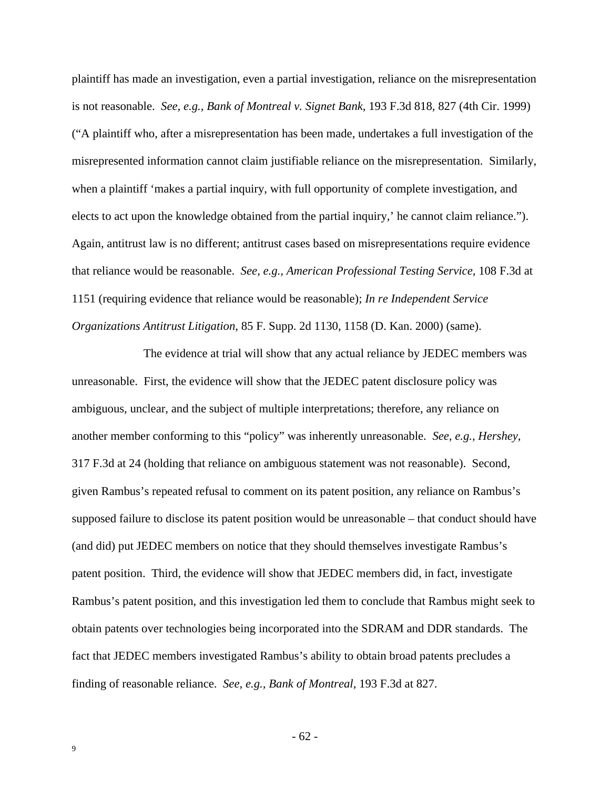plaintiff has made an investigation, even a partial investigation, reliance on the misrepresentation is not reasonable. *See, e.g., Bank of Montreal v. Signet Bank*, 193 F.3d 818, 827 (4th Cir. 1999) ("A plaintiff who, after a misrepresentation has been made, undertakes a full investigation of the misrepresented information cannot claim justifiable reliance on the misrepresentation. Similarly, when a plaintiff 'makes a partial inquiry, with full opportunity of complete investigation, and elects to act upon the knowledge obtained from the partial inquiry,' he cannot claim reliance."). Again, antitrust law is no different; antitrust cases based on misrepresentations require evidence that reliance would be reasonable. *See, e.g., American Professional Testing Service*, 108 F.3d at 1151 (requiring evidence that reliance would be reasonable); *In re Independent Service Organizations Antitrust Litigation*, 85 F. Supp. 2d 1130, 1158 (D. Kan. 2000) (same).

The evidence at trial will show that any actual reliance by JEDEC members was unreasonable. First, the evidence will show that the JEDEC patent disclosure policy was ambiguous, unclear, and the subject of multiple interpretations; therefore, any reliance on another member conforming to this "policy" was inherently unreasonable. *See, e.g., Hershey*, 317 F.3d at 24 (holding that reliance on ambiguous statement was not reasonable). Second, given Rambus's repeated refusal to comment on its patent position, any reliance on Rambus's supposed failure to disclose its patent position would be unreasonable – that conduct should have (and did) put JEDEC members on notice that they should themselves investigate Rambus's patent position. Third, the evidence will show that JEDEC members did, in fact, investigate Rambus's patent position, and this investigation led them to conclude that Rambus might seek to obtain patents over technologies being incorporated into the SDRAM and DDR standards. The fact that JEDEC members investigated Rambus's ability to obtain broad patents precludes a finding of reasonable reliance. *See, e.g., Bank of Montreal*, 193 F.3d at 827.

- 62 -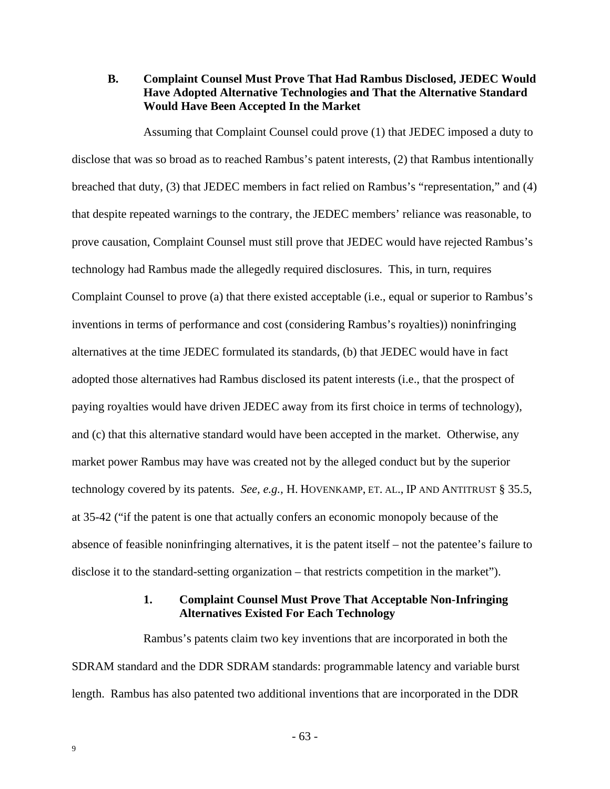**B. Complaint Counsel Must Prove That Had Rambus Disclosed, JEDEC Would Have Adopted Alternative Technologies and That the Alternative Standard Would Have Been Accepted In the Market**

Assuming that Complaint Counsel could prove (1) that JEDEC imposed a duty to disclose that was so broad as to reached Rambus's patent interests, (2) that Rambus intentionally breached that duty, (3) that JEDEC members in fact relied on Rambus's "representation," and (4) that despite repeated warnings to the contrary, the JEDEC members' reliance was reasonable, to prove causation, Complaint Counsel must still prove that JEDEC would have rejected Rambus's technology had Rambus made the allegedly required disclosures. This, in turn, requires Complaint Counsel to prove (a) that there existed acceptable (i.e., equal or superior to Rambus's inventions in terms of performance and cost (considering Rambus's royalties)) noninfringing alternatives at the time JEDEC formulated its standards, (b) that JEDEC would have in fact adopted those alternatives had Rambus disclosed its patent interests (i.e., that the prospect of paying royalties would have driven JEDEC away from its first choice in terms of technology), and (c) that this alternative standard would have been accepted in the market. Otherwise, any market power Rambus may have was created not by the alleged conduct but by the superior technology covered by its patents. *See, e.g.,* H. HOVENKAMP, ET. AL., IP AND ANTITRUST § 35.5, at 35-42 ("if the patent is one that actually confers an economic monopoly because of the absence of feasible noninfringing alternatives, it is the patent itself – not the patentee's failure to disclose it to the standard-setting organization – that restricts competition in the market").

#### **1. Complaint Counsel Must Prove That Acceptable Non-Infringing Alternatives Existed For Each Technology**

Rambus's patents claim two key inventions that are incorporated in both the SDRAM standard and the DDR SDRAM standards: programmable latency and variable burst length. Rambus has also patented two additional inventions that are incorporated in the DDR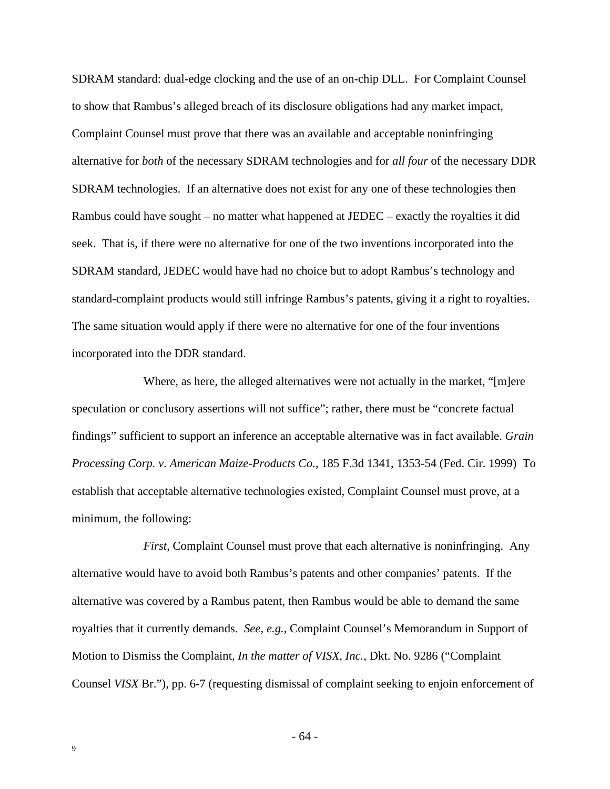SDRAM standard: dual-edge clocking and the use of an on-chip DLL. For Complaint Counsel to show that Rambus's alleged breach of its disclosure obligations had any market impact, Complaint Counsel must prove that there was an available and acceptable noninfringing alternative for *both* of the necessary SDRAM technologies and for *all four* of the necessary DDR SDRAM technologies. If an alternative does not exist for any one of these technologies then Rambus could have sought – no matter what happened at JEDEC – exactly the royalties it did seek. That is, if there were no alternative for one of the two inventions incorporated into the SDRAM standard, JEDEC would have had no choice but to adopt Rambus's technology and standard-complaint products would still infringe Rambus's patents, giving it a right to royalties. The same situation would apply if there were no alternative for one of the four inventions incorporated into the DDR standard.

Where, as here, the alleged alternatives were not actually in the market, "[m]ere speculation or conclusory assertions will not suffice"; rather, there must be "concrete factual findings" sufficient to support an inference an acceptable alternative was in fact available. *Grain Processing Corp. v. American Maize-Products Co.*, 185 F.3d 1341, 1353-54 (Fed. Cir. 1999) To establish that acceptable alternative technologies existed, Complaint Counsel must prove, at a minimum, the following:

*First*, Complaint Counsel must prove that each alternative is noninfringing. Any alternative would have to avoid both Rambus's patents and other companies' patents. If the alternative was covered by a Rambus patent, then Rambus would be able to demand the same royalties that it currently demands. *See, e.g.,* Complaint Counsel's Memorandum in Support of Motion to Dismiss the Complaint, *In the matter of VISX, Inc.*, Dkt. No. 9286 ("Complaint Counsel *VISX* Br."), pp. 6-7 (requesting dismissal of complaint seeking to enjoin enforcement of

- 64 -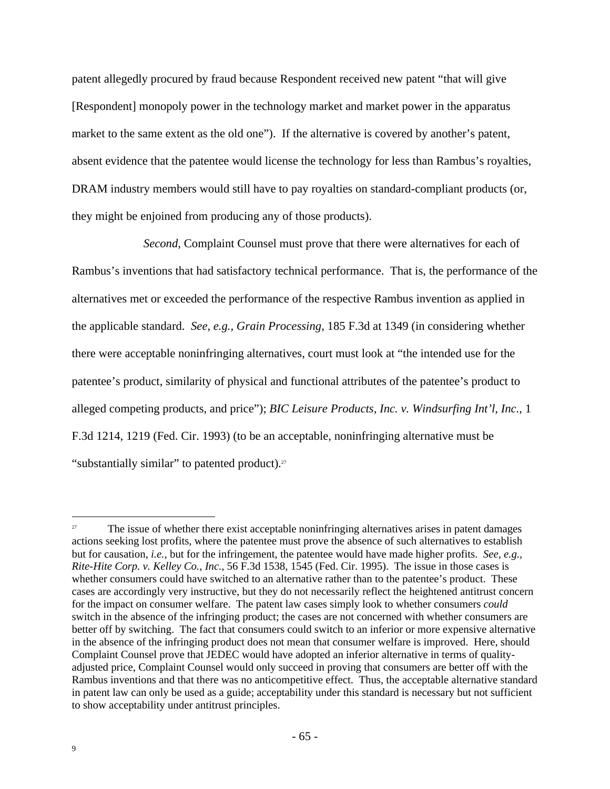patent allegedly procured by fraud because Respondent received new patent "that will give [Respondent] monopoly power in the technology market and market power in the apparatus market to the same extent as the old one"). If the alternative is covered by another's patent, absent evidence that the patentee would license the technology for less than Rambus's royalties, DRAM industry members would still have to pay royalties on standard-compliant products (or, they might be enjoined from producing any of those products).

*Second*, Complaint Counsel must prove that there were alternatives for each of Rambus's inventions that had satisfactory technical performance. That is, the performance of the alternatives met or exceeded the performance of the respective Rambus invention as applied in the applicable standard. *See, e.g., Grain Processing*, 185 F.3d at 1349 (in considering whether there were acceptable noninfringing alternatives, court must look at "the intended use for the patentee's product, similarity of physical and functional attributes of the patentee's product to alleged competing products, and price"); *BIC Leisure Products, Inc. v. Windsurfing Int'l, Inc.*, 1 F.3d 1214, 1219 (Fed. Cir. 1993) (to be an acceptable, noninfringing alternative must be "substantially similar" to patented product).<sup>27</sup>

<sup>&</sup>lt;sup>27</sup> The issue of whether there exist acceptable noninfringing alternatives arises in patent damages actions seeking lost profits, where the patentee must prove the absence of such alternatives to establish but for causation, *i.e.*, but for the infringement, the patentee would have made higher profits. *See, e.g., Rite-Hite Corp. v. Kelley Co., Inc.*, 56 F.3d 1538, 1545 (Fed. Cir. 1995). The issue in those cases is whether consumers could have switched to an alternative rather than to the patentee's product. These cases are accordingly very instructive, but they do not necessarily reflect the heightened antitrust concern for the impact on consumer welfare. The patent law cases simply look to whether consumers *could* switch in the absence of the infringing product; the cases are not concerned with whether consumers are better off by switching. The fact that consumers could switch to an inferior or more expensive alternative in the absence of the infringing product does not mean that consumer welfare is improved. Here, should Complaint Counsel prove that JEDEC would have adopted an inferior alternative in terms of qualityadjusted price, Complaint Counsel would only succeed in proving that consumers are better off with the Rambus inventions and that there was no anticompetitive effect. Thus, the acceptable alternative standard in patent law can only be used as a guide; acceptability under this standard is necessary but not sufficient to show acceptability under antitrust principles.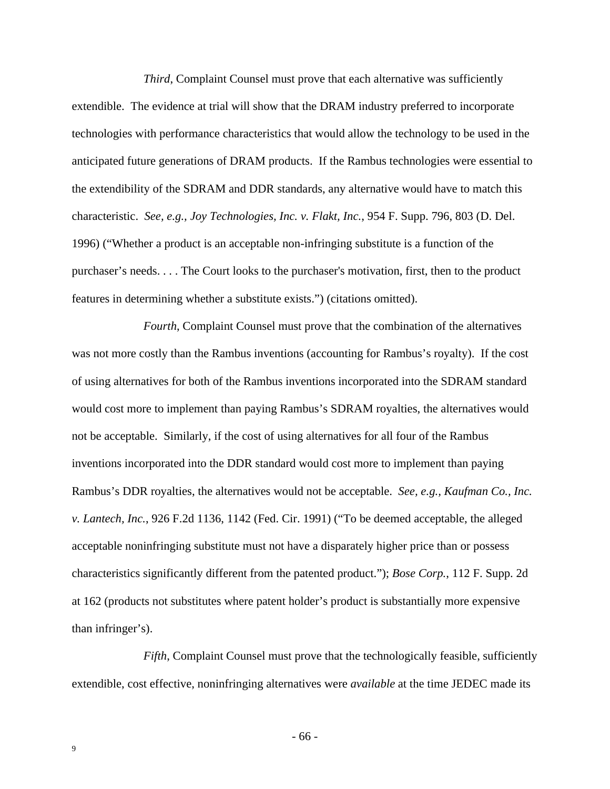*Third*, Complaint Counsel must prove that each alternative was sufficiently extendible. The evidence at trial will show that the DRAM industry preferred to incorporate technologies with performance characteristics that would allow the technology to be used in the anticipated future generations of DRAM products. If the Rambus technologies were essential to the extendibility of the SDRAM and DDR standards, any alternative would have to match this characteristic. *See, e.g., Joy Technologies, Inc. v. Flakt, Inc.*, 954 F. Supp. 796, 803 (D. Del. 1996) ("Whether a product is an acceptable non-infringing substitute is a function of the purchaser's needs. . . . The Court looks to the purchaser's motivation, first, then to the product features in determining whether a substitute exists.") (citations omitted).

*Fourth*, Complaint Counsel must prove that the combination of the alternatives was not more costly than the Rambus inventions (accounting for Rambus's royalty). If the cost of using alternatives for both of the Rambus inventions incorporated into the SDRAM standard would cost more to implement than paying Rambus's SDRAM royalties, the alternatives would not be acceptable. Similarly, if the cost of using alternatives for all four of the Rambus inventions incorporated into the DDR standard would cost more to implement than paying Rambus's DDR royalties, the alternatives would not be acceptable. *See, e.g., Kaufman Co., Inc. v. Lantech, Inc.*, 926 F.2d 1136, 1142 (Fed. Cir. 1991) ("To be deemed acceptable, the alleged acceptable noninfringing substitute must not have a disparately higher price than or possess characteristics significantly different from the patented product."); *Bose Corp.*, 112 F. Supp. 2d at 162 (products not substitutes where patent holder's product is substantially more expensive than infringer's).

*Fifth*, Complaint Counsel must prove that the technologically feasible, sufficiently extendible, cost effective, noninfringing alternatives were *available* at the time JEDEC made its

- 66 -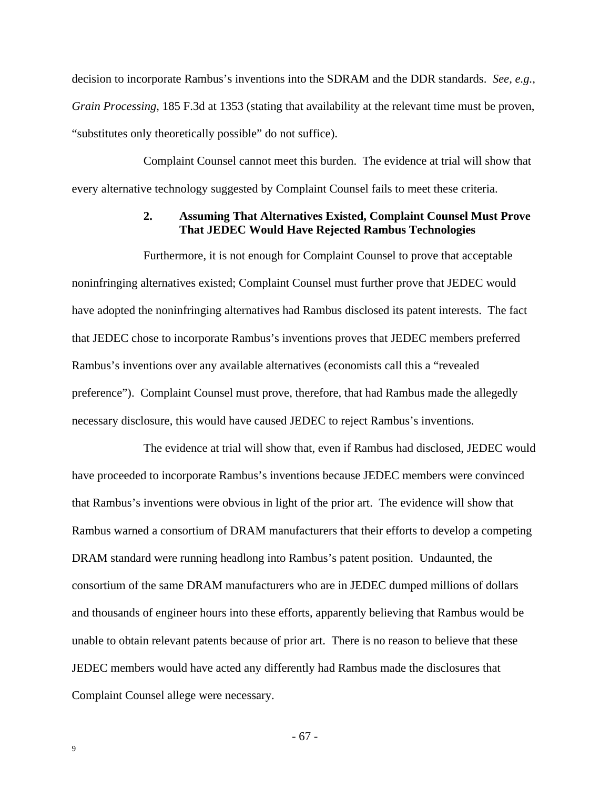decision to incorporate Rambus's inventions into the SDRAM and the DDR standards. *See, e.g., Grain Processing*, 185 F.3d at 1353 (stating that availability at the relevant time must be proven, "substitutes only theoretically possible" do not suffice).

Complaint Counsel cannot meet this burden. The evidence at trial will show that every alternative technology suggested by Complaint Counsel fails to meet these criteria.

#### **2. Assuming That Alternatives Existed, Complaint Counsel Must Prove That JEDEC Would Have Rejected Rambus Technologies**

Furthermore, it is not enough for Complaint Counsel to prove that acceptable noninfringing alternatives existed; Complaint Counsel must further prove that JEDEC would have adopted the noninfringing alternatives had Rambus disclosed its patent interests. The fact that JEDEC chose to incorporate Rambus's inventions proves that JEDEC members preferred Rambus's inventions over any available alternatives (economists call this a "revealed preference"). Complaint Counsel must prove, therefore, that had Rambus made the allegedly necessary disclosure, this would have caused JEDEC to reject Rambus's inventions.

The evidence at trial will show that, even if Rambus had disclosed, JEDEC would have proceeded to incorporate Rambus's inventions because JEDEC members were convinced that Rambus's inventions were obvious in light of the prior art. The evidence will show that Rambus warned a consortium of DRAM manufacturers that their efforts to develop a competing DRAM standard were running headlong into Rambus's patent position. Undaunted, the consortium of the same DRAM manufacturers who are in JEDEC dumped millions of dollars and thousands of engineer hours into these efforts, apparently believing that Rambus would be unable to obtain relevant patents because of prior art. There is no reason to believe that these JEDEC members would have acted any differently had Rambus made the disclosures that Complaint Counsel allege were necessary.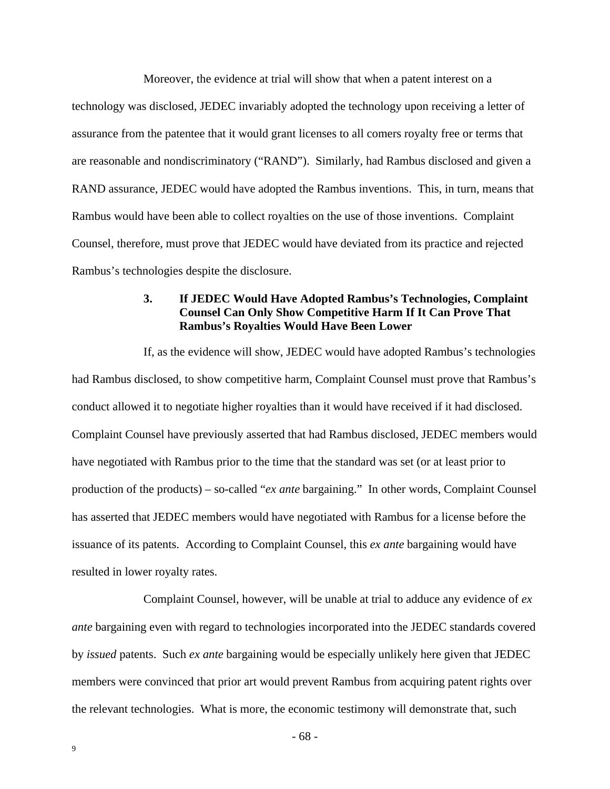Moreover, the evidence at trial will show that when a patent interest on a technology was disclosed, JEDEC invariably adopted the technology upon receiving a letter of assurance from the patentee that it would grant licenses to all comers royalty free or terms that are reasonable and nondiscriminatory ("RAND"). Similarly, had Rambus disclosed and given a RAND assurance, JEDEC would have adopted the Rambus inventions. This, in turn, means that Rambus would have been able to collect royalties on the use of those inventions. Complaint Counsel, therefore, must prove that JEDEC would have deviated from its practice and rejected Rambus's technologies despite the disclosure.

### **3. If JEDEC Would Have Adopted Rambus's Technologies, Complaint Counsel Can Only Show Competitive Harm If It Can Prove That Rambus's Royalties Would Have Been Lower**

If, as the evidence will show, JEDEC would have adopted Rambus's technologies had Rambus disclosed, to show competitive harm, Complaint Counsel must prove that Rambus's conduct allowed it to negotiate higher royalties than it would have received if it had disclosed. Complaint Counsel have previously asserted that had Rambus disclosed, JEDEC members would have negotiated with Rambus prior to the time that the standard was set (or at least prior to production of the products) – so-called "*ex ante* bargaining." In other words, Complaint Counsel has asserted that JEDEC members would have negotiated with Rambus for a license before the issuance of its patents. According to Complaint Counsel, this *ex ante* bargaining would have resulted in lower royalty rates.

Complaint Counsel, however, will be unable at trial to adduce any evidence of *ex ante* bargaining even with regard to technologies incorporated into the JEDEC standards covered by *issued* patents. Such *ex ante* bargaining would be especially unlikely here given that JEDEC members were convinced that prior art would prevent Rambus from acquiring patent rights over the relevant technologies. What is more, the economic testimony will demonstrate that, such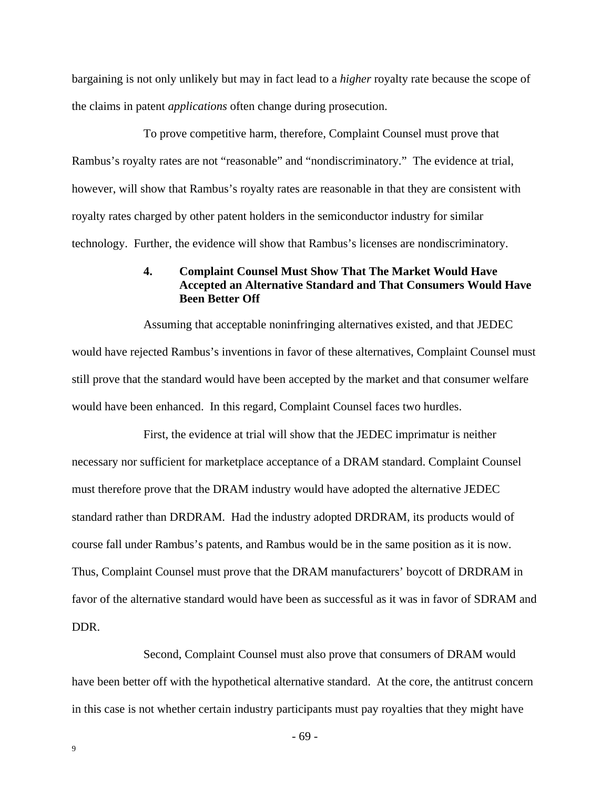bargaining is not only unlikely but may in fact lead to a *higher* royalty rate because the scope of the claims in patent *applications* often change during prosecution.

To prove competitive harm, therefore, Complaint Counsel must prove that Rambus's royalty rates are not "reasonable" and "nondiscriminatory." The evidence at trial, however, will show that Rambus's royalty rates are reasonable in that they are consistent with royalty rates charged by other patent holders in the semiconductor industry for similar technology. Further, the evidence will show that Rambus's licenses are nondiscriminatory.

## **4. Complaint Counsel Must Show That The Market Would Have Accepted an Alternative Standard and That Consumers Would Have Been Better Off**

Assuming that acceptable noninfringing alternatives existed, and that JEDEC would have rejected Rambus's inventions in favor of these alternatives, Complaint Counsel must still prove that the standard would have been accepted by the market and that consumer welfare would have been enhanced. In this regard, Complaint Counsel faces two hurdles.

First, the evidence at trial will show that the JEDEC imprimatur is neither necessary nor sufficient for marketplace acceptance of a DRAM standard. Complaint Counsel must therefore prove that the DRAM industry would have adopted the alternative JEDEC standard rather than DRDRAM. Had the industry adopted DRDRAM, its products would of course fall under Rambus's patents, and Rambus would be in the same position as it is now. Thus, Complaint Counsel must prove that the DRAM manufacturers' boycott of DRDRAM in favor of the alternative standard would have been as successful as it was in favor of SDRAM and DDR.

Second, Complaint Counsel must also prove that consumers of DRAM would have been better off with the hypothetical alternative standard. At the core, the antitrust concern in this case is not whether certain industry participants must pay royalties that they might have

- 69 -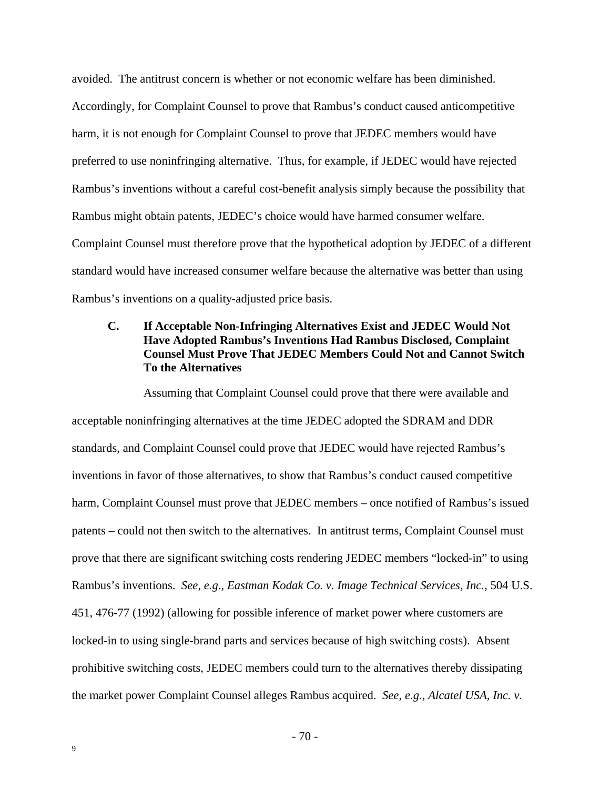avoided. The antitrust concern is whether or not economic welfare has been diminished. Accordingly, for Complaint Counsel to prove that Rambus's conduct caused anticompetitive harm, it is not enough for Complaint Counsel to prove that JEDEC members would have preferred to use noninfringing alternative. Thus, for example, if JEDEC would have rejected Rambus's inventions without a careful cost-benefit analysis simply because the possibility that Rambus might obtain patents, JEDEC's choice would have harmed consumer welfare. Complaint Counsel must therefore prove that the hypothetical adoption by JEDEC of a different standard would have increased consumer welfare because the alternative was better than using Rambus's inventions on a quality-adjusted price basis.

## **C. If Acceptable Non-Infringing Alternatives Exist and JEDEC Would Not Have Adopted Rambus's Inventions Had Rambus Disclosed, Complaint Counsel Must Prove That JEDEC Members Could Not and Cannot Switch To the Alternatives**

Assuming that Complaint Counsel could prove that there were available and acceptable noninfringing alternatives at the time JEDEC adopted the SDRAM and DDR standards, and Complaint Counsel could prove that JEDEC would have rejected Rambus's inventions in favor of those alternatives, to show that Rambus's conduct caused competitive harm, Complaint Counsel must prove that JEDEC members – once notified of Rambus's issued patents – could not then switch to the alternatives. In antitrust terms, Complaint Counsel must prove that there are significant switching costs rendering JEDEC members "locked-in" to using Rambus's inventions. *See, e.g., Eastman Kodak Co. v. Image Technical Services, Inc.*, 504 U.S. 451, 476-77 (1992) (allowing for possible inference of market power where customers are locked-in to using single-brand parts and services because of high switching costs). Absent prohibitive switching costs, JEDEC members could turn to the alternatives thereby dissipating the market power Complaint Counsel alleges Rambus acquired. *See, e.g., Alcatel USA, Inc. v.*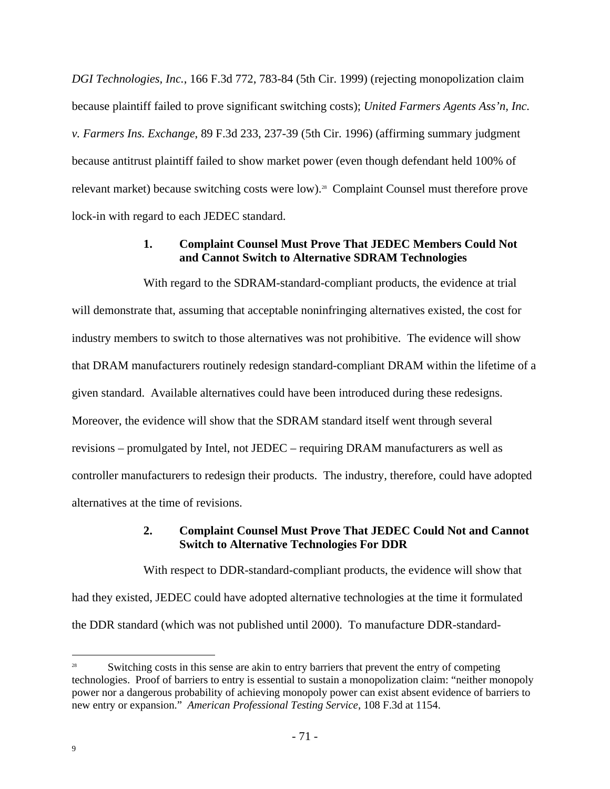*DGI Technologies, Inc.*, 166 F.3d 772, 783-84 (5th Cir. 1999) (rejecting monopolization claim because plaintiff failed to prove significant switching costs); *United Farmers Agents Ass'n, Inc. v. Farmers Ins. Exchange*, 89 F.3d 233, 237-39 (5th Cir. 1996) (affirming summary judgment because antitrust plaintiff failed to show market power (even though defendant held 100% of relevant market) because switching costs were low).<sup>28</sup> Complaint Counsel must therefore prove lock-in with regard to each JEDEC standard.

## **1. Complaint Counsel Must Prove That JEDEC Members Could Not and Cannot Switch to Alternative SDRAM Technologies**

With regard to the SDRAM-standard-compliant products, the evidence at trial will demonstrate that, assuming that acceptable noninfringing alternatives existed, the cost for industry members to switch to those alternatives was not prohibitive. The evidence will show that DRAM manufacturers routinely redesign standard-compliant DRAM within the lifetime of a given standard. Available alternatives could have been introduced during these redesigns. Moreover, the evidence will show that the SDRAM standard itself went through several revisions – promulgated by Intel, not JEDEC – requiring DRAM manufacturers as well as controller manufacturers to redesign their products. The industry, therefore, could have adopted alternatives at the time of revisions.

## **2. Complaint Counsel Must Prove That JEDEC Could Not and Cannot Switch to Alternative Technologies For DDR**

With respect to DDR-standard-compliant products, the evidence will show that had they existed, JEDEC could have adopted alternative technologies at the time it formulated the DDR standard (which was not published until 2000). To manufacture DDR-standard-

 $\overline{a}$ 

<sup>&</sup>lt;sup>28</sup> Switching costs in this sense are akin to entry barriers that prevent the entry of competing technologies. Proof of barriers to entry is essential to sustain a monopolization claim: "neither monopoly power nor a dangerous probability of achieving monopoly power can exist absent evidence of barriers to new entry or expansion." *American Professional Testing Service*, 108 F.3d at 1154.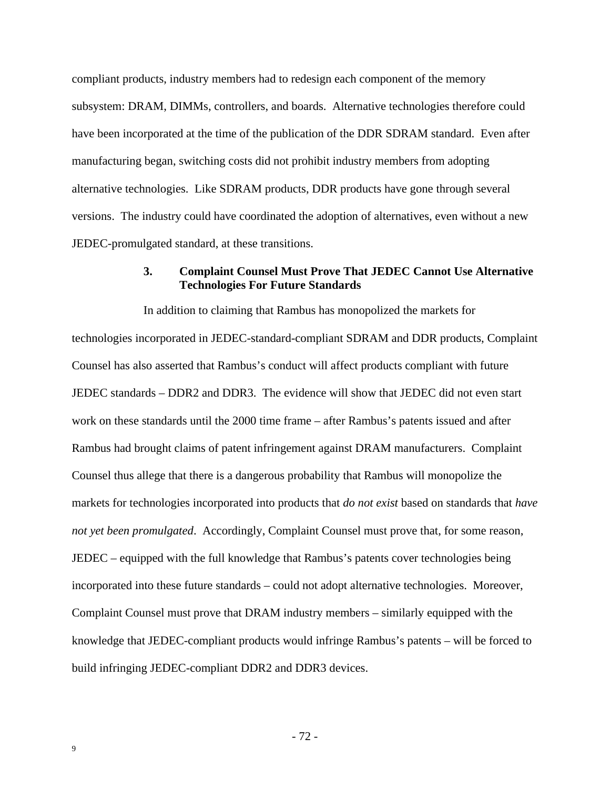compliant products, industry members had to redesign each component of the memory subsystem: DRAM, DIMMs, controllers, and boards. Alternative technologies therefore could have been incorporated at the time of the publication of the DDR SDRAM standard. Even after manufacturing began, switching costs did not prohibit industry members from adopting alternative technologies. Like SDRAM products, DDR products have gone through several versions. The industry could have coordinated the adoption of alternatives, even without a new JEDEC-promulgated standard, at these transitions.

#### **3. Complaint Counsel Must Prove That JEDEC Cannot Use Alternative Technologies For Future Standards**

In addition to claiming that Rambus has monopolized the markets for technologies incorporated in JEDEC-standard-compliant SDRAM and DDR products, Complaint Counsel has also asserted that Rambus's conduct will affect products compliant with future JEDEC standards – DDR2 and DDR3. The evidence will show that JEDEC did not even start work on these standards until the 2000 time frame – after Rambus's patents issued and after Rambus had brought claims of patent infringement against DRAM manufacturers. Complaint Counsel thus allege that there is a dangerous probability that Rambus will monopolize the markets for technologies incorporated into products that *do not exist* based on standards that *have not yet been promulgated*. Accordingly, Complaint Counsel must prove that, for some reason, JEDEC – equipped with the full knowledge that Rambus's patents cover technologies being incorporated into these future standards – could not adopt alternative technologies. Moreover, Complaint Counsel must prove that DRAM industry members – similarly equipped with the knowledge that JEDEC-compliant products would infringe Rambus's patents – will be forced to build infringing JEDEC-compliant DDR2 and DDR3 devices.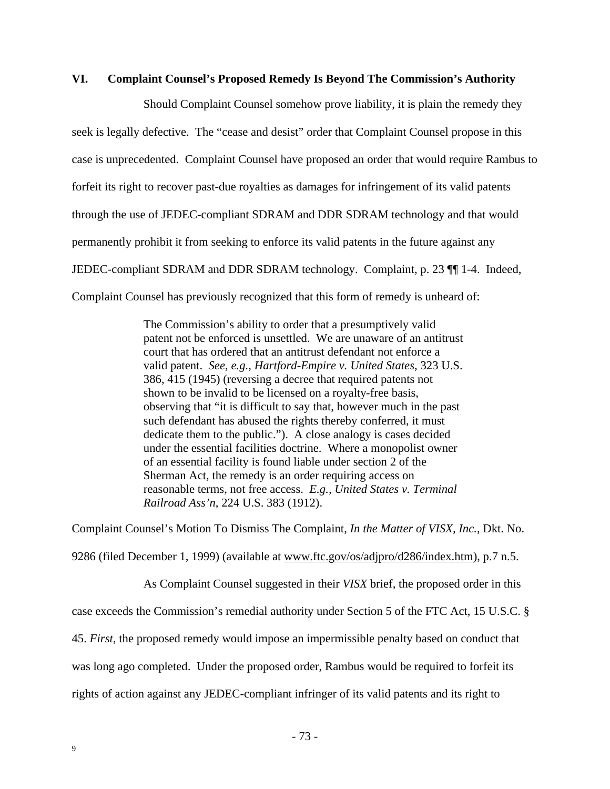#### **VI. Complaint Counsel's Proposed Remedy Is Beyond The Commission's Authority**

Should Complaint Counsel somehow prove liability, it is plain the remedy they seek is legally defective. The "cease and desist" order that Complaint Counsel propose in this case is unprecedented. Complaint Counsel have proposed an order that would require Rambus to forfeit its right to recover past-due royalties as damages for infringement of its valid patents through the use of JEDEC-compliant SDRAM and DDR SDRAM technology and that would permanently prohibit it from seeking to enforce its valid patents in the future against any JEDEC-compliant SDRAM and DDR SDRAM technology. Complaint, p. 23 ¶¶ 1-4. Indeed, Complaint Counsel has previously recognized that this form of remedy is unheard of:

> The Commission's ability to order that a presumptively valid patent not be enforced is unsettled. We are unaware of an antitrust court that has ordered that an antitrust defendant not enforce a valid patent. *See, e.g., Hartford-Empire v. United States*, 323 U.S. 386, 415 (1945) (reversing a decree that required patents not shown to be invalid to be licensed on a royalty-free basis, observing that "it is difficult to say that, however much in the past such defendant has abused the rights thereby conferred, it must dedicate them to the public."). A close analogy is cases decided under the essential facilities doctrine. Where a monopolist owner of an essential facility is found liable under section 2 of the Sherman Act, the remedy is an order requiring access on reasonable terms, not free access. *E.g., United States v. Terminal Railroad Ass'n*, 224 U.S. 383 (1912).

Complaint Counsel's Motion To Dismiss The Complaint, *In the Matter of VISX, Inc.*, Dkt. No. 9286 (filed December 1, 1999) (available at www.ftc.gov/os/adjpro/d286/index.htm), p.7 n.5.

As Complaint Counsel suggested in their *VISX* brief, the proposed order in this case exceeds the Commission's remedial authority under Section 5 of the FTC Act, 15 U.S.C. § 45. *First*, the proposed remedy would impose an impermissible penalty based on conduct that was long ago completed. Under the proposed order, Rambus would be required to forfeit its rights of action against any JEDEC-compliant infringer of its valid patents and its right to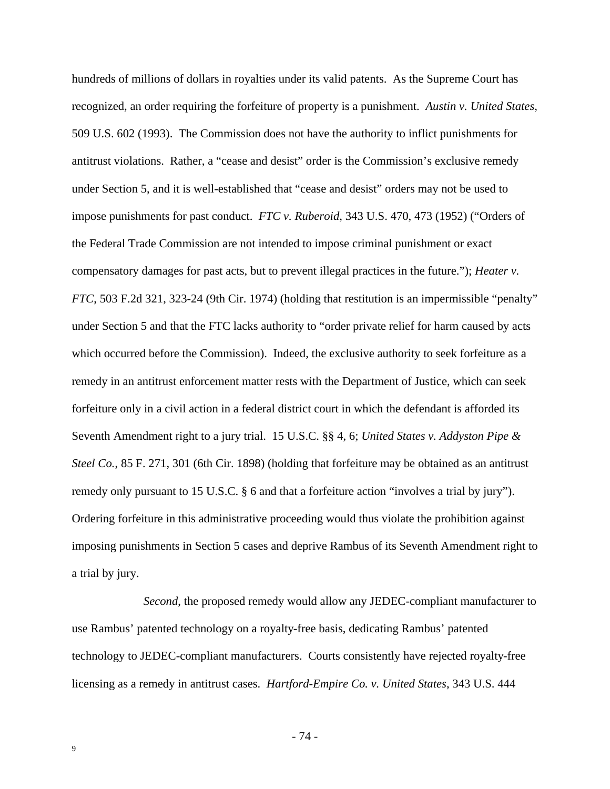hundreds of millions of dollars in royalties under its valid patents. As the Supreme Court has recognized, an order requiring the forfeiture of property is a punishment. *Austin v. United States*, 509 U.S. 602 (1993). The Commission does not have the authority to inflict punishments for antitrust violations. Rather, a "cease and desist" order is the Commission's exclusive remedy under Section 5, and it is well-established that "cease and desist" orders may not be used to impose punishments for past conduct. *FTC v. Ruberoid*, 343 U.S. 470, 473 (1952) ("Orders of the Federal Trade Commission are not intended to impose criminal punishment or exact compensatory damages for past acts, but to prevent illegal practices in the future."); *Heater v. FTC*, 503 F.2d 321, 323-24 (9th Cir. 1974) (holding that restitution is an impermissible "penalty" under Section 5 and that the FTC lacks authority to "order private relief for harm caused by acts which occurred before the Commission). Indeed, the exclusive authority to seek forfeiture as a remedy in an antitrust enforcement matter rests with the Department of Justice, which can seek forfeiture only in a civil action in a federal district court in which the defendant is afforded its Seventh Amendment right to a jury trial. 15 U.S.C. §§ 4, 6; *United States v. Addyston Pipe & Steel Co.*, 85 F. 271, 301 (6th Cir. 1898) (holding that forfeiture may be obtained as an antitrust remedy only pursuant to 15 U.S.C. § 6 and that a forfeiture action "involves a trial by jury"). Ordering forfeiture in this administrative proceeding would thus violate the prohibition against imposing punishments in Section 5 cases and deprive Rambus of its Seventh Amendment right to a trial by jury.

*Second*, the proposed remedy would allow any JEDEC-compliant manufacturer to use Rambus' patented technology on a royalty-free basis, dedicating Rambus' patented technology to JEDEC-compliant manufacturers. Courts consistently have rejected royalty-free licensing as a remedy in antitrust cases. *Hartford-Empire Co. v. United States*, 343 U.S. 444

- 74 -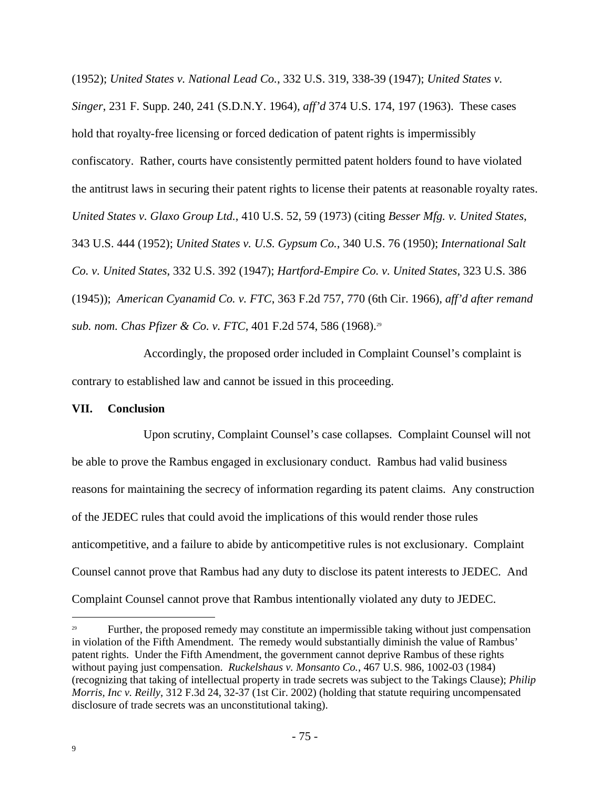(1952); *United States v. National Lead Co.*, 332 U.S. 319, 338-39 (1947); *United States v. Singer*, 231 F. Supp. 240, 241 (S.D.N.Y. 1964), *aff'd* 374 U.S. 174, 197 (1963). These cases hold that royalty-free licensing or forced dedication of patent rights is impermissibly confiscatory. Rather, courts have consistently permitted patent holders found to have violated the antitrust laws in securing their patent rights to license their patents at reasonable royalty rates. *United States v. Glaxo Group Ltd.*, 410 U.S. 52, 59 (1973) (citing *Besser Mfg. v. United States*, 343 U.S. 444 (1952); *United States v. U.S. Gypsum Co.*, 340 U.S. 76 (1950); *International Salt Co. v. United States*, 332 U.S. 392 (1947); *Hartford-Empire Co. v. United States*, 323 U.S. 386 (1945)); *American Cyanamid Co. v. FTC*, 363 F.2d 757, 770 (6th Cir. 1966), *aff'd after remand sub. nom. Chas Pfizer & Co. v. FTC*, 401 F.2d 574, 586 (1968).<sup>29</sup>

Accordingly, the proposed order included in Complaint Counsel's complaint is contrary to established law and cannot be issued in this proceeding.

#### **VII. Conclusion**

Upon scrutiny, Complaint Counsel's case collapses. Complaint Counsel will not be able to prove the Rambus engaged in exclusionary conduct. Rambus had valid business reasons for maintaining the secrecy of information regarding its patent claims. Any construction of the JEDEC rules that could avoid the implications of this would render those rules anticompetitive, and a failure to abide by anticompetitive rules is not exclusionary. Complaint Counsel cannot prove that Rambus had any duty to disclose its patent interests to JEDEC. And Complaint Counsel cannot prove that Rambus intentionally violated any duty to JEDEC.

 $\overline{a}$ 

<sup>29</sup> Further, the proposed remedy may constitute an impermissible taking without just compensation in violation of the Fifth Amendment. The remedy would substantially diminish the value of Rambus' patent rights. Under the Fifth Amendment, the government cannot deprive Rambus of these rights without paying just compensation. *Ruckelshaus v. Monsanto Co.*, 467 U.S. 986, 1002-03 (1984) (recognizing that taking of intellectual property in trade secrets was subject to the Takings Clause); *Philip Morris, Inc v. Reilly*, 312 F.3d 24, 32-37 (1st Cir. 2002) (holding that statute requiring uncompensated disclosure of trade secrets was an unconstitutional taking).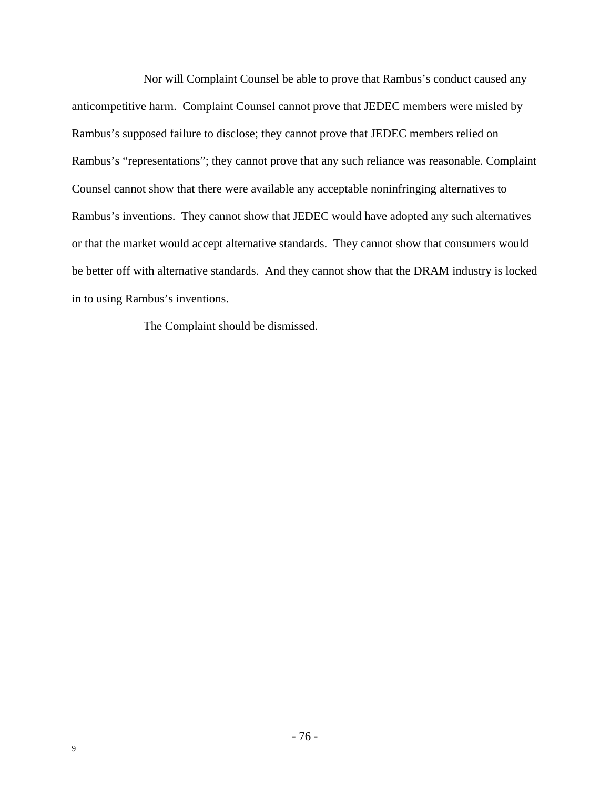Nor will Complaint Counsel be able to prove that Rambus's conduct caused any anticompetitive harm. Complaint Counsel cannot prove that JEDEC members were misled by Rambus's supposed failure to disclose; they cannot prove that JEDEC members relied on Rambus's "representations"; they cannot prove that any such reliance was reasonable. Complaint Counsel cannot show that there were available any acceptable noninfringing alternatives to Rambus's inventions. They cannot show that JEDEC would have adopted any such alternatives or that the market would accept alternative standards. They cannot show that consumers would be better off with alternative standards. And they cannot show that the DRAM industry is locked in to using Rambus's inventions.

The Complaint should be dismissed.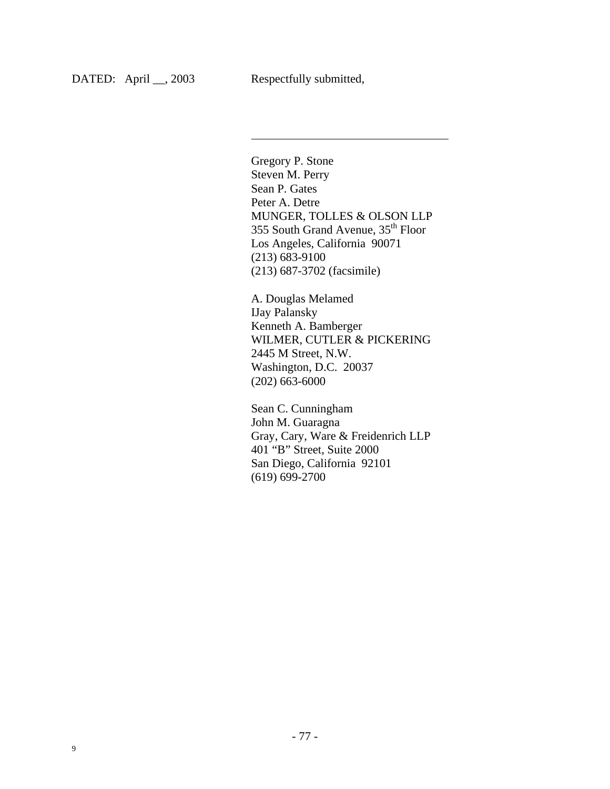l

Gregory P. Stone Steven M. Perry Sean P. Gates Peter A. Detre MUNGER, TOLLES & OLSON LLP  $355$  South Grand Avenue,  $35<sup>th</sup>$  Floor Los Angeles, California 90071 (213) 683-9100 (213) 687-3702 (facsimile)

A. Douglas Melamed IJay Palansky Kenneth A. Bamberger WILMER, CUTLER & PICKERING 2445 M Street, N.W. Washington, D.C. 20037 (202) 663-6000

Sean C. Cunningham John M. Guaragna Gray, Cary, Ware & Freidenrich LLP 401 "B" Street, Suite 2000 San Diego, California 92101 (619) 699-2700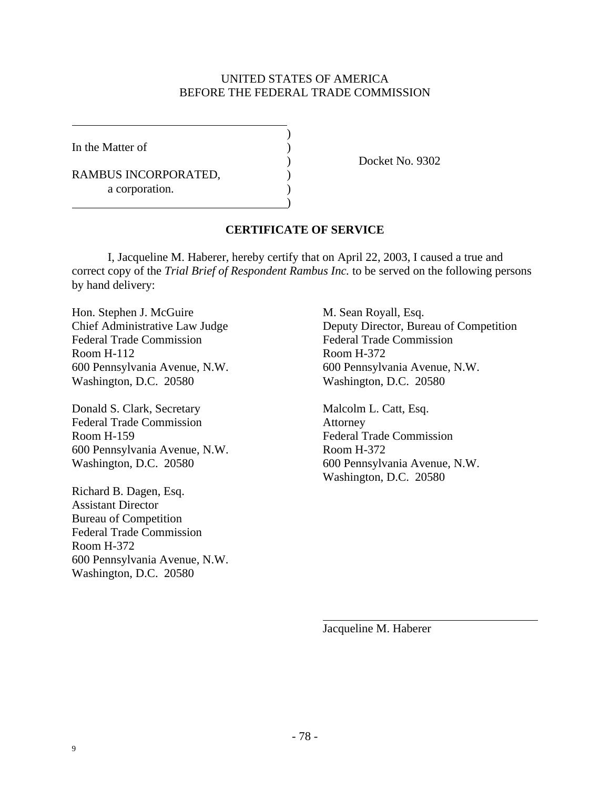## UNITED STATES OF AMERICA BEFORE THE FEDERAL TRADE COMMISSION

 $\lambda$ 

)

In the Matter of  $( )$ 

RAMBUS INCORPORATED, a corporation.

) Docket No. 9302

# **CERTIFICATE OF SERVICE**

I, Jacqueline M. Haberer, hereby certify that on April 22, 2003, I caused a true and correct copy of the *Trial Brief of Respondent Rambus Inc.* to be served on the following persons by hand delivery:

Hon. Stephen J. McGuire M. Sean Royall, Esq. Federal Trade Commission Federal Trade Commission Room H-112 Room H-372 600 Pennsylvania Avenue, N.W. 600 Pennsylvania Avenue, N.W. Washington, D.C. 20580 Washington, D.C. 20580

Donald S. Clark, Secretary Malcolm L. Catt, Esq. Federal Trade Commission Attorney Room H-159 Federal Trade Commission 600 Pennsylvania Avenue, N.W. Room H-372

Richard B. Dagen, Esq. Assistant Director Bureau of Competition Federal Trade Commission Room H-372 600 Pennsylvania Avenue, N.W. Washington, D.C. 20580

Chief Administrative Law Judge Deputy Director, Bureau of Competition

Washington, D.C. 20580 600 Pennsylvania Avenue, N.W. Washington, D.C. 20580

Jacqueline M. Haberer